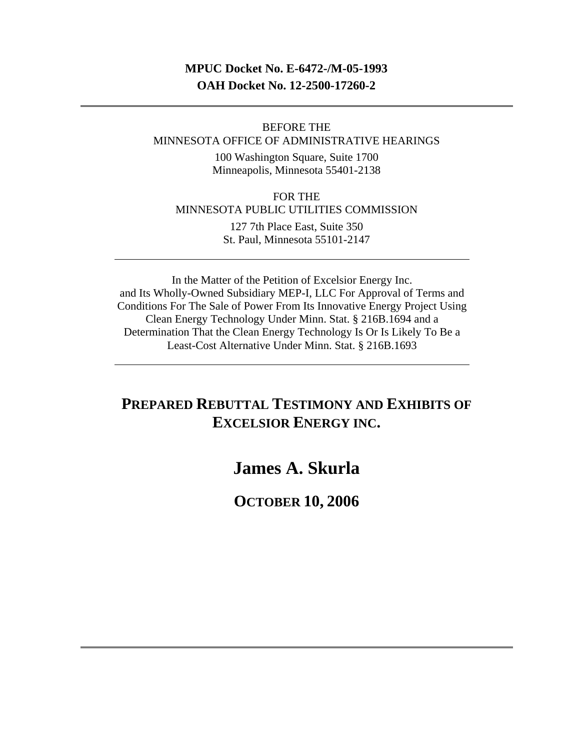## **MPUC Docket No. E-6472-/M-05-1993 OAH Docket No. 12-2500-17260-2**

BEFORE THE MINNESOTA OFFICE OF ADMINISTRATIVE HEARINGS

> 100 Washington Square, Suite 1700 Minneapolis, Minnesota 55401-2138

FOR THE MINNESOTA PUBLIC UTILITIES COMMISSION

> 127 7th Place East, Suite 350 St. Paul, Minnesota 55101-2147

In the Matter of the Petition of Excelsior Energy Inc. and Its Wholly-Owned Subsidiary MEP-I, LLC For Approval of Terms and Conditions For The Sale of Power From Its Innovative Energy Project Using Clean Energy Technology Under Minn. Stat. § 216B.1694 and a Determination That the Clean Energy Technology Is Or Is Likely To Be a Least-Cost Alternative Under Minn. Stat. § 216B.1693

## **PREPARED REBUTTAL TESTIMONY AND EXHIBITS OF EXCELSIOR ENERGY INC.**

## **James A. Skurla**

## **OCTOBER 10, 2006**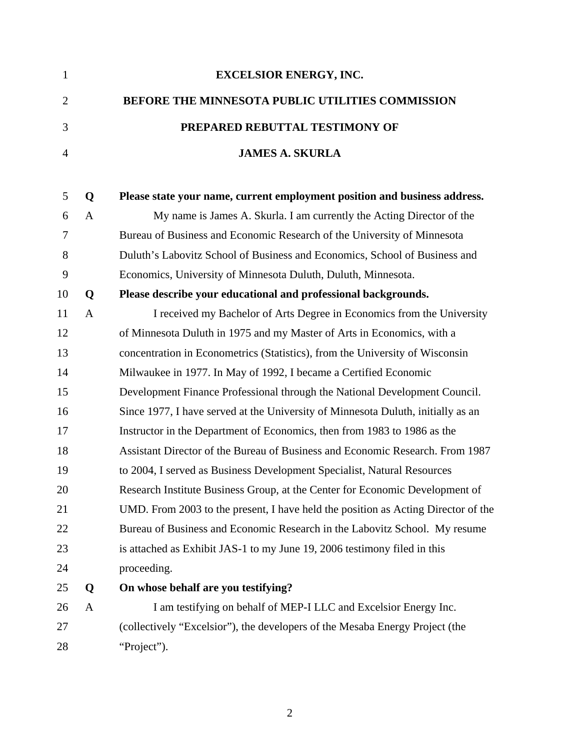| $\mathbf{1}$   |              | <b>EXCELSIOR ENERGY, INC.</b>                                                     |
|----------------|--------------|-----------------------------------------------------------------------------------|
| $\overline{2}$ |              | BEFORE THE MINNESOTA PUBLIC UTILITIES COMMISSION                                  |
| 3              |              | PREPARED REBUTTAL TESTIMONY OF                                                    |
| $\overline{4}$ |              | <b>JAMES A. SKURLA</b>                                                            |
| 5              | Q            | Please state your name, current employment position and business address.         |
| 6              | $\mathbf{A}$ | My name is James A. Skurla. I am currently the Acting Director of the             |
| 7              |              | Bureau of Business and Economic Research of the University of Minnesota           |
| 8              |              | Duluth's Labovitz School of Business and Economics, School of Business and        |
| 9              |              | Economics, University of Minnesota Duluth, Duluth, Minnesota.                     |
| 10             | Q            | Please describe your educational and professional backgrounds.                    |
| 11             | $\mathbf{A}$ | I received my Bachelor of Arts Degree in Economics from the University            |
| 12             |              | of Minnesota Duluth in 1975 and my Master of Arts in Economics, with a            |
| 13             |              | concentration in Econometrics (Statistics), from the University of Wisconsin      |
| 14             |              | Milwaukee in 1977. In May of 1992, I became a Certified Economic                  |
| 15             |              | Development Finance Professional through the National Development Council.        |
| 16             |              | Since 1977, I have served at the University of Minnesota Duluth, initially as an  |
| 17             |              | Instructor in the Department of Economics, then from 1983 to 1986 as the          |
| 18             |              | Assistant Director of the Bureau of Business and Economic Research. From 1987     |
| 19             |              | to 2004, I served as Business Development Specialist, Natural Resources           |
| 20             |              | Research Institute Business Group, at the Center for Economic Development of      |
| 21             |              | UMD. From 2003 to the present, I have held the position as Acting Director of the |
| 22             |              | Bureau of Business and Economic Research in the Labovitz School. My resume        |
| 23             |              | is attached as Exhibit JAS-1 to my June 19, 2006 testimony filed in this          |
| 24             |              | proceeding.                                                                       |
| 25             | Q            | On whose behalf are you testifying?                                               |
| 26             | $\mathbf{A}$ | I am testifying on behalf of MEP-I LLC and Excelsior Energy Inc.                  |
| 27             |              | (collectively "Excelsior"), the developers of the Mesaba Energy Project (the      |
| 28             |              | "Project").                                                                       |
|                |              |                                                                                   |

2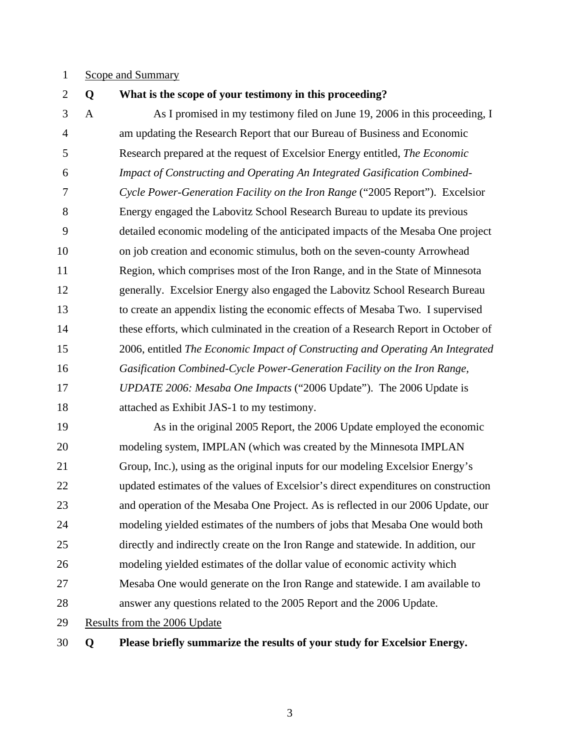#### 1 Scope and Summary

### 2 **Q What is the scope of your testimony in this proceeding?**

3 A As I promised in my testimony filed on June 19, 2006 in this proceeding, I 4 am updating the Research Report that our Bureau of Business and Economic 5 Research prepared at the request of Excelsior Energy entitled, *The Economic*  6 *Impact of Constructing and Operating An Integrated Gasification Combined-*7 *Cycle Power-Generation Facility on the Iron Range* ("2005 Report"). Excelsior 8 Energy engaged the Labovitz School Research Bureau to update its previous 9 detailed economic modeling of the anticipated impacts of the Mesaba One project 10 on job creation and economic stimulus, both on the seven-county Arrowhead 11 Region, which comprises most of the Iron Range, and in the State of Minnesota 12 generally. Excelsior Energy also engaged the Labovitz School Research Bureau 13 to create an appendix listing the economic effects of Mesaba Two. I supervised 14 these efforts, which culminated in the creation of a Research Report in October of 15 2006, entitled *The Economic Impact of Constructing and Operating An Integrated*  16 *Gasification Combined-Cycle Power-Generation Facility on the Iron Range,*  17 *UPDATE 2006: Mesaba One Impacts* ("2006 Update"). The 2006 Update is 18 attached as Exhibit JAS-1 to my testimony.

19 As in the original 2005 Report, the 2006 Update employed the economic 20 modeling system, IMPLAN (which was created by the Minnesota IMPLAN 21 Group, Inc.), using as the original inputs for our modeling Excelsior Energy's 22 updated estimates of the values of Excelsior's direct expenditures on construction 23 and operation of the Mesaba One Project. As is reflected in our 2006 Update, our 24 modeling yielded estimates of the numbers of jobs that Mesaba One would both 25 directly and indirectly create on the Iron Range and statewide. In addition, our 26 modeling yielded estimates of the dollar value of economic activity which 27 Mesaba One would generate on the Iron Range and statewide. I am available to 28 answer any questions related to the 2005 Report and the 2006 Update. 29 Results from the 2006 Update

30 **Q Please briefly summarize the results of your study for Excelsior Energy.**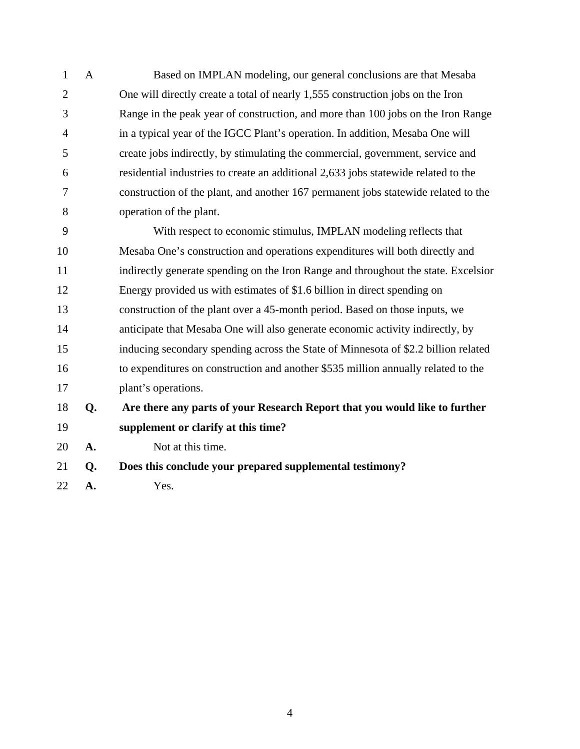1 A Based on IMPLAN modeling, our general conclusions are that Mesaba 2 One will directly create a total of nearly 1,555 construction jobs on the Iron 3 Range in the peak year of construction, and more than 100 jobs on the Iron Range 4 in a typical year of the IGCC Plant's operation. In addition, Mesaba One will 5 create jobs indirectly, by stimulating the commercial, government, service and 6 residential industries to create an additional 2,633 jobs statewide related to the 7 construction of the plant, and another 167 permanent jobs statewide related to the 8 operation of the plant.

9 With respect to economic stimulus, IMPLAN modeling reflects that 10 Mesaba One's construction and operations expenditures will both directly and 11 indirectly generate spending on the Iron Range and throughout the state. Excelsior 12 Energy provided us with estimates of \$1.6 billion in direct spending on 13 construction of the plant over a 45-month period. Based on those inputs, we 14 anticipate that Mesaba One will also generate economic activity indirectly, by 15 inducing secondary spending across the State of Minnesota of \$2.2 billion related 16 to expenditures on construction and another \$535 million annually related to the 17 plant's operations.

## 18 **Q. Are there any parts of your Research Report that you would like to further**  19 **supplement or clarify at this time?**

20 **A.** Not at this time.

- 21 **Q. Does this conclude your prepared supplemental testimony?**
- 22 **A.** Yes.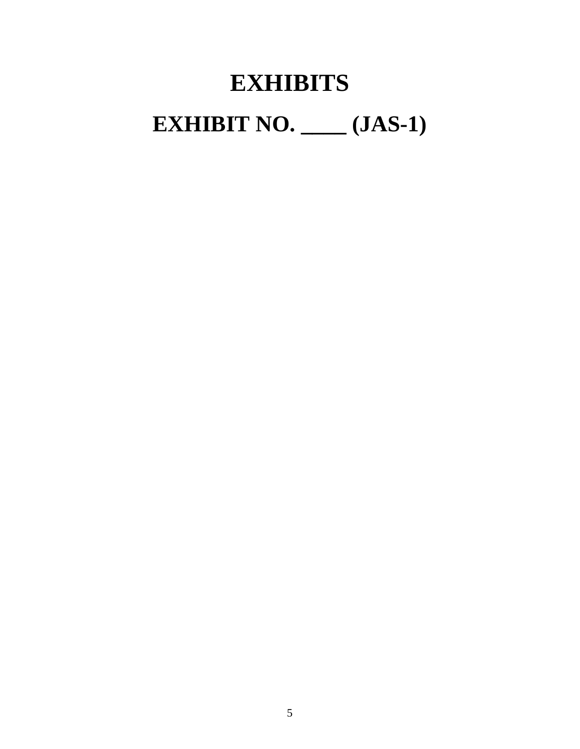# **EXHIBITS**

# **EXHIBIT NO. \_\_\_\_ (JAS-1)**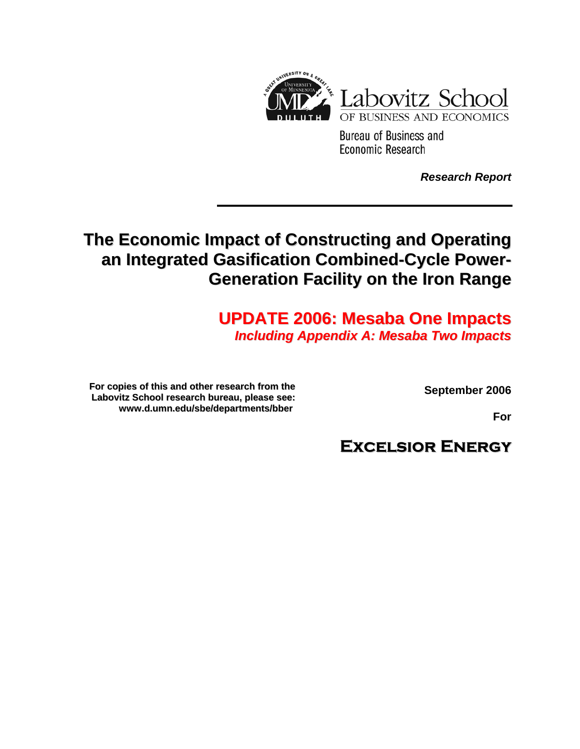

Bureau of Business and Economic Research

*Research Report* 

## **The Economic Impact of Constructing and Operating an Integrated Gasification Combined-Cycle Power-Generation Facility on the Iron Range**

**UPDATE 2006: Mesaba One Impacts** *Including Appendix A: Mesaba Two Impacts*

**For copies of this and other research from the Labovitz School research bureau, please see: www.d.umn.edu/sbe/departments/bber/**

**September 2006** 

**For** 

**Excelsior Energy**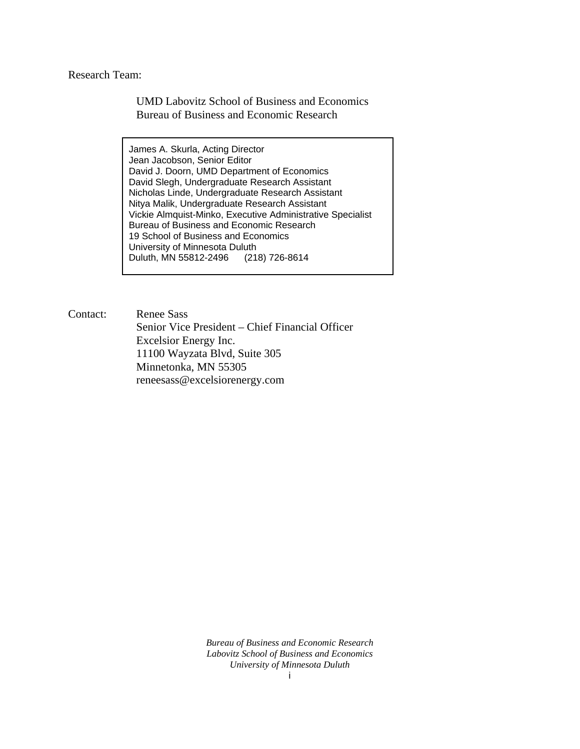Research Team:

 UMD Labovitz School of Business and Economics Bureau of Business and Economic Research

James A. Skurla, Acting Director Jean Jacobson, Senior Editor David J. Doorn, UMD Department of Economics David Slegh, Undergraduate Research Assistant Nicholas Linde, Undergraduate Research Assistant Nitya Malik, Undergraduate Research Assistant Vickie Almquist-Minko, Executive Administrative Specialist Bureau of Business and Economic Research 19 School of Business and Economics University of Minnesota Duluth Duluth, MN 55812-2496 (218) 726-8614

Contact: Renee Sass Senior Vice President – Chief Financial Officer Excelsior Energy Inc. 11100 Wayzata Blvd, Suite 305 Minnetonka, MN 55305 reneesass@excelsiorenergy.com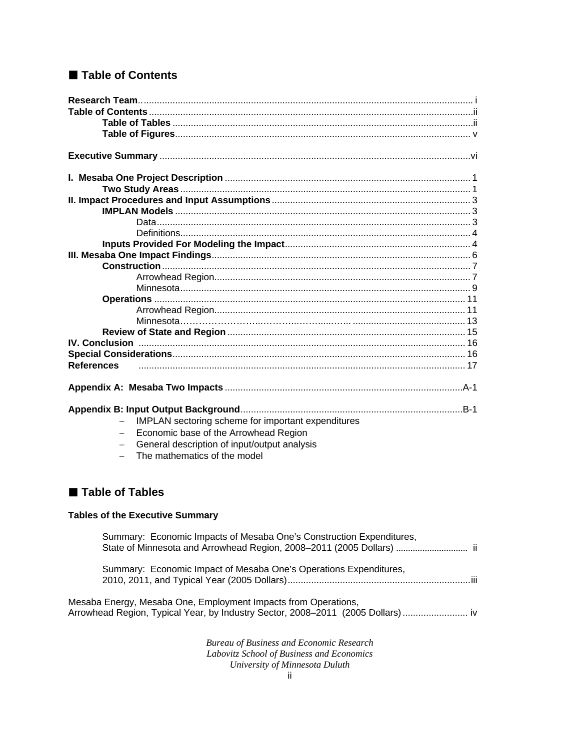## ■ Table of Contents

| <b>References</b> |                                                    |
|-------------------|----------------------------------------------------|
|                   |                                                    |
|                   |                                                    |
|                   | IMPLAN sectoring scheme for important expenditures |
|                   | Economic base of the Arrowhead Region              |
|                   | General description of input/output analysis       |

- The mathematics of the model

## ■ Table of Tables

### **Tables of the Executive Summary**

| Summary: Economic Impacts of Mesaba One's Construction Expenditures,<br>State of Minnesota and Arrowhead Region, 2008-2011 (2005 Dollars)  ii  |  |
|------------------------------------------------------------------------------------------------------------------------------------------------|--|
| Summary: Economic Impact of Mesaba One's Operations Expenditures,                                                                              |  |
| Mesaba Energy, Mesaba One, Employment Impacts from Operations,<br>Arrowhead Region, Typical Year, by Industry Sector, 2008-2011 (2005 Dollars) |  |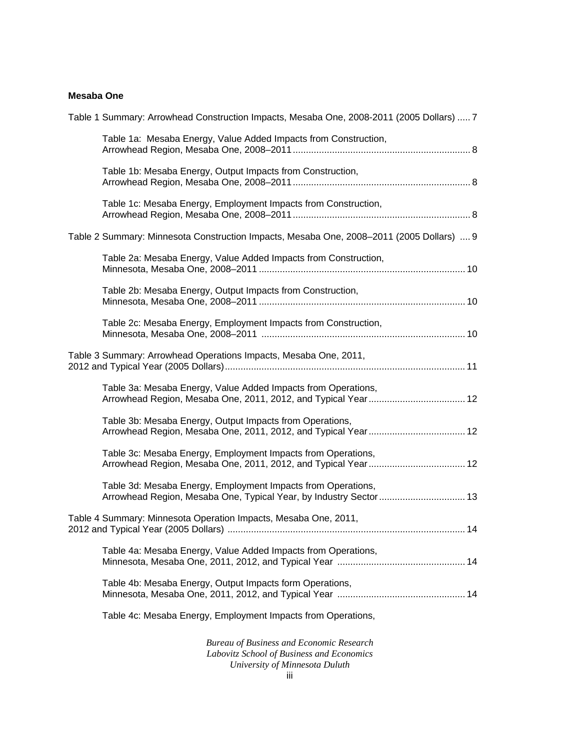#### **Mesaba One**

| Table 1 Summary: Arrowhead Construction Impacts, Mesaba One, 2008-2011 (2005 Dollars)  7                                           |  |
|------------------------------------------------------------------------------------------------------------------------------------|--|
| Table 1a: Mesaba Energy, Value Added Impacts from Construction,                                                                    |  |
| Table 1b: Mesaba Energy, Output Impacts from Construction,                                                                         |  |
| Table 1c: Mesaba Energy, Employment Impacts from Construction,                                                                     |  |
| Table 2 Summary: Minnesota Construction Impacts, Mesaba One, 2008-2011 (2005 Dollars)  9                                           |  |
| Table 2a: Mesaba Energy, Value Added Impacts from Construction,                                                                    |  |
| Table 2b: Mesaba Energy, Output Impacts from Construction,                                                                         |  |
| Table 2c: Mesaba Energy, Employment Impacts from Construction,                                                                     |  |
| Table 3 Summary: Arrowhead Operations Impacts, Mesaba One, 2011,                                                                   |  |
| Table 3a: Mesaba Energy, Value Added Impacts from Operations,                                                                      |  |
| Table 3b: Mesaba Energy, Output Impacts from Operations,                                                                           |  |
| Table 3c: Mesaba Energy, Employment Impacts from Operations,                                                                       |  |
| Table 3d: Mesaba Energy, Employment Impacts from Operations,<br>Arrowhead Region, Mesaba One, Typical Year, by Industry Sector  13 |  |
| Table 4 Summary: Minnesota Operation Impacts, Mesaba One, 2011,                                                                    |  |
| Table 4a: Mesaba Energy, Value Added Impacts from Operations,                                                                      |  |
| Table 4b: Mesaba Energy, Output Impacts form Operations,                                                                           |  |
| Table 4c: Mesaba Energy, Employment Impacts from Operations,                                                                       |  |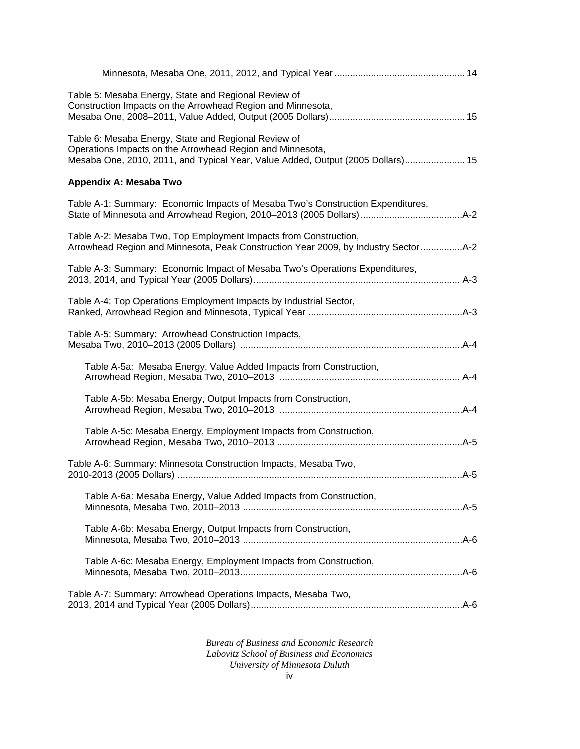| Table 5: Mesaba Energy, State and Regional Review of<br>Construction Impacts on the Arrowhead Region and Minnesota,                                                                                  |
|------------------------------------------------------------------------------------------------------------------------------------------------------------------------------------------------------|
| Table 6: Mesaba Energy, State and Regional Review of<br>Operations Impacts on the Arrowhead Region and Minnesota,<br>Mesaba One, 2010, 2011, and Typical Year, Value Added, Output (2005 Dollars) 15 |
| Appendix A: Mesaba Two                                                                                                                                                                               |
| Table A-1: Summary: Economic Impacts of Mesaba Two's Construction Expenditures,                                                                                                                      |
| Table A-2: Mesaba Two, Top Employment Impacts from Construction,<br>Arrowhead Region and Minnesota, Peak Construction Year 2009, by Industry Sector A-2                                              |
| Table A-3: Summary: Economic Impact of Mesaba Two's Operations Expenditures,                                                                                                                         |
| Table A-4: Top Operations Employment Impacts by Industrial Sector,                                                                                                                                   |
| Table A-5: Summary: Arrowhead Construction Impacts,                                                                                                                                                  |
| Table A-5a: Mesaba Energy, Value Added Impacts from Construction,                                                                                                                                    |
| Table A-5b: Mesaba Energy, Output Impacts from Construction,                                                                                                                                         |
| Table A-5c: Mesaba Energy, Employment Impacts from Construction,                                                                                                                                     |
| Table A-6: Summary: Minnesota Construction Impacts, Mesaba Two,                                                                                                                                      |
| Table A-6a: Mesaba Energy, Value Added Impacts from Construction,                                                                                                                                    |
| Table A-6b: Mesaba Energy, Output Impacts from Construction,                                                                                                                                         |
| Table A-6c: Mesaba Energy, Employment Impacts from Construction,                                                                                                                                     |
| Table A-7: Summary: Arrowhead Operations Impacts, Mesaba Two,                                                                                                                                        |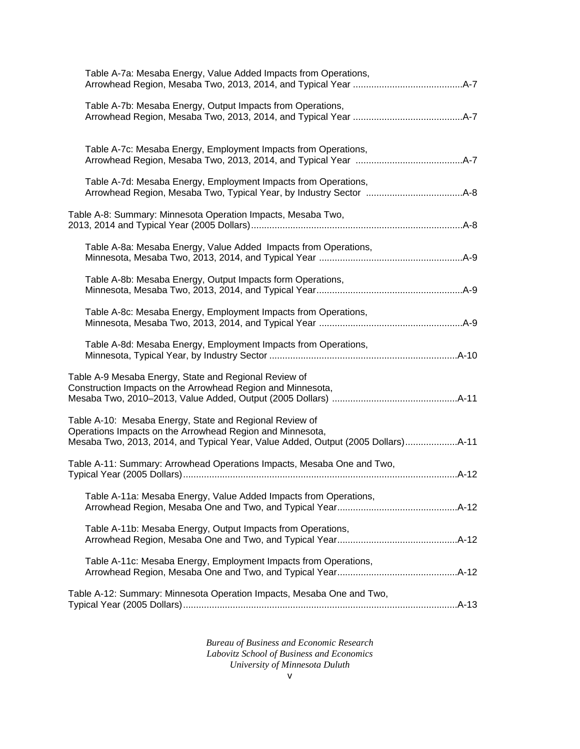| Table A-7a: Mesaba Energy, Value Added Impacts from Operations,                                                                                                                                          |
|----------------------------------------------------------------------------------------------------------------------------------------------------------------------------------------------------------|
| Table A-7b: Mesaba Energy, Output Impacts from Operations,                                                                                                                                               |
| Table A-7c: Mesaba Energy, Employment Impacts from Operations,                                                                                                                                           |
| Table A-7d: Mesaba Energy, Employment Impacts from Operations,                                                                                                                                           |
| Table A-8: Summary: Minnesota Operation Impacts, Mesaba Two,                                                                                                                                             |
| Table A-8a: Mesaba Energy, Value Added Impacts from Operations,                                                                                                                                          |
| Table A-8b: Mesaba Energy, Output Impacts form Operations,                                                                                                                                               |
| Table A-8c: Mesaba Energy, Employment Impacts from Operations,                                                                                                                                           |
| Table A-8d: Mesaba Energy, Employment Impacts from Operations,                                                                                                                                           |
| Table A-9 Mesaba Energy, State and Regional Review of<br>Construction Impacts on the Arrowhead Region and Minnesota,                                                                                     |
| Table A-10: Mesaba Energy, State and Regional Review of<br>Operations Impacts on the Arrowhead Region and Minnesota,<br>Mesaba Two, 2013, 2014, and Typical Year, Value Added, Output (2005 Dollars)A-11 |
| Table A-11: Summary: Arrowhead Operations Impacts, Mesaba One and Two,                                                                                                                                   |
| Table A-11a: Mesaba Energy, Value Added Impacts from Operations,                                                                                                                                         |
| Table A-11b: Mesaba Energy, Output Impacts from Operations,                                                                                                                                              |
| Table A-11c: Mesaba Energy, Employment Impacts from Operations,                                                                                                                                          |
| Table A-12: Summary: Minnesota Operation Impacts, Mesaba One and Two,                                                                                                                                    |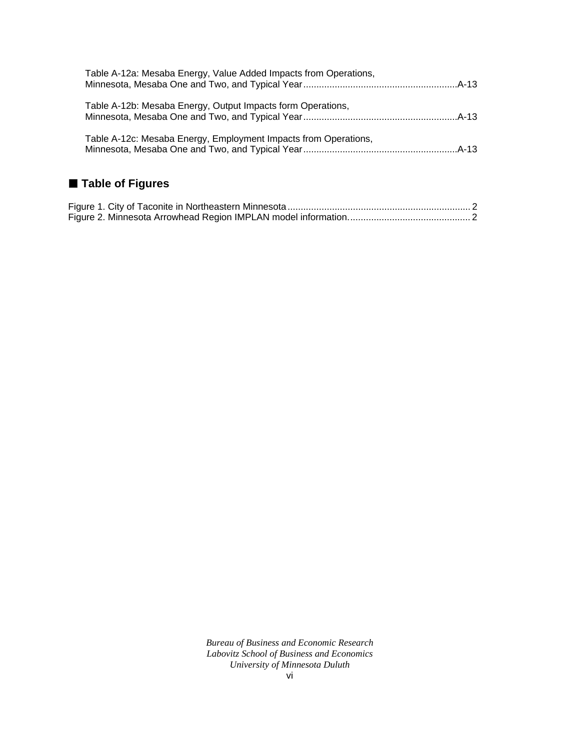| Table A-12a: Mesaba Energy, Value Added Impacts from Operations, |  |
|------------------------------------------------------------------|--|
| Table A-12b: Mesaba Energy, Output Impacts form Operations,      |  |
| Table A-12c: Mesaba Energy, Employment Impacts from Operations,  |  |

## **Table of Figures**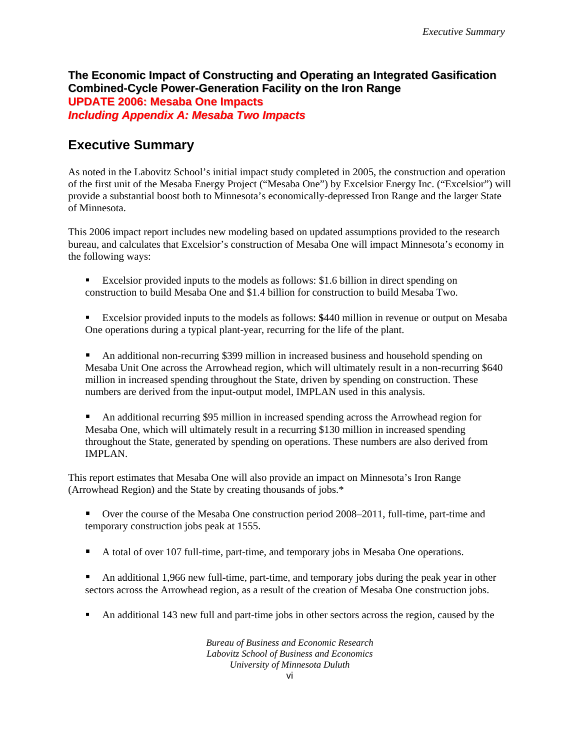## **The Economic Impact of Constructing and Operating an Integrated Gasification Combined-Cycle Power-Generation Facility on the Iron Range UPDATE 2006: Mesaba One Impacts** *Including Appendix A: Mesaba Two Impacts*

## **Executive Summary**

As noted in the Labovitz School's initial impact study completed in 2005, the construction and operation of the first unit of the Mesaba Energy Project ("Mesaba One") by Excelsior Energy Inc. ("Excelsior") will provide a substantial boost both to Minnesota's economically-depressed Iron Range and the larger State of Minnesota.

This 2006 impact report includes new modeling based on updated assumptions provided to the research bureau, and calculates that Excelsior's construction of Mesaba One will impact Minnesota's economy in the following ways:

- Excelsior provided inputs to the models as follows: \$1.6 billion in direct spending on construction to build Mesaba One and \$1.4 billion for construction to build Mesaba Two.
- Excelsior provided inputs to the models as follows: **\$**440 million in revenue or output on Mesaba One operations during a typical plant-year, recurring for the life of the plant.

 An additional non-recurring \$399 million in increased business and household spending on Mesaba Unit One across the Arrowhead region, which will ultimately result in a non-recurring \$640 million in increased spending throughout the State, driven by spending on construction. These numbers are derived from the input-output model, IMPLAN used in this analysis.

 An additional recurring \$95 million in increased spending across the Arrowhead region for Mesaba One, which will ultimately result in a recurring \$130 million in increased spending throughout the State, generated by spending on operations. These numbers are also derived from IMPLAN.

This report estimates that Mesaba One will also provide an impact on Minnesota's Iron Range (Arrowhead Region) and the State by creating thousands of jobs.\*

- Over the course of the Mesaba One construction period 2008–2011, full-time, part-time and temporary construction jobs peak at 1555.
- A total of over 107 full-time, part-time, and temporary jobs in Mesaba One operations.
- An additional 1,966 new full-time, part-time, and temporary jobs during the peak year in other sectors across the Arrowhead region, as a result of the creation of Mesaba One construction jobs.
- An additional 143 new full and part-time jobs in other sectors across the region, caused by the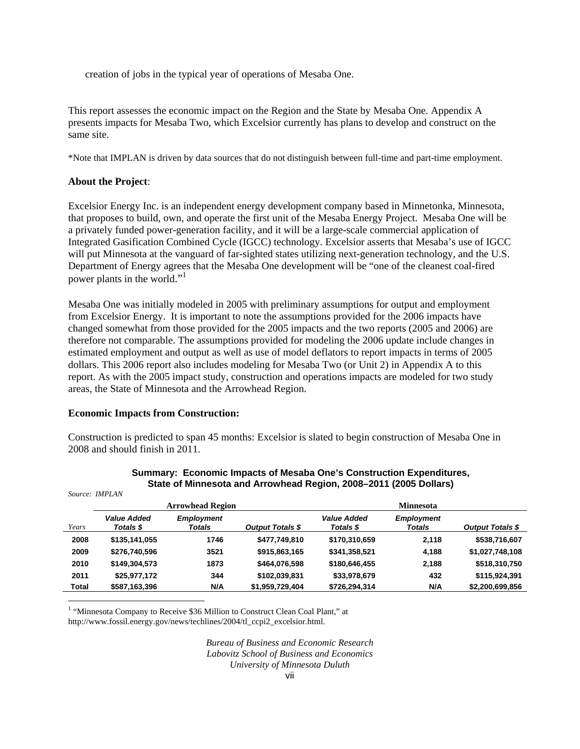creation of jobs in the typical year of operations of Mesaba One.

This report assesses the economic impact on the Region and the State by Mesaba One. Appendix A presents impacts for Mesaba Two, which Excelsior currently has plans to develop and construct on the same site.

\*Note that IMPLAN is driven by data sources that do not distinguish between full-time and part-time employment.

#### **About the Project**:

Excelsior Energy Inc. is an independent energy development company based in Minnetonka, Minnesota, that proposes to build, own, and operate the first unit of the Mesaba Energy Project. Mesaba One will be a privately funded power-generation facility, and it will be a large-scale commercial application of Integrated Gasification Combined Cycle (IGCC) technology. Excelsior asserts that Mesaba's use of IGCC will put Minnesota at the vanguard of far-sighted states utilizing next-generation technology, and the U.S. Department of Energy agrees that the Mesaba One development will be "one of the cleanest coal-fired power plants in the world."<sup>1</sup>

Mesaba One was initially modeled in 2005 with preliminary assumptions for output and employment from Excelsior Energy. It is important to note the assumptions provided for the 2006 impacts have changed somewhat from those provided for the 2005 impacts and the two reports (2005 and 2006) are therefore not comparable. The assumptions provided for modeling the 2006 update include changes in estimated employment and output as well as use of model deflators to report impacts in terms of 2005 dollars. This 2006 report also includes modeling for Mesaba Two (or Unit 2) in Appendix A to this report. As with the 2005 impact study, construction and operations impacts are modeled for two study areas, the State of Minnesota and the Arrowhead Region.

#### **Economic Impacts from Construction:**

 $\overline{a}$ 

*Source: IMPLAN* 

Construction is predicted to span 45 months: Excelsior is slated to begin construction of Mesaba One in 2008 and should finish in 2011.

|       |                          | <b>Arrowhead Region</b>     |                         | <b>Minnesota</b>         |                             |                         |
|-------|--------------------------|-----------------------------|-------------------------|--------------------------|-----------------------------|-------------------------|
| Years | Value Added<br>Totals \$ | <b>Employment</b><br>Totals | <b>Output Totals \$</b> | Value Added<br>Totals \$ | <b>Employment</b><br>Totals | <b>Output Totals \$</b> |
| 2008  | \$135,141,055            | 1746                        | \$477,749,810           | \$170,310,659            | 2,118                       | \$538,716,607           |
| 2009  | \$276,740,596            | 3521                        | \$915,863,165           | \$341,358,521            | 4.188                       | \$1,027,748,108         |
| 2010  | \$149,304,573            | 1873                        | \$464.076.598           | \$180,646,455            | 2.188                       | \$518,310,750           |
| 2011  | \$25,977,172             | 344                         | \$102,039,831           | \$33,978,679             | 432                         | \$115,924,391           |
| Total | \$587,163,396            | N/A                         | \$1,959,729,404         | \$726,294,314            | N/A                         | \$2,200,699,856         |

#### **Summary: Economic Impacts of Mesaba One's Construction Expenditures, State of Minnesota and Arrowhead Region, 2008–2011 (2005 Dollars)**

<sup>1</sup> "Minnesota Company to Receive \$36 Million to Construct Clean Coal Plant," at http://www.fossil.energy.gov/news/techlines/2004/tl\_ccpi2\_excelsior.html.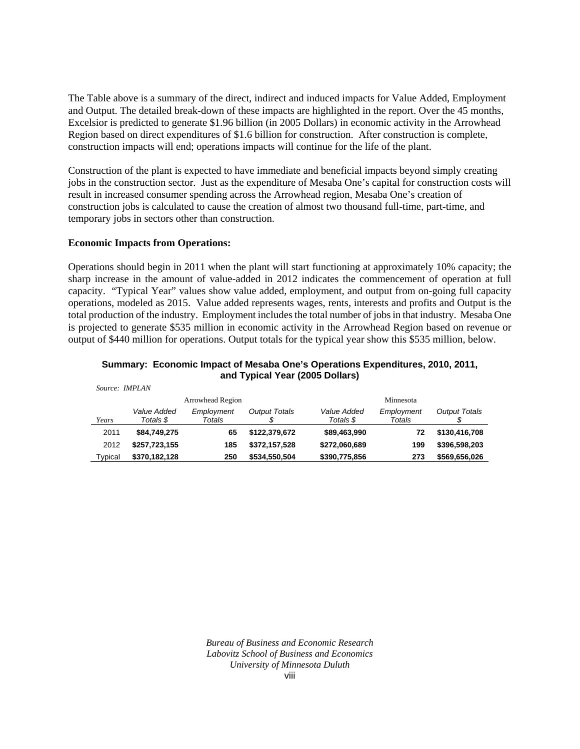The Table above is a summary of the direct, indirect and induced impacts for Value Added, Employment and Output. The detailed break-down of these impacts are highlighted in the report. Over the 45 months, Excelsior is predicted to generate \$1.96 billion (in 2005 Dollars) in economic activity in the Arrowhead Region based on direct expenditures of \$1.6 billion for construction. After construction is complete, construction impacts will end; operations impacts will continue for the life of the plant.

Construction of the plant is expected to have immediate and beneficial impacts beyond simply creating jobs in the construction sector. Just as the expenditure of Mesaba One's capital for construction costs will result in increased consumer spending across the Arrowhead region, Mesaba One's creation of construction jobs is calculated to cause the creation of almost two thousand full-time, part-time, and temporary jobs in sectors other than construction.

#### **Economic Impacts from Operations:**

Operations should begin in 2011 when the plant will start functioning at approximately 10% capacity; the sharp increase in the amount of value-added in 2012 indicates the commencement of operation at full capacity. "Typical Year" values show value added, employment, and output from on-going full capacity operations, modeled as 2015. Value added represents wages, rents, interests and profits and Output is the total production of the industry. Employment includes the total number of jobs in that industry. Mesaba One is projected to generate \$535 million in economic activity in the Arrowhead Region based on revenue or output of \$440 million for operations. Output totals for the typical year show this \$535 million, below.

#### **Summary: Economic Impact of Mesaba One's Operations Expenditures, 2010, 2011, and Typical Year (2005 Dollars)**

| Source: IMPLAN          |                          |                      |                      |                          |                      |                      |  |  |  |
|-------------------------|--------------------------|----------------------|----------------------|--------------------------|----------------------|----------------------|--|--|--|
| <b>Arrowhead Region</b> |                          |                      |                      | Minnesota                |                      |                      |  |  |  |
|                         | Value Added<br>Totals \$ | Employment<br>Totals | <b>Output Totals</b> | Value Added<br>Totals \$ | Employment<br>Totals | <b>Output Totals</b> |  |  |  |
| Years                   |                          |                      |                      |                          |                      |                      |  |  |  |
| 2011                    | \$84,749,275             | 65                   | \$122,379,672        | \$89,463,990             | 72                   | \$130,416,708        |  |  |  |
| 2012                    | \$257,723,155            | 185                  | \$372,157,528        | \$272,060,689            | 199                  | \$396,598,203        |  |  |  |
| Typical                 | \$370,182,128            | 250                  | \$534,550,504        | \$390,775,856            | 273                  | \$569,656,026        |  |  |  |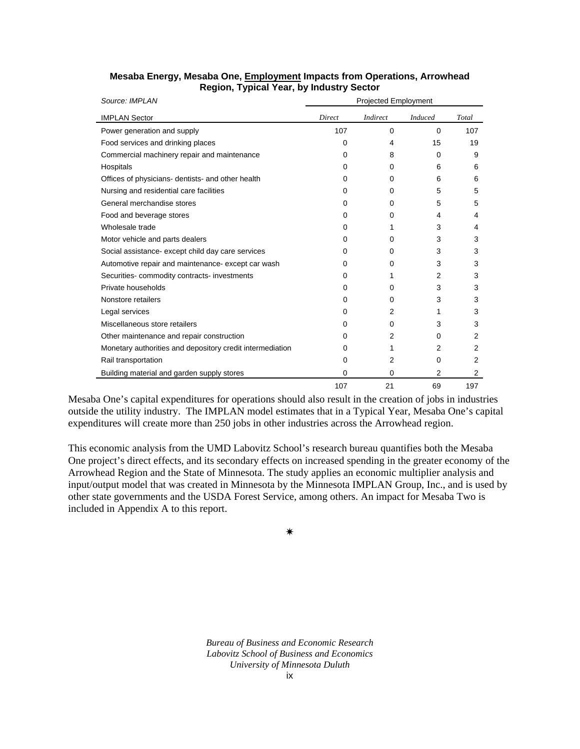| Source: IMPLAN                                            | <b>Projected Employment</b> |                 |                |       |  |
|-----------------------------------------------------------|-----------------------------|-----------------|----------------|-------|--|
| <b>IMPLAN Sector</b>                                      | Direct                      | <b>Indirect</b> | <i>Induced</i> | Total |  |
| Power generation and supply                               | 107                         | $\Omega$        | $\Omega$       | 107   |  |
| Food services and drinking places                         | 0                           | 4               | 15             | 19    |  |
| Commercial machinery repair and maintenance               | 0                           | 8               | 0              | 9     |  |
| Hospitals                                                 | 0                           | $\Omega$        | 6              | 6     |  |
| Offices of physicians- dentists- and other health         | 0                           | $\Omega$        | 6              | 6     |  |
| Nursing and residential care facilities                   | 0                           | $\Omega$        | 5              | 5     |  |
| General merchandise stores                                | 0                           | $\Omega$        | 5              | 5     |  |
| Food and beverage stores                                  | 0                           | $\Omega$        | 4              | 4     |  |
| Wholesale trade                                           | 0                           | 1               | 3              | 4     |  |
| Motor vehicle and parts dealers                           | 0                           | 0               | 3              | 3     |  |
| Social assistance- except child day care services         | 0                           | 0               | 3              | 3     |  |
| Automotive repair and maintenance-except car wash         | 0                           | 0               | 3              | 3     |  |
| Securities-commodity contracts-investments                | 0                           | 1               | 2              | 3     |  |
| Private households                                        | 0                           | 0               | 3              | 3     |  |
| Nonstore retailers                                        | $\Omega$                    | $\Omega$        | 3              | 3     |  |
| Legal services                                            | 0                           | $\mathcal{P}$   | 1              | 3     |  |
| Miscellaneous store retailers                             | 0                           | 0               | 3              | 3     |  |
| Other maintenance and repair construction                 | 0                           | 2               | 0              | 2     |  |
| Monetary authorities and depository credit intermediation | 0                           | 1               | 2              | 2     |  |
| Rail transportation                                       | $\Omega$                    | $\mathcal{P}$   | 0              | 2     |  |
| Building material and garden supply stores                | 0                           | 0               | 2              | 2     |  |
|                                                           | 107                         | 21              | 69             | 197   |  |

#### **Mesaba Energy, Mesaba One, Employment Impacts from Operations, Arrowhead Region, Typical Year, by Industry Sector**

Mesaba One's capital expenditures for operations should also result in the creation of jobs in industries outside the utility industry. The IMPLAN model estimates that in a Typical Year, Mesaba One's capital expenditures will create more than 250 jobs in other industries across the Arrowhead region.

This economic analysis from the UMD Labovitz School's research bureau quantifies both the Mesaba One project's direct effects, and its secondary effects on increased spending in the greater economy of the Arrowhead Region and the State of Minnesota. The study applies an economic multiplier analysis and input/output model that was created in Minnesota by the Minnesota IMPLAN Group, Inc., and is used by other state governments and the USDA Forest Service, among others. An impact for Mesaba Two is included in Appendix A to this report.

 $\ast$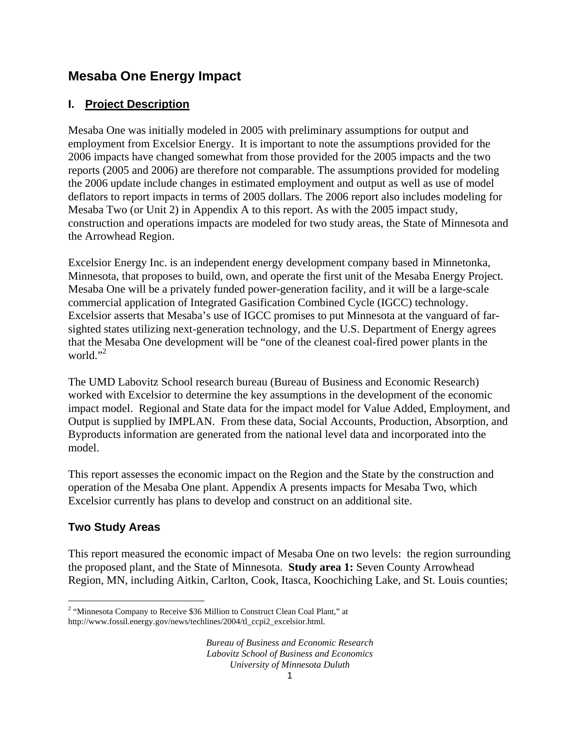## **Mesaba One Energy Impact**

## **I. Project Description**

Mesaba One was initially modeled in 2005 with preliminary assumptions for output and employment from Excelsior Energy. It is important to note the assumptions provided for the 2006 impacts have changed somewhat from those provided for the 2005 impacts and the two reports (2005 and 2006) are therefore not comparable. The assumptions provided for modeling the 2006 update include changes in estimated employment and output as well as use of model deflators to report impacts in terms of 2005 dollars. The 2006 report also includes modeling for Mesaba Two (or Unit 2) in Appendix A to this report. As with the 2005 impact study, construction and operations impacts are modeled for two study areas, the State of Minnesota and the Arrowhead Region.

Excelsior Energy Inc. is an independent energy development company based in Minnetonka, Minnesota, that proposes to build, own, and operate the first unit of the Mesaba Energy Project. Mesaba One will be a privately funded power-generation facility, and it will be a large-scale commercial application of Integrated Gasification Combined Cycle (IGCC) technology. Excelsior asserts that Mesaba's use of IGCC promises to put Minnesota at the vanguard of farsighted states utilizing next-generation technology, and the U.S. Department of Energy agrees that the Mesaba One development will be "one of the cleanest coal-fired power plants in the world."<sup>2</sup>

The UMD Labovitz School research bureau (Bureau of Business and Economic Research) worked with Excelsior to determine the key assumptions in the development of the economic impact model. Regional and State data for the impact model for Value Added, Employment, and Output is supplied by IMPLAN. From these data, Social Accounts, Production, Absorption, and Byproducts information are generated from the national level data and incorporated into the model.

This report assesses the economic impact on the Region and the State by the construction and operation of the Mesaba One plant. Appendix A presents impacts for Mesaba Two, which Excelsior currently has plans to develop and construct on an additional site.

## **Two Study Areas**

This report measured the economic impact of Mesaba One on two levels: the region surrounding the proposed plant, and the State of Minnesota. **Study area 1:** Seven County Arrowhead Region, MN, including Aitkin, Carlton, Cook, Itasca, Koochiching Lake, and St. Louis counties;

<sup>-</sup><sup>2</sup> "Minnesota Company to Receive \$36 Million to Construct Clean Coal Plant," at http://www.fossil.energy.gov/news/techlines/2004/tl\_ccpi2\_excelsior.html.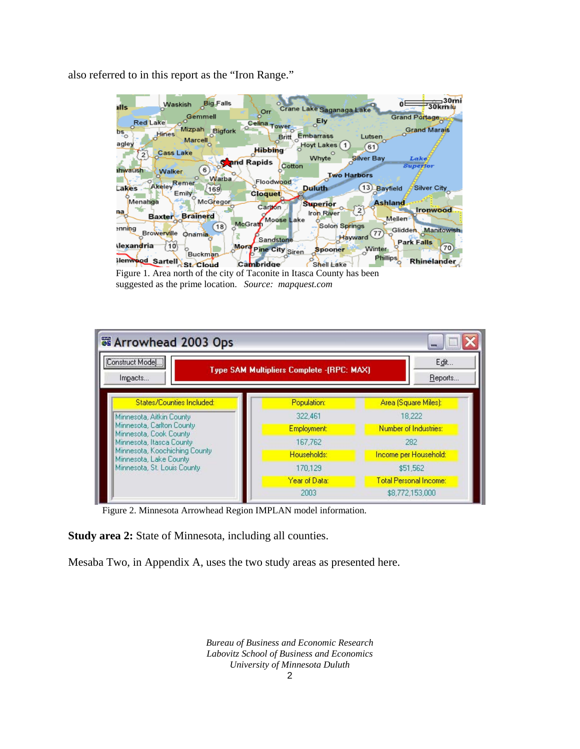also referred to in this report as the "Iron Range."



suggested as the prime location. *Source: mapquest.com*



Figure 2. Minnesota Arrowhead Region IMPLAN model information.

**Study area 2:** State of Minnesota, including all counties.

Mesaba Two, in Appendix A, uses the two study areas as presented here.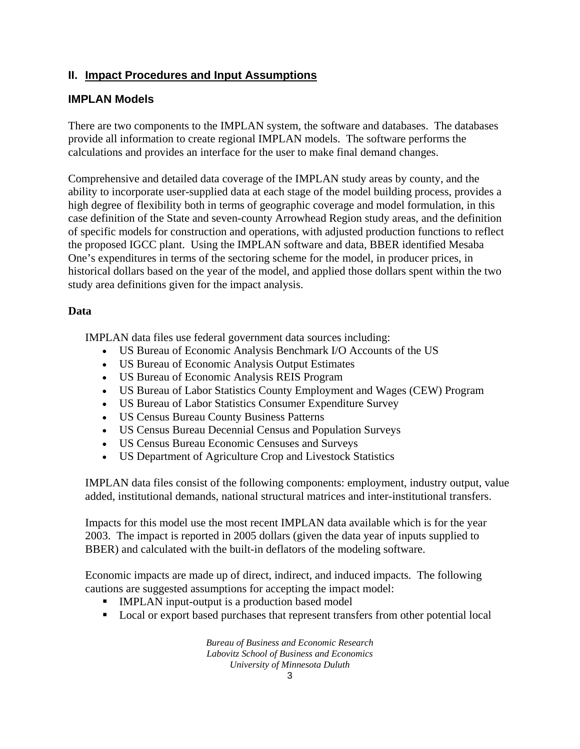## **II. Impact Procedures and Input Assumptions**

## **IMPLAN Models**

There are two components to the IMPLAN system, the software and databases. The databases provide all information to create regional IMPLAN models. The software performs the calculations and provides an interface for the user to make final demand changes.

Comprehensive and detailed data coverage of the IMPLAN study areas by county, and the ability to incorporate user-supplied data at each stage of the model building process, provides a high degree of flexibility both in terms of geographic coverage and model formulation, in this case definition of the State and seven-county Arrowhead Region study areas, and the definition of specific models for construction and operations, with adjusted production functions to reflect the proposed IGCC plant. Using the IMPLAN software and data, BBER identified Mesaba One's expenditures in terms of the sectoring scheme for the model, in producer prices, in historical dollars based on the year of the model, and applied those dollars spent within the two study area definitions given for the impact analysis.

### **Data**

IMPLAN data files use federal government data sources including:

- US Bureau of Economic Analysis Benchmark I/O Accounts of the US
- US Bureau of Economic Analysis Output Estimates
- US Bureau of Economic Analysis REIS Program
- US Bureau of Labor Statistics County Employment and Wages (CEW) Program
- US Bureau of Labor Statistics Consumer Expenditure Survey
- US Census Bureau County Business Patterns
- US Census Bureau Decennial Census and Population Surveys
- US Census Bureau Economic Censuses and Surveys
- US Department of Agriculture Crop and Livestock Statistics

IMPLAN data files consist of the following components: employment, industry output, value added, institutional demands, national structural matrices and inter-institutional transfers.

Impacts for this model use the most recent IMPLAN data available which is for the year 2003. The impact is reported in 2005 dollars (given the data year of inputs supplied to BBER) and calculated with the built-in deflators of the modeling software.

Economic impacts are made up of direct, indirect, and induced impacts. The following cautions are suggested assumptions for accepting the impact model:

- **IMPLAN** input-output is a production based model
- **Local or export based purchases that represent transfers from other potential local**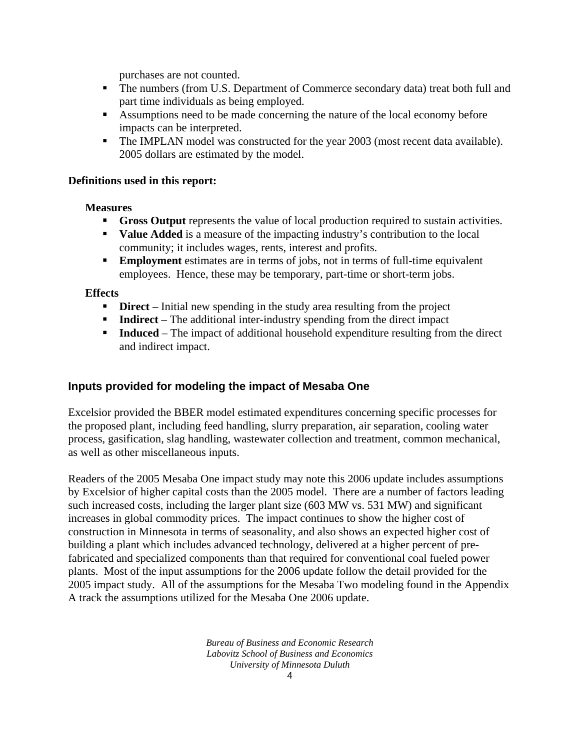purchases are not counted.

- The numbers (from U.S. Department of Commerce secondary data) treat both full and part time individuals as being employed.
- Assumptions need to be made concerning the nature of the local economy before impacts can be interpreted.
- The IMPLAN model was constructed for the year 2003 (most recent data available). 2005 dollars are estimated by the model.

### **Definitions used in this report:**

### **Measures**

- **Gross Output** represents the value of local production required to sustain activities.
- **Value Added** is a measure of the impacting industry's contribution to the local community; it includes wages, rents, interest and profits.
- **Employment** estimates are in terms of jobs, not in terms of full-time equivalent employees. Hence, these may be temporary, part-time or short-term jobs.

**Effects** 

- **Direct** Initial new spending in the study area resulting from the project
- **Indirect** The additional inter-industry spending from the direct impact
- **Induced** The impact of additional household expenditure resulting from the direct and indirect impact.

## **Inputs provided for modeling the impact of Mesaba One**

Excelsior provided the BBER model estimated expenditures concerning specific processes for the proposed plant, including feed handling, slurry preparation, air separation, cooling water process, gasification, slag handling, wastewater collection and treatment, common mechanical, as well as other miscellaneous inputs.

Readers of the 2005 Mesaba One impact study may note this 2006 update includes assumptions by Excelsior of higher capital costs than the 2005 model. There are a number of factors leading such increased costs, including the larger plant size (603 MW vs. 531 MW) and significant increases in global commodity prices. The impact continues to show the higher cost of construction in Minnesota in terms of seasonality, and also shows an expected higher cost of building a plant which includes advanced technology, delivered at a higher percent of prefabricated and specialized components than that required for conventional coal fueled power plants. Most of the input assumptions for the 2006 update follow the detail provided for the 2005 impact study. All of the assumptions for the Mesaba Two modeling found in the Appendix A track the assumptions utilized for the Mesaba One 2006 update.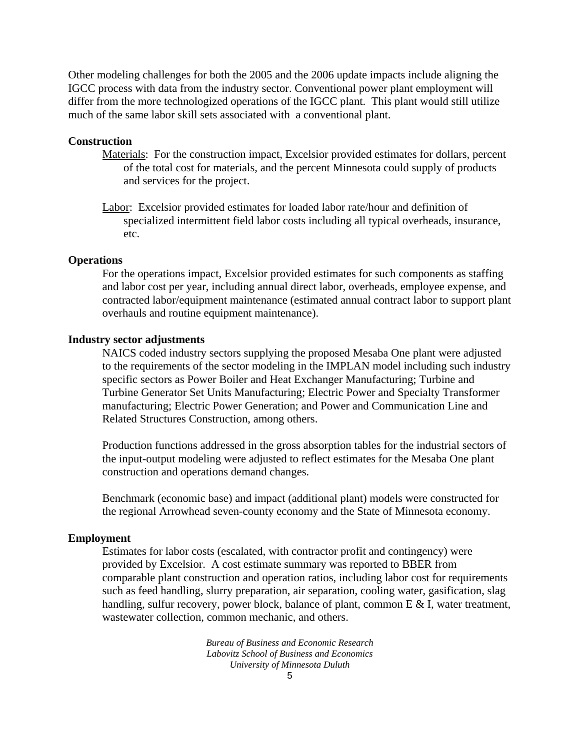Other modeling challenges for both the 2005 and the 2006 update impacts include aligning the IGCC process with data from the industry sector. Conventional power plant employment will differ from the more technologized operations of the IGCC plant. This plant would still utilize much of the same labor skill sets associated with a conventional plant.

#### **Construction**

- Materials: For the construction impact, Excelsior provided estimates for dollars, percent of the total cost for materials, and the percent Minnesota could supply of products and services for the project.
- Labor: Excelsior provided estimates for loaded labor rate/hour and definition of specialized intermittent field labor costs including all typical overheads, insurance, etc.

#### **Operations**

For the operations impact, Excelsior provided estimates for such components as staffing and labor cost per year, including annual direct labor, overheads, employee expense, and contracted labor/equipment maintenance (estimated annual contract labor to support plant overhauls and routine equipment maintenance).

#### **Industry sector adjustments**

NAICS coded industry sectors supplying the proposed Mesaba One plant were adjusted to the requirements of the sector modeling in the IMPLAN model including such industry specific sectors as Power Boiler and Heat Exchanger Manufacturing; Turbine and Turbine Generator Set Units Manufacturing; Electric Power and Specialty Transformer manufacturing; Electric Power Generation; and Power and Communication Line and Related Structures Construction, among others.

Production functions addressed in the gross absorption tables for the industrial sectors of the input-output modeling were adjusted to reflect estimates for the Mesaba One plant construction and operations demand changes.

Benchmark (economic base) and impact (additional plant) models were constructed for the regional Arrowhead seven-county economy and the State of Minnesota economy.

#### **Employment**

Estimates for labor costs (escalated, with contractor profit and contingency) were provided by Excelsior. A cost estimate summary was reported to BBER from comparable plant construction and operation ratios, including labor cost for requirements such as feed handling, slurry preparation, air separation, cooling water, gasification, slag handling, sulfur recovery, power block, balance of plant, common E & I, water treatment, wastewater collection, common mechanic, and others.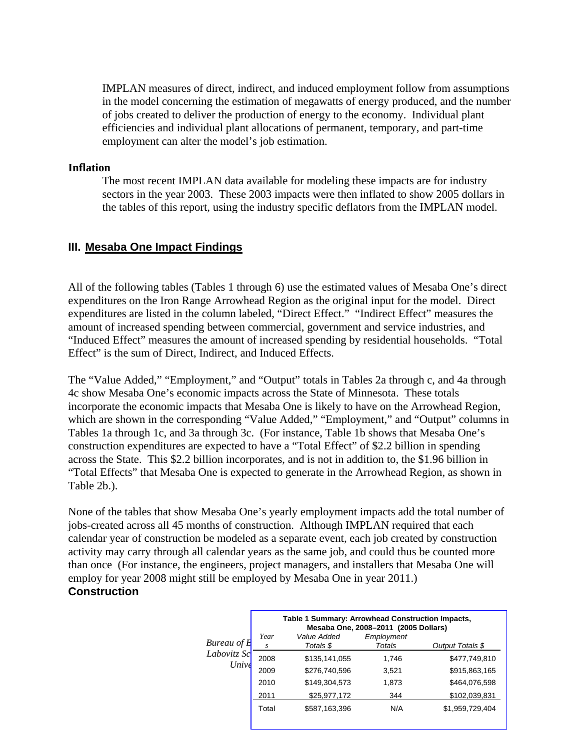IMPLAN measures of direct, indirect, and induced employment follow from assumptions in the model concerning the estimation of megawatts of energy produced, and the number of jobs created to deliver the production of energy to the economy. Individual plant efficiencies and individual plant allocations of permanent, temporary, and part-time employment can alter the model's job estimation.

### **Inflation**

The most recent IMPLAN data available for modeling these impacts are for industry sectors in the year 2003. These 2003 impacts were then inflated to show 2005 dollars in the tables of this report, using the industry specific deflators from the IMPLAN model.

## **III. Mesaba One Impact Findings**

All of the following tables (Tables 1 through 6) use the estimated values of Mesaba One's direct expenditures on the Iron Range Arrowhead Region as the original input for the model. Direct expenditures are listed in the column labeled, "Direct Effect." "Indirect Effect" measures the amount of increased spending between commercial, government and service industries, and "Induced Effect" measures the amount of increased spending by residential households. "Total Effect" is the sum of Direct, Indirect, and Induced Effects.

The "Value Added," "Employment," and "Output" totals in Tables 2a through c, and 4a through 4c show Mesaba One's economic impacts across the State of Minnesota. These totals incorporate the economic impacts that Mesaba One is likely to have on the Arrowhead Region, which are shown in the corresponding "Value Added," "Employment," and "Output" columns in Tables 1a through 1c, and 3a through 3c. (For instance, Table 1b shows that Mesaba One's construction expenditures are expected to have a "Total Effect" of \$2.2 billion in spending across the State. This \$2.2 billion incorporates, and is not in addition to, the \$1.96 billion in "Total Effects" that Mesaba One is expected to generate in the Arrowhead Region, as shown in Table 2b.).

None of the tables that show Mesaba One's yearly employment impacts add the total number of jobs-created across all 45 months of construction. Although IMPLAN required that each calendar year of construction be modeled as a separate event, each job created by construction activity may carry through all calendar years as the same job, and could thus be counted more than once (For instance, the engineers, project managers, and installers that Mesaba One will employ for year 2008 might still be employed by Mesaba One in year 2011.) **Construction** 

|                           | Table 1 Summary: Arrowhead Construction Impacts,<br>Mesaba One, 2008-2011 (2005 Dollars) |                          |                      |                  |  |  |
|---------------------------|------------------------------------------------------------------------------------------|--------------------------|----------------------|------------------|--|--|
| <b>Bureau</b> of <b>B</b> | Year<br>S                                                                                | Value Added<br>Totals \$ | Employment<br>Totals | Output Totals \$ |  |  |
| Labovitz Sc               | 2008                                                                                     | \$135,141,055            | 1.746                | \$477,749,810    |  |  |
| Unive                     | 2009                                                                                     | \$276,740,596            | 3,521                | \$915,863,165    |  |  |
|                           | 2010                                                                                     | \$149,304,573            | 1,873                | \$464,076,598    |  |  |
|                           | 2011                                                                                     | \$25,977,172             | 344                  | \$102,039,831    |  |  |
|                           | Total                                                                                    | \$587,163,396            | N/A                  | \$1,959,729,404  |  |  |
|                           |                                                                                          |                          |                      |                  |  |  |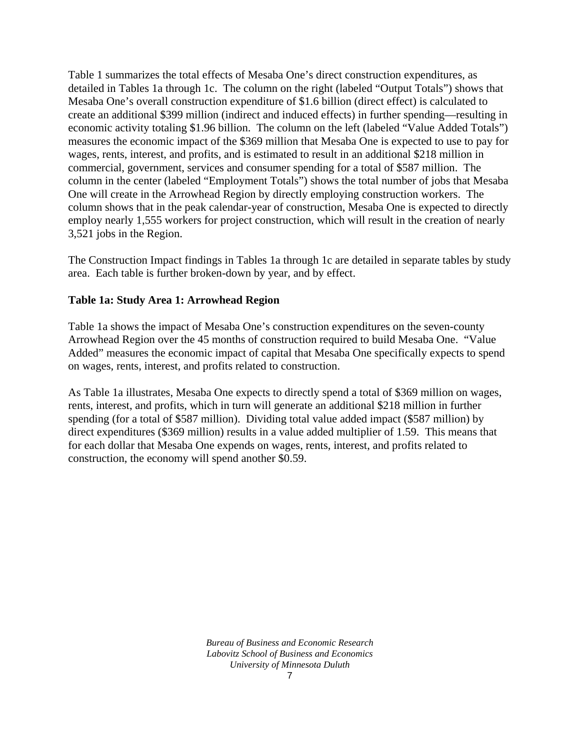Table 1 summarizes the total effects of Mesaba One's direct construction expenditures, as detailed in Tables 1a through 1c. The column on the right (labeled "Output Totals") shows that Mesaba One's overall construction expenditure of \$1.6 billion (direct effect) is calculated to create an additional \$399 million (indirect and induced effects) in further spending—resulting in economic activity totaling \$1.96 billion. The column on the left (labeled "Value Added Totals") measures the economic impact of the \$369 million that Mesaba One is expected to use to pay for wages, rents, interest, and profits, and is estimated to result in an additional \$218 million in commercial, government, services and consumer spending for a total of \$587 million. The column in the center (labeled "Employment Totals") shows the total number of jobs that Mesaba One will create in the Arrowhead Region by directly employing construction workers. The column shows that in the peak calendar-year of construction, Mesaba One is expected to directly employ nearly 1,555 workers for project construction, which will result in the creation of nearly 3,521 jobs in the Region.

The Construction Impact findings in Tables 1a through 1c are detailed in separate tables by study area. Each table is further broken-down by year, and by effect.

## **Table 1a: Study Area 1: Arrowhead Region**

Table 1a shows the impact of Mesaba One's construction expenditures on the seven-county Arrowhead Region over the 45 months of construction required to build Mesaba One. "Value Added" measures the economic impact of capital that Mesaba One specifically expects to spend on wages, rents, interest, and profits related to construction.

As Table 1a illustrates, Mesaba One expects to directly spend a total of \$369 million on wages, rents, interest, and profits, which in turn will generate an additional \$218 million in further spending (for a total of \$587 million). Dividing total value added impact (\$587 million) by direct expenditures (\$369 million) results in a value added multiplier of 1.59. This means that for each dollar that Mesaba One expends on wages, rents, interest, and profits related to construction, the economy will spend another \$0.59.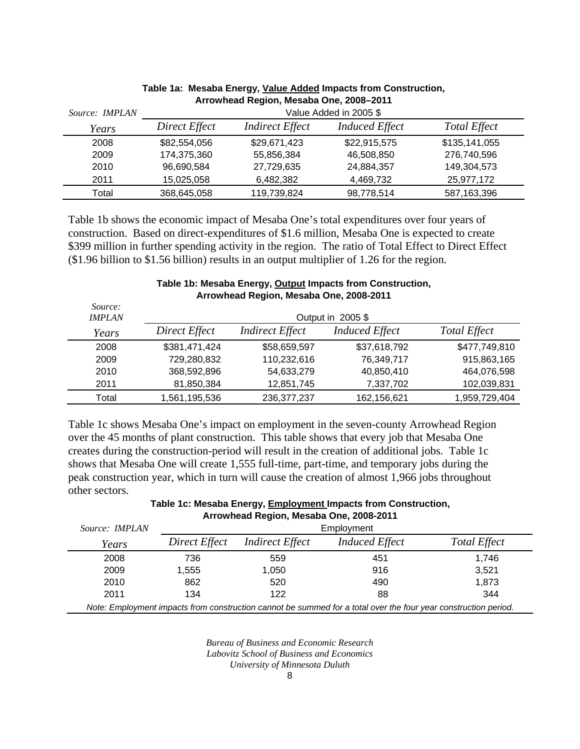| Source: IMPLAN | Value Added in 2005 \$ |                        |                       |                     |  |
|----------------|------------------------|------------------------|-----------------------|---------------------|--|
| Years          | Direct Effect          | <b>Indirect Effect</b> | <b>Induced Effect</b> | <b>Total Effect</b> |  |
| 2008           | \$82,554,056           | \$29,671,423           | \$22,915,575          | \$135,141,055       |  |
| 2009           | 174,375,360            | 55,856,384             | 46,508,850            | 276,740,596         |  |
| 2010           | 96,690,584             | 27,729,635             | 24,884,357            | 149,304,573         |  |
| 2011           | 15,025,058             | 6,482,382              | 4,469,732             | 25,977,172          |  |
| Total          | 368,645,058            | 119,739,824            | 98,778,514            | 587,163,396         |  |

### **Table 1a: Mesaba Energy, Value Added Impacts from Construction, Arrowhead Region, Mesaba One, 2008–2011**

Table 1b shows the economic impact of Mesaba One's total expenditures over four years of construction. Based on direct-expenditures of \$1.6 million, Mesaba One is expected to create \$399 million in further spending activity in the region. The ratio of Total Effect to Direct Effect (\$1.96 billion to \$1.56 billion) results in an output multiplier of 1.26 for the region.

#### **Table 1b: Mesaba Energy, Output Impacts from Construction, Arrowhead Region, Mesaba One, 2008-2011**

| Source:<br><b>IMPLAN</b> | Output in 2005 \$ |                        |                       |                     |  |
|--------------------------|-------------------|------------------------|-----------------------|---------------------|--|
| Years                    | Direct Effect     | <b>Indirect Effect</b> | <b>Induced Effect</b> | <b>Total Effect</b> |  |
| 2008                     | \$381,471,424     | \$58,659,597           | \$37,618,792          | \$477,749,810       |  |
| 2009                     | 729,280,832       | 110,232,616            | 76,349,717            | 915,863,165         |  |
| 2010                     | 368,592,896       | 54,633,279             | 40,850,410            | 464,076,598         |  |
| 2011                     | 81,850,384        | 12,851,745             | 7,337,702             | 102,039,831         |  |
| Total                    | 1,561,195,536     | 236, 377, 237          | 162,156,621           | 1,959,729,404       |  |

Table 1c shows Mesaba One's impact on employment in the seven-county Arrowhead Region over the 45 months of plant construction. This table shows that every job that Mesaba One creates during the construction-period will result in the creation of additional jobs. Table 1c shows that Mesaba One will create 1,555 full-time, part-time, and temporary jobs during the peak construction year, which in turn will cause the creation of almost 1,966 jobs throughout other sectors.

### **Table 1c: Mesaba Energy, Employment Impacts from Construction, Arrowhead Region, Mesaba One, 2008-2011**

| Source: <b>IMPLAN</b> | Employment                                                                                                      |                        |                       |                     |  |  |
|-----------------------|-----------------------------------------------------------------------------------------------------------------|------------------------|-----------------------|---------------------|--|--|
| Years                 | Direct Effect                                                                                                   | <b>Indirect Effect</b> | <b>Induced Effect</b> | <b>Total Effect</b> |  |  |
| 2008                  | 736                                                                                                             | 559                    | 451                   | 1,746               |  |  |
| 2009                  | 1.555                                                                                                           | 1,050                  | 916                   | 3,521               |  |  |
| 2010                  | 862                                                                                                             | 520                    | 490                   | 1,873               |  |  |
| 2011                  | 134                                                                                                             | 122                    | 88                    | 344                 |  |  |
|                       | Note: Employment impacts from construction cannot be summed for a total over the four year construction period. |                        |                       |                     |  |  |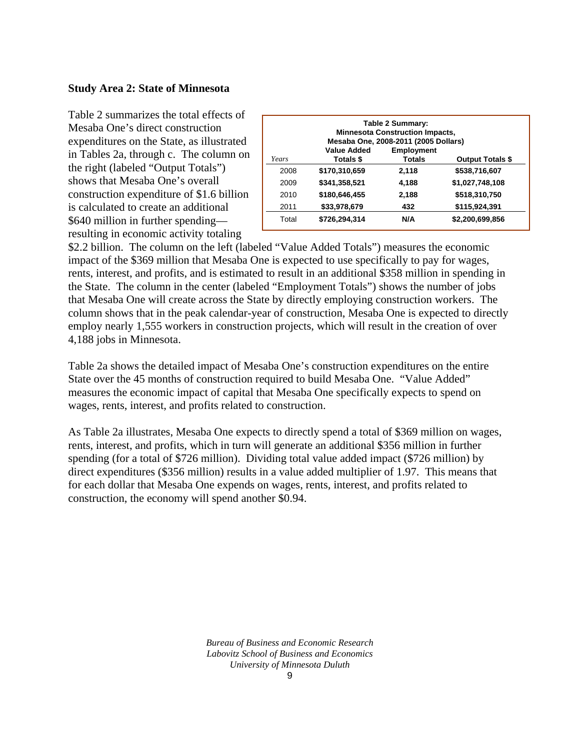#### **Study Area 2: State of Minnesota**

Table 2 summarizes the total effects of Mesaba One's direct construction expenditures on the State, as illustrated in Tables 2a, through c. The column on the right (labeled "Output Totals") shows that Mesaba One's overall construction expenditure of \$1.6 billion is calculated to create an additional \$640 million in further spending resulting in economic activity totaling

| Table 2 Summary:<br><b>Minnesota Construction Impacts,</b><br>Mesaba One, 2008-2011 (2005 Dollars)        |               |       |                 |  |  |  |
|-----------------------------------------------------------------------------------------------------------|---------------|-------|-----------------|--|--|--|
| <b>Value Added</b><br><b>Employment</b><br>Totals \$<br><b>Totals</b><br><b>Output Totals \$</b><br>Years |               |       |                 |  |  |  |
| 2008                                                                                                      |               |       |                 |  |  |  |
|                                                                                                           | \$170,310,659 | 2,118 | \$538,716,607   |  |  |  |
| 2009                                                                                                      | \$341,358,521 | 4,188 | \$1,027,748,108 |  |  |  |
| 2010                                                                                                      | \$180,646,455 | 2,188 | \$518,310,750   |  |  |  |
| 2011                                                                                                      | \$33,978,679  | 432   | \$115,924,391   |  |  |  |
| Total                                                                                                     | \$726,294,314 | N/A   | \$2,200,699,856 |  |  |  |

\$2.2 billion. The column on the left (labeled "Value Added Totals") measures the economic impact of the \$369 million that Mesaba One is expected to use specifically to pay for wages, rents, interest, and profits, and is estimated to result in an additional \$358 million in spending in the State. The column in the center (labeled "Employment Totals") shows the number of jobs that Mesaba One will create across the State by directly employing construction workers. The column shows that in the peak calendar-year of construction, Mesaba One is expected to directly employ nearly 1,555 workers in construction projects, which will result in the creation of over 4,188 jobs in Minnesota.

Table 2a shows the detailed impact of Mesaba One's construction expenditures on the entire State over the 45 months of construction required to build Mesaba One. "Value Added" measures the economic impact of capital that Mesaba One specifically expects to spend on wages, rents, interest, and profits related to construction.

As Table 2a illustrates, Mesaba One expects to directly spend a total of \$369 million on wages, rents, interest, and profits, which in turn will generate an additional \$356 million in further spending (for a total of \$726 million). Dividing total value added impact (\$726 million) by direct expenditures (\$356 million) results in a value added multiplier of 1.97. This means that for each dollar that Mesaba One expends on wages, rents, interest, and profits related to construction, the economy will spend another \$0.94.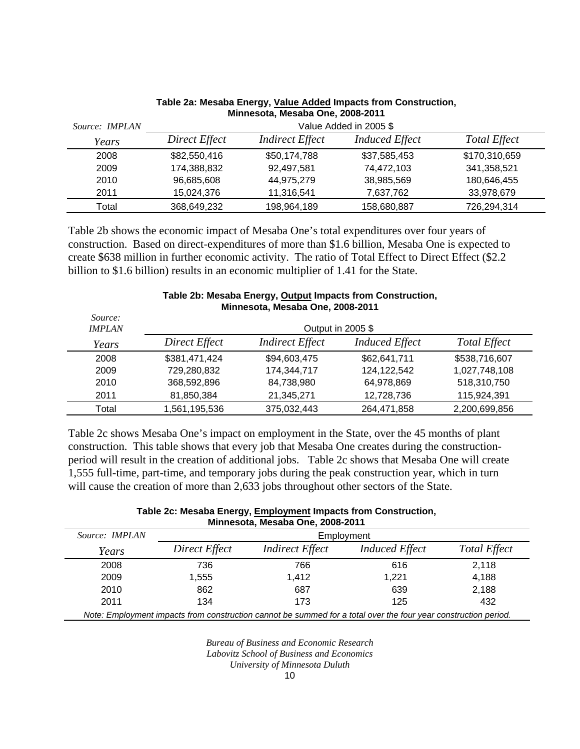| Source: <b>IMPLAN</b> |               | Value Added in 2005 \$ |                       |                     |  |  |  |  |
|-----------------------|---------------|------------------------|-----------------------|---------------------|--|--|--|--|
| Years                 | Direct Effect | <b>Indirect Effect</b> | <b>Induced Effect</b> | <b>Total Effect</b> |  |  |  |  |
| 2008                  | \$82,550,416  | \$50,174,788           | \$37,585,453          | \$170,310,659       |  |  |  |  |
| 2009                  | 174,388,832   | 92,497,581             | 74,472,103            | 341,358,521         |  |  |  |  |
| 2010                  | 96,685,608    | 44,975,279             | 38,985,569            | 180,646,455         |  |  |  |  |
| 2011                  | 15,024,376    | 11,316,541             | 7,637,762             | 33,978,679          |  |  |  |  |
| Total                 | 368,649,232   | 198,964,189            | 158,680,887           | 726,294,314         |  |  |  |  |

#### **Table 2a: Mesaba Energy, Value Added Impacts from Construction, Minnesota, Mesaba One, 2008-2011**

Table 2b shows the economic impact of Mesaba One's total expenditures over four years of construction. Based on direct-expenditures of more than \$1.6 billion, Mesaba One is expected to create \$638 million in further economic activity. The ratio of Total Effect to Direct Effect (\$2.2 billion to \$1.6 billion) results in an economic multiplier of 1.41 for the State.

|                                        |                   | <u>Milliesola, Mesapa Olie, Zubo-Zul I</u> |                       |                     |  |  |
|----------------------------------------|-------------------|--------------------------------------------|-----------------------|---------------------|--|--|
| <i>Source:</i><br><i><b>IMPLAN</b></i> | Output in 2005 \$ |                                            |                       |                     |  |  |
| Years                                  | Direct Effect     | <b>Indirect Effect</b>                     | <b>Induced Effect</b> | <b>Total Effect</b> |  |  |
| 2008                                   | \$381,471,424     | \$94,603,475                               | \$62,641,711          | \$538,716,607       |  |  |
| 2009                                   | 729,280,832       | 174,344,717                                | 124,122,542           | 1,027,748,108       |  |  |
| 2010                                   | 368,592,896       | 84,738,980                                 | 64,978,869            | 518,310,750         |  |  |
| 2011                                   | 81,850,384        | 21,345,271                                 | 12,728,736            | 115,924,391         |  |  |
| Total                                  | 1,561,195,536     | 375.032.443                                | 264,471,858           | 2,200,699,856       |  |  |

#### **Table 2b: Mesaba Energy, Output Impacts from Construction, Minnesota, Mesaba One, 2008-2011**

Table 2c shows Mesaba One's impact on employment in the State, over the 45 months of plant construction. This table shows that every job that Mesaba One creates during the constructionperiod will result in the creation of additional jobs. Table 2c shows that Mesaba One will create 1,555 full-time, part-time, and temporary jobs during the peak construction year, which in turn will cause the creation of more than 2,633 jobs throughout other sectors of the State.

| Table 2c: Mesaba Energy, Employment Impacts from Construction, |
|----------------------------------------------------------------|
| Minnesota, Mesaba One, 2008-2011                               |

| Source: <b>IMPLAN</b> | Employment                                                                                                      |                        |                       |                     |  |  |
|-----------------------|-----------------------------------------------------------------------------------------------------------------|------------------------|-----------------------|---------------------|--|--|
| Years                 | Direct Effect                                                                                                   | <b>Indirect Effect</b> | <b>Induced Effect</b> | <b>Total Effect</b> |  |  |
| 2008                  | 736                                                                                                             | 766                    | 616                   | 2,118               |  |  |
| 2009                  | 1,555                                                                                                           | 1,412                  | 1.221                 | 4,188               |  |  |
| 2010                  | 862                                                                                                             | 687                    | 639                   | 2,188               |  |  |
| 2011                  | 134                                                                                                             | 173                    | 125                   | 432                 |  |  |
|                       | Note: Employment impacts from construction cannot be summed for a total over the four year construction period. |                        |                       |                     |  |  |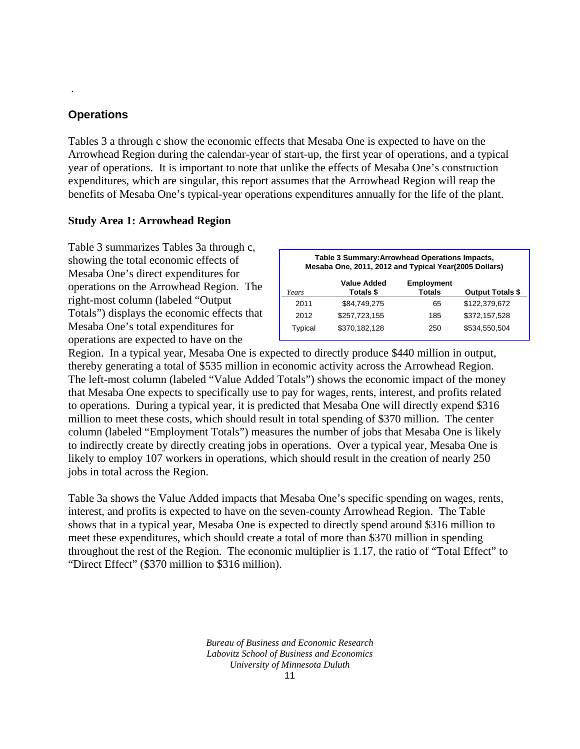## **Operations**

.

Tables 3 a through c show the economic effects that Mesaba One is expected to have on the Arrowhead Region during the calendar-year of start-up, the first year of operations, and a typical year of operations. It is important to note that unlike the effects of Mesaba One's construction expenditures, which are singular, this report assumes that the Arrowhead Region will reap the benefits of Mesaba One's typical-year operations expenditures annually for the life of the plant.

### **Study Area 1: Arrowhead Region**

Table 3 summarizes Tables 3a through c, showing the total economic effects of Mesaba One's direct expenditures for operations on the Arrowhead Region. The right-most column (labeled "Output Totals") displays the economic effects that Mesaba One's total expenditures for operations are expected to have on the

| Table 3 Summary: Arrowhead Operations Impacts,<br>Mesaba One, 2011, 2012 and Typical Year(2005 Dollars) |                          |                                    |                         |  |  |  |
|---------------------------------------------------------------------------------------------------------|--------------------------|------------------------------------|-------------------------|--|--|--|
| Years                                                                                                   | Value Added<br>Totals \$ | <b>Employment</b><br><b>Totals</b> | <b>Output Totals \$</b> |  |  |  |
| 2011                                                                                                    | \$84.749.275             | 65                                 | \$122.379.672           |  |  |  |
| 2012                                                                                                    | \$257,723,155            | 185                                | \$372.157.528           |  |  |  |
| Typical                                                                                                 | \$370,182,128            | 250                                | \$534.550.504           |  |  |  |

Region. In a typical year, Mesaba One is expected to directly produce \$440 million in output, thereby generating a total of \$535 million in economic activity across the Arrowhead Region. The left-most column (labeled "Value Added Totals") shows the economic impact of the money that Mesaba One expects to specifically use to pay for wages, rents, interest, and profits related to operations. During a typical year, it is predicted that Mesaba One will directly expend \$316 million to meet these costs, which should result in total spending of \$370 million. The center column (labeled "Employment Totals") measures the number of jobs that Mesaba One is likely to indirectly create by directly creating jobs in operations. Over a typical year, Mesaba One is likely to employ 107 workers in operations, which should result in the creation of nearly 250 jobs in total across the Region.

Table 3a shows the Value Added impacts that Mesaba One's specific spending on wages, rents, interest, and profits is expected to have on the seven-county Arrowhead Region. The Table shows that in a typical year, Mesaba One is expected to directly spend around \$316 million to meet these expenditures, which should create a total of more than \$370 million in spending throughout the rest of the Region. The economic multiplier is 1.17, the ratio of "Total Effect" to "Direct Effect" (\$370 million to \$316 million).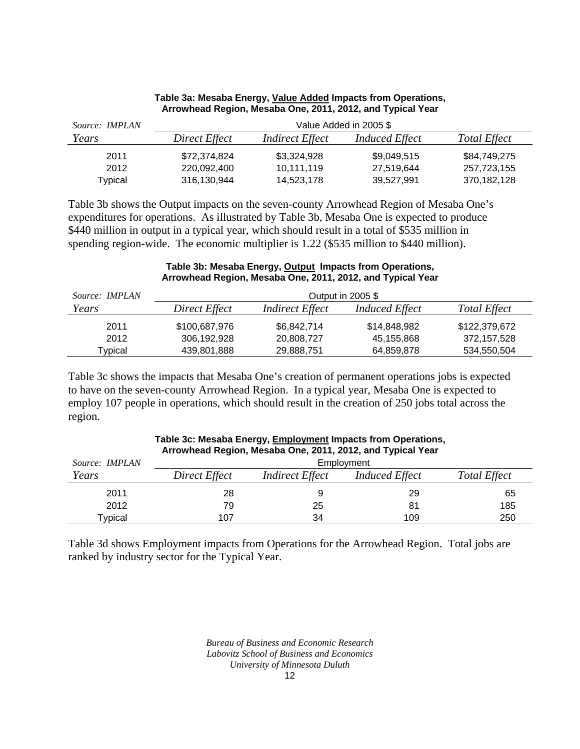| Source: IMPLAN | Value Added in 2005 \$                                                                  |             |             |              |  |  |
|----------------|-----------------------------------------------------------------------------------------|-------------|-------------|--------------|--|--|
| Years          | <b>Indirect Effect</b><br><b>Total Effect</b><br>Direct Effect<br><b>Induced Effect</b> |             |             |              |  |  |
| 2011           | \$72,374,824                                                                            | \$3,324,928 | \$9.049.515 | \$84.749.275 |  |  |
| 2012           | 220,092,400                                                                             | 10,111,119  | 27,519,644  | 257,723,155  |  |  |
| Tvpical        | 316,130,944                                                                             | 14.523.178  | 39.527.991  | 370,182,128  |  |  |

#### **Table 3a: Mesaba Energy, Value Added Impacts from Operations, Arrowhead Region, Mesaba One, 2011, 2012, and Typical Year**

Table 3b shows the Output impacts on the seven-county Arrowhead Region of Mesaba One's expenditures for operations. As illustrated by Table 3b, Mesaba One is expected to produce \$440 million in output in a typical year, which should result in a total of \$535 million in spending region-wide. The economic multiplier is 1.22 (\$535 million to \$440 million).

#### **Table 3b: Mesaba Energy, Output Impacts from Operations, Arrowhead Region, Mesaba One, 2011, 2012, and Typical Year**

| Source: <b>IMPLAN</b> | Output in 2005 \$ |                        |                       |                     |  |
|-----------------------|-------------------|------------------------|-----------------------|---------------------|--|
| Years                 | Direct Effect     | <b>Indirect Effect</b> | <b>Induced Effect</b> | <b>Total Effect</b> |  |
| 2011                  | \$100,687,976     | \$6,842,714            | \$14,848,982          | \$122,379,672       |  |
| 2012                  | 306,192,928       | 20,808,727             | 45,155,868            | 372,157,528         |  |
| Tvpical               | 439,801,888       | 29,888,751             | 64,859,878            | 534,550,504         |  |

Table 3c shows the impacts that Mesaba One's creation of permanent operations jobs is expected to have on the seven-county Arrowhead Region. In a typical year, Mesaba One is expected to employ 107 people in operations, which should result in the creation of 250 jobs total across the region.

| Arrowhead Region, Mesaba One, 2011, 2012, and Typical Year |               |                     |     |     |  |
|------------------------------------------------------------|---------------|---------------------|-----|-----|--|
| Source: <b>IMPLAN</b>                                      | Employment    |                     |     |     |  |
| Years                                                      | Direct Effect | <b>Total Effect</b> |     |     |  |
| 2011                                                       | 28            |                     | 29  | 65  |  |
| 2012                                                       | 79            | 25                  | 81  | 185 |  |
| Typical                                                    | 107           | 34                  | 109 | 250 |  |

## **Table 3c: Mesaba Energy, Employment Impacts from Operations,**

Table 3d shows Employment impacts from Operations for the Arrowhead Region. Total jobs are ranked by industry sector for the Typical Year.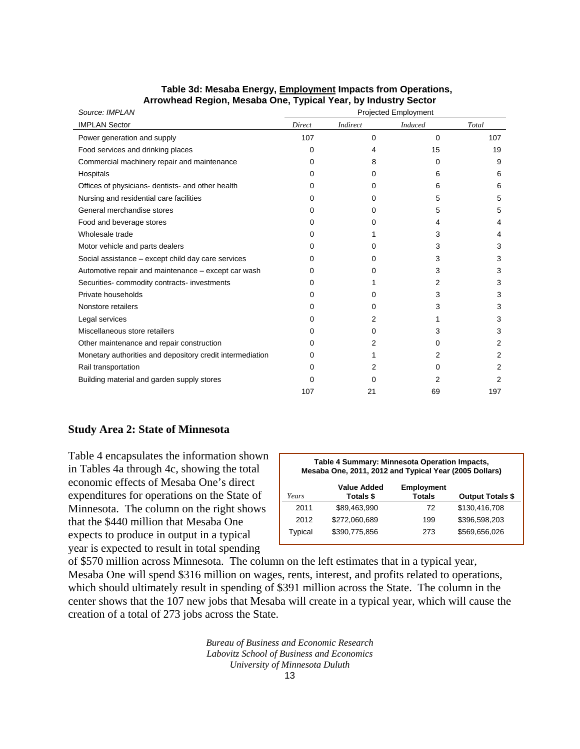| Source: IMPLAN                                            | <b>Projected Employment</b> |          |                |       |  |
|-----------------------------------------------------------|-----------------------------|----------|----------------|-------|--|
| <b>IMPLAN Sector</b>                                      | Direct                      | Indirect | <b>Induced</b> | Total |  |
| Power generation and supply                               | 107                         | $\Omega$ | $\Omega$       | 107   |  |
| Food services and drinking places                         | 0                           | 4        | 15             | 19    |  |
| Commercial machinery repair and maintenance               | 0                           | 8        | 0              | 9     |  |
| Hospitals                                                 | 0                           | 0        | 6              | 6     |  |
| Offices of physicians- dentists- and other health         |                             | O        | 6              | 6     |  |
| Nursing and residential care facilities                   | $^{(1)}$                    | O        | 5              | 5     |  |
| General merchandise stores                                | n                           | O        | 5              | 5     |  |
| Food and beverage stores                                  | 0                           | Ω        | 4              | 4     |  |
| Wholesale trade                                           |                             |          | 3              | 4     |  |
| Motor vehicle and parts dealers                           | 0                           | O        | 3              | 3     |  |
| Social assistance – except child day care services        | Ω                           | 0        | 3              | 3     |  |
| Automotive repair and maintenance – except car wash       |                             |          | 3              | 3     |  |
| Securities-commodity contracts-investments                |                             |          | 2              | 3     |  |
| Private households                                        |                             | O        | 3              | 3     |  |
| Nonstore retailers                                        | 0                           | O        | 3              | 3     |  |
| Legal services                                            | O                           | 2        |                | 3     |  |
| Miscellaneous store retailers                             | 0                           | O        | 3              | 3     |  |
| Other maintenance and repair construction                 | O                           | 2        | O              | 2     |  |
| Monetary authorities and depository credit intermediation | 0                           |          | 2              | 2     |  |
| Rail transportation                                       | 0                           |          | 0              | 2     |  |
| Building material and garden supply stores                |                             |          |                | 2     |  |
|                                                           | 107                         | 21       | 69             | 197   |  |

#### **Table 3d: Mesaba Energy, Employment Impacts from Operations, Arrowhead Region, Mesaba One, Typical Year, by Industry Sector**

#### **Study Area 2: State of Minnesota**

Table 4 encapsulates the information shown in Tables 4a through 4c, showing the total economic effects of Mesaba One's direct expenditures for operations on the State of Minnesota. The column on the right shows that the \$440 million that Mesaba One expects to produce in output in a typical year is expected to result in total spending

| Table 4 Summary: Minnesota Operation Impacts,<br>Mesaba One, 2011, 2012 and Typical Year (2005 Dollars) |                          |                                    |                         |  |  |  |  |
|---------------------------------------------------------------------------------------------------------|--------------------------|------------------------------------|-------------------------|--|--|--|--|
| Years                                                                                                   | Value Added<br>Totals \$ | <b>Employment</b><br><b>Totals</b> | <b>Output Totals \$</b> |  |  |  |  |
| 2011                                                                                                    | \$89.463.990             | 72                                 | \$130,416,708           |  |  |  |  |
| 2012                                                                                                    | \$272,060,689            | 199                                | \$396.598.203           |  |  |  |  |
| Typical                                                                                                 | \$390,775,856            | 273                                | \$569,656,026           |  |  |  |  |

of \$570 million across Minnesota. The column on the left estimates that in a typical year, Mesaba One will spend \$316 million on wages, rents, interest, and profits related to operations, which should ultimately result in spending of \$391 million across the State. The column in the center shows that the 107 new jobs that Mesaba will create in a typical year, which will cause the creation of a total of 273 jobs across the State.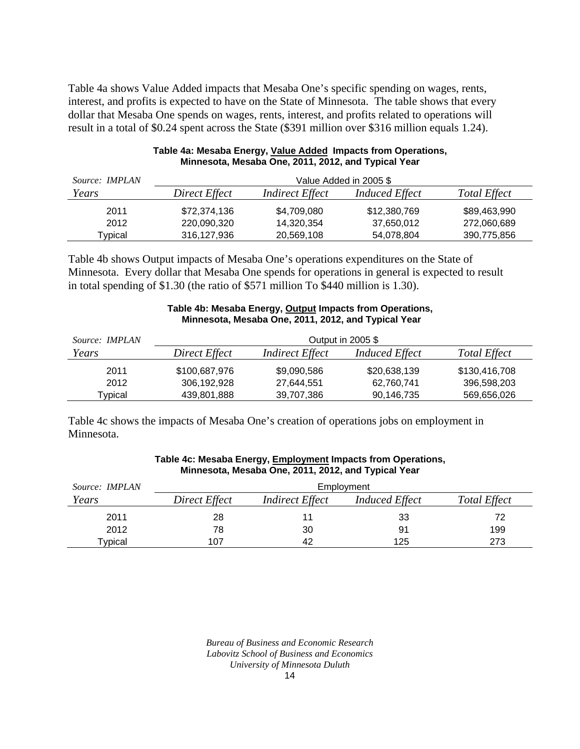Table 4a shows Value Added impacts that Mesaba One's specific spending on wages, rents, interest, and profits is expected to have on the State of Minnesota. The table shows that every dollar that Mesaba One spends on wages, rents, interest, and profits related to operations will result in a total of \$0.24 spent across the State (\$391 million over \$316 million equals 1.24).

| Source: <b>IMPLAN</b> | Value Added in 2005 \$ |                        |                       |                     |  |  |  |
|-----------------------|------------------------|------------------------|-----------------------|---------------------|--|--|--|
| Years                 | Direct Effect          | <b>Indirect Effect</b> | <b>Induced Effect</b> | <b>Total Effect</b> |  |  |  |
| 2011                  | \$72,374,136           | \$4,709,080            | \$12,380,769          | \$89,463,990        |  |  |  |
| 2012                  | 220,090,320            | 14,320,354             | 37,650,012            | 272,060,689         |  |  |  |
| Typical               | 316,127,936            | 20,569,108             | 54,078,804            | 390,775,856         |  |  |  |

#### **Table 4a: Mesaba Energy, Value Added Impacts from Operations, Minnesota, Mesaba One, 2011, 2012, and Typical Year**

Table 4b shows Output impacts of Mesaba One's operations expenditures on the State of Minnesota. Every dollar that Mesaba One spends for operations in general is expected to result in total spending of \$1.30 (the ratio of \$571 million To \$440 million is 1.30).

#### **Table 4b: Mesaba Energy, Output Impacts from Operations, Minnesota, Mesaba One, 2011, 2012, and Typical Year**

| Source: <b>IMPLAN</b> |               |                        | Output in 2005 \$     |                     |
|-----------------------|---------------|------------------------|-----------------------|---------------------|
| Years                 | Direct Effect | <b>Indirect Effect</b> | <b>Induced Effect</b> | <b>Total Effect</b> |
| 2011                  | \$100,687,976 | \$9,090,586            | \$20,638,139          | \$130,416,708       |
| 2012                  | 306.192.928   | 27,644,551             | 62,760,741            | 396,598,203         |
| Tvpical               | 439,801,888   | 39,707,386             | 90,146,735            | 569,656,026         |

Table 4c shows the impacts of Mesaba One's creation of operations jobs on employment in Minnesota.

| Minnesota, Mesapa One, 2011, 2012, and Typical rear |               |                        |                       |                     |  |  |  |
|-----------------------------------------------------|---------------|------------------------|-----------------------|---------------------|--|--|--|
| Source: <b>IMPLAN</b>                               | Employment    |                        |                       |                     |  |  |  |
| Years                                               | Direct Effect | <b>Indirect Effect</b> | <b>Induced Effect</b> | <b>Total Effect</b> |  |  |  |
| 2011                                                | 28            |                        | 33                    | 72                  |  |  |  |
| 2012                                                | 78            | 30                     | 91                    | 199                 |  |  |  |
| $\tau$ ypical                                       | 107           | 42                     | 125                   | 273                 |  |  |  |

#### **Table 4c: Mesaba Energy, Employment Impacts from Operations, Minnesota, Mesaba One, 2011, 2012, and Typical Year**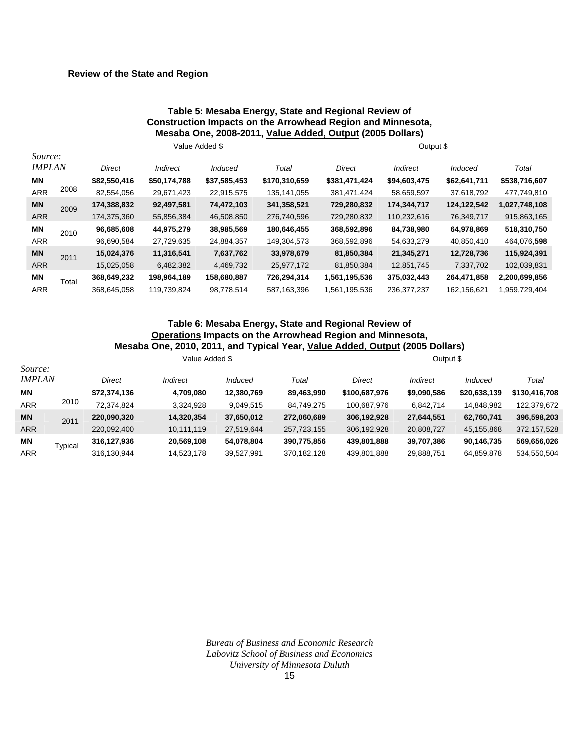#### **Review of the State and Region**

#### **Table 5: Mesaba Energy, State and Regional Review of Construction Impacts on the Arrowhead Region and Minnesota, Mesaba One, 2008-2011, Value Added, Output (2005 Dollars)**

|               | Value Added \$ |               |                 |                |               | Output \$     |                 |                |               |
|---------------|----------------|---------------|-----------------|----------------|---------------|---------------|-----------------|----------------|---------------|
| Source:       |                |               |                 |                |               |               |                 |                |               |
| <b>IMPLAN</b> |                | <b>Direct</b> | <b>Indirect</b> | <b>Induced</b> | Total         | <b>Direct</b> | <b>Indirect</b> | <b>Induced</b> | Total         |
| ΜN            |                | \$82,550,416  | \$50,174,788    | \$37,585,453   | \$170,310,659 | \$381,471,424 | \$94,603,475    | \$62,641,711   | \$538,716,607 |
| <b>ARR</b>    | 2008           | 82,554,056    | 29,671,423      | 22,915,575     | 135,141,055   | 381,471,424   | 58,659,597      | 37,618,792     | 477,749,810   |
| <b>MN</b>     | 2009           | 174,388,832   | 92,497,581      | 74,472,103     | 341,358,521   | 729,280,832   | 174,344,717     | 124,122,542    | 1,027,748,108 |
| <b>ARR</b>    |                | 174,375,360   | 55,856,384      | 46,508,850     | 276,740,596   | 729,280,832   | 110,232,616     | 76,349,717     | 915,863,165   |
| <b>MN</b>     | 2010           | 96,685,608    | 44,975,279      | 38,985,569     | 180,646,455   | 368,592,896   | 84,738,980      | 64,978,869     | 518,310,750   |
| <b>ARR</b>    |                | 96,690,584    | 27,729,635      | 24,884,357     | 149,304,573   | 368,592,896   | 54,633,279      | 40,850,410     | 464,076,598   |
| <b>MN</b>     | 2011           | 15,024,376    | 11,316,541      | 7,637,762      | 33,978,679    | 81,850,384    | 21,345,271      | 12,728,736     | 115,924,391   |
| <b>ARR</b>    |                | 15,025,058    | 6,482,382       | 4,469,732      | 25,977,172    | 81,850,384    | 12,851,745      | 7,337,702      | 102,039,831   |
| <b>MN</b>     | Total          | 368,649,232   | 198,964,189     | 158,680,887    | 726,294,314   | 1,561,195,536 | 375,032,443     | 264,471,858    | 2,200,699,856 |
| <b>ARR</b>    |                | 368,645,058   | 119,739,824     | 98,778,514     | 587,163,396   | 561,195,536   | 236, 377, 237   | 162,156,621    | 959,729,404   |

### **Table 6: Mesaba Energy, State and Regional Review of Operations Impacts on the Arrowhead Region and Minnesota, Mesaba One, 2010, 2011, and Typical Year, Value Added, Output (2005 Dollars)**

|                          |         |               | Value Added \$  |                |             |               | Output \$   |              |               |
|--------------------------|---------|---------------|-----------------|----------------|-------------|---------------|-------------|--------------|---------------|
| Source:<br><b>IMPLAN</b> |         | <b>Direct</b> | <b>Indirect</b> | <b>Induced</b> | Total       | <b>Direct</b> | Indirect    | Induced      | Total         |
| ΜN                       |         | \$72,374,136  | 4,709,080       | 12,380,769     | 89,463,990  | \$100,687,976 | \$9,090,586 | \$20,638,139 | \$130,416,708 |
|                          |         |               |                 |                |             |               |             |              |               |
| <b>ARR</b>               | 2010    | 72,374,824    | 3,324,928       | 9,049,515      | 84,749,275  | 100,687,976   | 6,842,714   | 14,848,982   | 122,379,672   |
| <b>MN</b>                | 2011    | 220,090,320   | 14,320,354      | 37,650,012     | 272,060,689 | 306,192,928   | 27,644,551  | 62,760,741   | 396,598,203   |
| <b>ARR</b>               |         | 220,092,400   | 10,111,119      | 27,519,644     | 257,723,155 | 306,192,928   | 20,808,727  | 45,155,868   | 372,157,528   |
| ΜN                       | Typical | 316,127,936   | 20,569,108      | 54,078,804     | 390,775,856 | 439,801,888   | 39,707,386  | 90,146,735   | 569,656,026   |
| <b>ARR</b>               |         | 316,130,944   | 14,523,178      | 39,527,991     | 370,182,128 | 439,801,888   | 29,888,751  | 64,859,878   | 534,550,504   |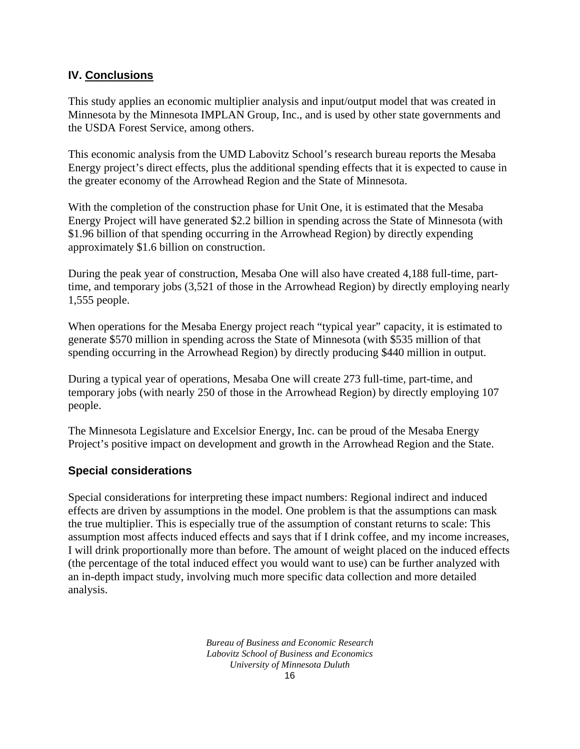## **IV. Conclusions**

This study applies an economic multiplier analysis and input/output model that was created in Minnesota by the Minnesota IMPLAN Group, Inc., and is used by other state governments and the USDA Forest Service, among others.

This economic analysis from the UMD Labovitz School's research bureau reports the Mesaba Energy project's direct effects, plus the additional spending effects that it is expected to cause in the greater economy of the Arrowhead Region and the State of Minnesota.

With the completion of the construction phase for Unit One, it is estimated that the Mesaba Energy Project will have generated \$2.2 billion in spending across the State of Minnesota (with \$1.96 billion of that spending occurring in the Arrowhead Region) by directly expending approximately \$1.6 billion on construction.

During the peak year of construction, Mesaba One will also have created 4,188 full-time, parttime, and temporary jobs (3,521 of those in the Arrowhead Region) by directly employing nearly 1,555 people.

When operations for the Mesaba Energy project reach "typical year" capacity, it is estimated to generate \$570 million in spending across the State of Minnesota (with \$535 million of that spending occurring in the Arrowhead Region) by directly producing \$440 million in output.

During a typical year of operations, Mesaba One will create 273 full-time, part-time, and temporary jobs (with nearly 250 of those in the Arrowhead Region) by directly employing 107 people.

The Minnesota Legislature and Excelsior Energy, Inc. can be proud of the Mesaba Energy Project's positive impact on development and growth in the Arrowhead Region and the State.

## **Special considerations**

Special considerations for interpreting these impact numbers: Regional indirect and induced effects are driven by assumptions in the model. One problem is that the assumptions can mask the true multiplier. This is especially true of the assumption of constant returns to scale: This assumption most affects induced effects and says that if I drink coffee, and my income increases, I will drink proportionally more than before. The amount of weight placed on the induced effects (the percentage of the total induced effect you would want to use) can be further analyzed with an in-depth impact study, involving much more specific data collection and more detailed analysis.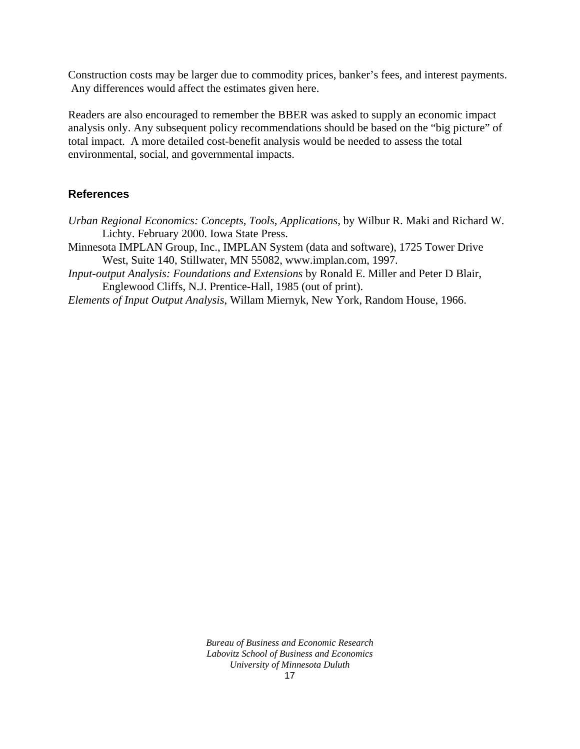Construction costs may be larger due to commodity prices, banker's fees, and interest payments. Any differences would affect the estimates given here.

Readers are also encouraged to remember the BBER was asked to supply an economic impact analysis only. Any subsequent policy recommendations should be based on the "big picture" of total impact. A more detailed cost-benefit analysis would be needed to assess the total environmental, social, and governmental impacts.

## **References**

- *Urban Regional Economics: Concepts, Tools, Applications*, by Wilbur R. Maki and Richard W. Lichty. February 2000. Iowa State Press.
- Minnesota IMPLAN Group, Inc., IMPLAN System (data and software), 1725 Tower Drive West, Suite 140, Stillwater, MN 55082, www.implan.com, 1997.
- *Input-output Analysis: Foundations and Extensions* by Ronald E. Miller and Peter D Blair, Englewood Cliffs, N.J. Prentice-Hall, 1985 (out of print).
- *Elements of Input Output Analysis*, Willam Miernyk, New York, Random House, 1966.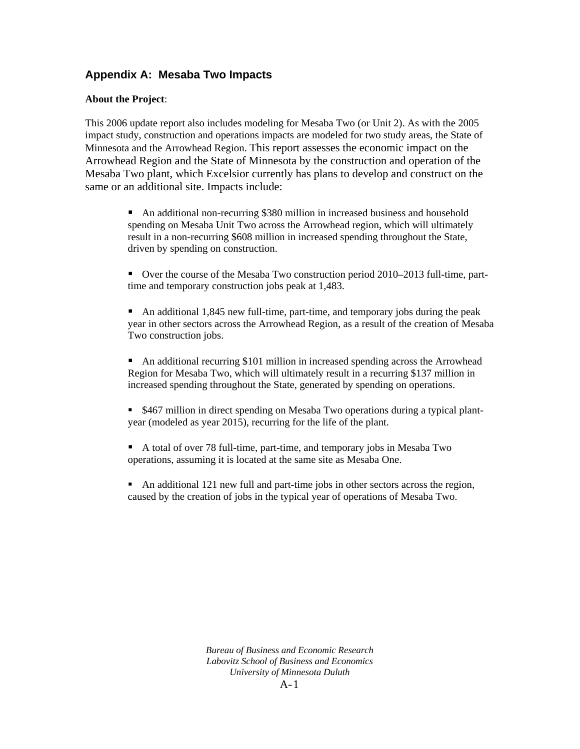## **Appendix A: Mesaba Two Impacts**

#### **About the Project**:

This 2006 update report also includes modeling for Mesaba Two (or Unit 2). As with the 2005 impact study, construction and operations impacts are modeled for two study areas, the State of Minnesota and the Arrowhead Region. This report assesses the economic impact on the Arrowhead Region and the State of Minnesota by the construction and operation of the Mesaba Two plant, which Excelsior currently has plans to develop and construct on the same or an additional site. Impacts include:

- An additional non-recurring \$380 million in increased business and household spending on Mesaba Unit Two across the Arrowhead region, which will ultimately result in a non-recurring \$608 million in increased spending throughout the State, driven by spending on construction.
- Over the course of the Mesaba Two construction period 2010–2013 full-time, parttime and temporary construction jobs peak at 1,483.
- An additional 1,845 new full-time, part-time, and temporary jobs during the peak year in other sectors across the Arrowhead Region, as a result of the creation of Mesaba Two construction jobs.
- An additional recurring \$101 million in increased spending across the Arrowhead Region for Mesaba Two, which will ultimately result in a recurring \$137 million in increased spending throughout the State, generated by spending on operations.
- \$467 million in direct spending on Mesaba Two operations during a typical plantyear (modeled as year 2015), recurring for the life of the plant.
- A total of over 78 full-time, part-time, and temporary jobs in Mesaba Two operations, assuming it is located at the same site as Mesaba One.
- An additional 121 new full and part-time jobs in other sectors across the region, caused by the creation of jobs in the typical year of operations of Mesaba Two.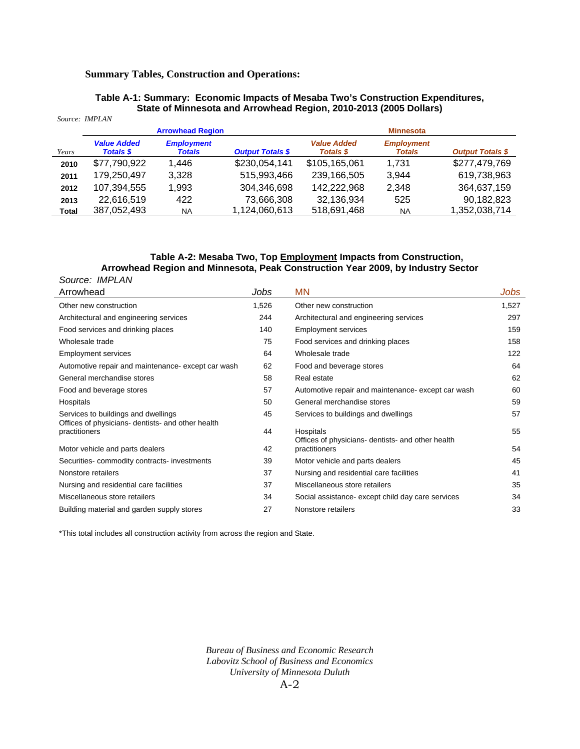#### **Summary Tables, Construction and Operations:**

#### **Table A-1: Summary: Economic Impacts of Mesaba Two's Construction Expenditures, State of Minnesota and Arrowhead Region, 2010-2013 (2005 Dollars)**  *Source: IMPLAN*

|              |                                        | <b>Arrowhead Region</b>            |                         |                                        | <b>Minnesota</b>                   |                         |
|--------------|----------------------------------------|------------------------------------|-------------------------|----------------------------------------|------------------------------------|-------------------------|
| Years        | <b>Value Added</b><br><b>Totals \$</b> | <b>Employment</b><br><b>Totals</b> | <b>Output Totals \$</b> | <b>Value Added</b><br><b>Totals \$</b> | <b>Employment</b><br><b>Totals</b> | <b>Output Totals \$</b> |
| 2010         | \$77,790,922                           | 1.446                              | \$230,054,141           | \$105,165,061                          | 1.731                              | \$277,479,769           |
| 2011         | 179.250.497                            | 3,328                              | 515,993,466             | 239,166,505                            | 3.944                              | 619,738,963             |
| 2012         | 107,394,555                            | 1.993                              | 304,346,698             | 142,222,968                            | 2.348                              | 364,637,159             |
| 2013         | 22,616,519                             | 422                                | 73,666,308              | 32,136,934                             | 525                                | 90,182,823              |
| <b>Total</b> | 387,052,493                            | <b>NA</b>                          | 1,124,060,613           | 518,691,468                            | <b>NA</b>                          | 1,352,038,714           |

#### **Table A-2: Mesaba Two, Top Employment Impacts from Construction, Arrowhead Region and Minnesota, Peak Construction Year 2009, by Industry Sector** *Source: IMPLAN*

| Arrowhead                                                          | Jobs  | MN                                                            | Jobs  |
|--------------------------------------------------------------------|-------|---------------------------------------------------------------|-------|
| Other new construction                                             | 1,526 | Other new construction                                        | 1,527 |
| Architectural and engineering services                             | 244   | Architectural and engineering services                        | 297   |
| Food services and drinking places                                  | 140   | <b>Employment services</b>                                    | 159   |
| Wholesale trade                                                    | 75    | Food services and drinking places                             | 158   |
| <b>Employment services</b>                                         | 64    | Wholesale trade                                               | 122   |
| Automotive repair and maintenance-except car wash                  | 62    | Food and beverage stores                                      | 64    |
| General merchandise stores                                         | 58    | Real estate                                                   | 62    |
| Food and beverage stores                                           | 57    | Automotive repair and maintenance-except car wash             | 60    |
| Hospitals                                                          | 50    | General merchandise stores                                    | 59    |
| Services to buildings and dwellings                                | 45    | Services to buildings and dwellings                           | 57    |
| Offices of physicians- dentists- and other health<br>practitioners | 44    | Hospitals<br>Offices of physicians-dentists- and other health | 55    |
| Motor vehicle and parts dealers                                    | 42    | practitioners                                                 | 54    |
| Securities-commodity contracts-investments                         | 39    | Motor vehicle and parts dealers                               | 45    |
| Nonstore retailers                                                 | 37    | Nursing and residential care facilities                       | 41    |
| Nursing and residential care facilities                            | 37    | Miscellaneous store retailers                                 | 35    |
| Miscellaneous store retailers                                      | 34    | Social assistance-except child day care services              | 34    |
| Building material and garden supply stores                         | 27    | Nonstore retailers                                            | 33    |
|                                                                    |       |                                                               |       |

\*This total includes all construction activity from across the region and State.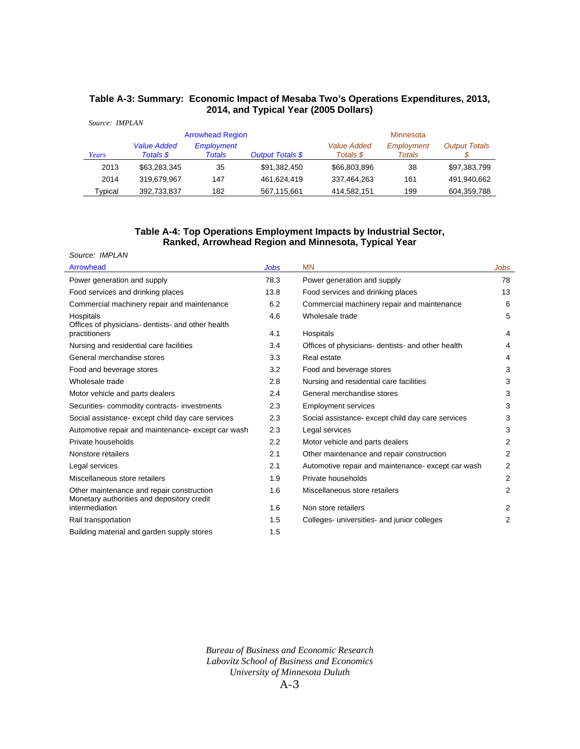#### **Table A-3: Summary: Economic Impact of Mesaba Two's Operations Expenditures, 2013, 2014, and Typical Year (2005 Dollars)**

| Source: <b>IMPLAN</b> |                                 |                             |                         |                          |                             |                      |  |  |
|-----------------------|---------------------------------|-----------------------------|-------------------------|--------------------------|-----------------------------|----------------------|--|--|
|                       |                                 | <b>Arrowhead Region</b>     |                         |                          | Minnesota                   |                      |  |  |
| Years                 | <b>Value Added</b><br>Totals \$ | <b>Employment</b><br>Totals | <b>Output Totals \$</b> | Value Added<br>Totals \$ | <b>Employment</b><br>Totals | <b>Output Totals</b> |  |  |
| 2013                  | \$63,283,345                    | 35                          | \$91,382,450            | \$66,803,896             | 38                          | \$97,383,799         |  |  |
| 2014                  | 319.679.967                     | 147                         | 461.624.419             | 337.464.263              | 161                         | 491.940.662          |  |  |
| Typical               | 392,733,837                     | 182                         | 567,115,661             | 414,582,151              | 199                         | 604,359,788          |  |  |

#### **Table A-4: Top Operations Employment Impacts by Industrial Sector, Ranked, Arrowhead Region and Minnesota, Typical Year**

| Source: IMPLAN                                                                          |             |                                                   |      |
|-----------------------------------------------------------------------------------------|-------------|---------------------------------------------------|------|
| Arrowhead                                                                               | <b>Jobs</b> | <b>MN</b>                                         | Jobs |
| Power generation and supply                                                             | 78.3        | Power generation and supply                       | 78   |
| Food services and drinking places                                                       | 13.8        | Food services and drinking places                 | 13   |
| Commercial machinery repair and maintenance                                             | 6.2         | Commercial machinery repair and maintenance       | 6    |
| Hospitals<br>Offices of physicians- dentists- and other health                          | 4.6         | Wholesale trade                                   | 5    |
| practitioners                                                                           | 4.1         | Hospitals                                         | 4    |
| Nursing and residential care facilities                                                 | 3.4         | Offices of physicians-dentists- and other health  | 4    |
| General merchandise stores                                                              | 3.3         | Real estate                                       | 4    |
| Food and beverage stores                                                                | 3.2         | Food and beverage stores                          | 3    |
| Wholesale trade                                                                         | 2.8         | Nursing and residential care facilities           | 3    |
| Motor vehicle and parts dealers                                                         | 2.4         | General merchandise stores                        | 3    |
| Securities-commodity contracts-investments                                              | 2.3         | <b>Employment services</b>                        | 3    |
| Social assistance- except child day care services                                       | 2.3         | Social assistance- except child day care services | 3    |
| Automotive repair and maintenance-except car wash                                       | 2.3         | Legal services                                    | 3    |
| Private households                                                                      | 2.2         | Motor vehicle and parts dealers                   | 2    |
| Nonstore retailers                                                                      | 2.1         | Other maintenance and repair construction         | 2    |
| Legal services                                                                          | 2.1         | Automotive repair and maintenance-except car wash | 2    |
| Miscellaneous store retailers                                                           | 1.9         | Private households                                | 2    |
| Other maintenance and repair construction<br>Monetary authorities and depository credit | 1.6         | Miscellaneous store retailers                     | 2    |
| intermediation                                                                          | 1.6         | Non store retailers                               | 2    |
| Rail transportation                                                                     | 1.5         | Colleges- universities- and junior colleges       | 2    |
| Building material and garden supply stores                                              | 1.5         |                                                   |      |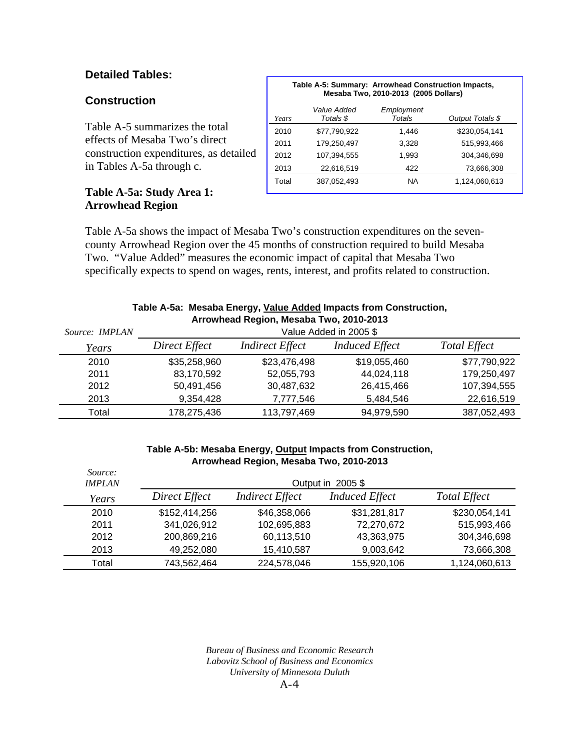## **Detailed Tables:**

## **Construction**

Table A-5 summarizes the total effects of Mesaba Two's direct construction expenditures, as detailed in Tables A-5a through c.

### **Table A-5a: Study Area 1: Arrowhead Region**

| Table A-5: Summary: Arrowhead Construction Impacts,<br>Mesaba Two, 2010-2013 (2005 Dollars) |                          |                      |                  |  |  |  |  |  |
|---------------------------------------------------------------------------------------------|--------------------------|----------------------|------------------|--|--|--|--|--|
| Years                                                                                       | Value Added<br>Totals \$ | Employment<br>Totals | Output Totals \$ |  |  |  |  |  |
| 2010                                                                                        | \$77.790.922             | 1.446                | \$230.054.141    |  |  |  |  |  |
| 2011                                                                                        | 179,250,497              | 3,328                | 515,993,466      |  |  |  |  |  |
| 2012                                                                                        | 107.394.555              | 1.993                | 304,346,698      |  |  |  |  |  |
| 2013                                                                                        | 22,616,519               | 422                  | 73,666,308       |  |  |  |  |  |
| Total                                                                                       | 387,052,493              | <b>NA</b>            | 1,124,060,613    |  |  |  |  |  |

Table A-5a shows the impact of Mesaba Two's construction expenditures on the sevencounty Arrowhead Region over the 45 months of construction required to build Mesaba Two. "Value Added" measures the economic impact of capital that Mesaba Two specifically expects to spend on wages, rents, interest, and profits related to construction.

| Arrowhead Region, Mesaba Two, 2010-2013 |                                                                                         |                        |              |              |  |  |  |
|-----------------------------------------|-----------------------------------------------------------------------------------------|------------------------|--------------|--------------|--|--|--|
| Source: <b>IMPLAN</b>                   |                                                                                         | Value Added in 2005 \$ |              |              |  |  |  |
| Years                                   | <b>Total Effect</b><br><b>Indirect Effect</b><br><b>Induced Effect</b><br>Direct Effect |                        |              |              |  |  |  |
| 2010                                    | \$35,258,960                                                                            | \$23,476,498           | \$19,055,460 | \$77,790,922 |  |  |  |
| 2011                                    | 83,170,592                                                                              | 52,055,793             | 44,024,118   | 179,250,497  |  |  |  |
| 2012                                    | 50,491,456                                                                              | 30,487,632             | 26,415,466   | 107,394,555  |  |  |  |
| 2013                                    | 9,354,428                                                                               | 7,777,546              | 5,484,546    | 22,616,519   |  |  |  |
| Total                                   | 178,275,436                                                                             | 113,797,469            | 94,979,590   | 387,052,493  |  |  |  |

## **Table A-5a: Mesaba Energy, Value Added Impacts from Construction,**

#### **Table A-5b: Mesaba Energy, Output Impacts from Construction, Arrowhead Region, Mesaba Two, 2010-2013**

| Source:<br><b>IMPLAN</b> | Output in 2005 \$ |                        |                       |                     |  |  |
|--------------------------|-------------------|------------------------|-----------------------|---------------------|--|--|
| Years                    | Direct Effect     | <b>Indirect Effect</b> | <b>Induced Effect</b> | <b>Total Effect</b> |  |  |
| 2010                     | \$152,414,256     | \$46,358,066           | \$31,281,817          | \$230,054,141       |  |  |
| 2011                     | 341,026,912       | 102,695,883            | 72,270,672            | 515,993,466         |  |  |
| 2012                     | 200,869,216       | 60,113,510             | 43,363,975            | 304,346,698         |  |  |
| 2013                     | 49,252,080        | 15,410,587             | 9,003,642             | 73,666,308          |  |  |
| Total                    | 743,562,464       | 224,578,046            | 155,920,106           | 1,124,060,613       |  |  |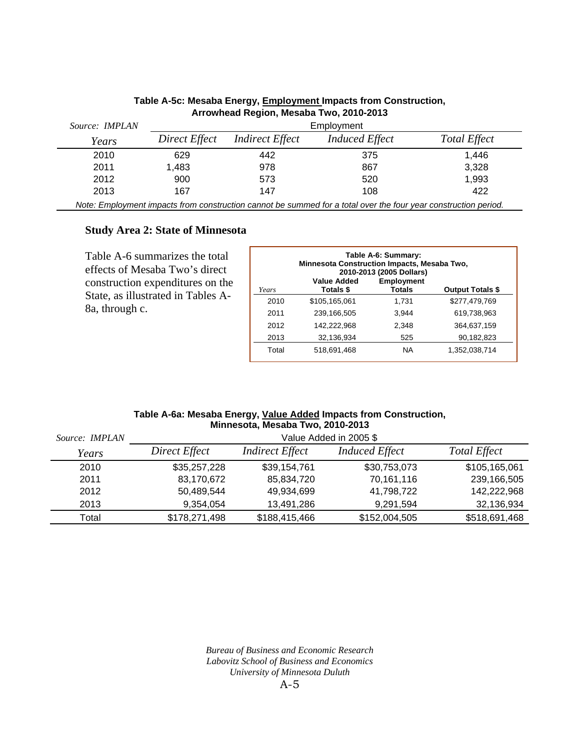| Source: <b>IMPLAN</b> | Employment    |                        |                       |                     |  |
|-----------------------|---------------|------------------------|-----------------------|---------------------|--|
| Years                 | Direct Effect | <b>Indirect Effect</b> | <b>Induced Effect</b> | <b>Total Effect</b> |  |
| 2010                  | 629           | 442                    | 375                   | 1,446               |  |
| 2011                  | 1,483         | 978                    | 867                   | 3,328               |  |
| 2012                  | 900           | 573                    | 520                   | 1,993               |  |
| 2013                  | 167           | 147                    | 108                   | 422                 |  |

#### **Table A-5c: Mesaba Energy, Employment Impacts from Construction, Arrowhead Region, Mesaba Two, 2010-2013**

#### **Study Area 2: State of Minnesota**

Table A-6 summarizes the total effects of Mesaba Two's direct construction expenditures on the State, as illustrated in Tables A-8a, through c.

| Table A-6: Summary:<br>Minnesota Construction Impacts, Mesaba Two,<br>2010-2013 (2005 Dollars) |                                                                                                  |       |               |  |  |  |  |
|------------------------------------------------------------------------------------------------|--------------------------------------------------------------------------------------------------|-------|---------------|--|--|--|--|
| Years                                                                                          | <b>Employment</b><br><b>Value Added</b><br>Totals \$<br><b>Totals</b><br><b>Output Totals \$</b> |       |               |  |  |  |  |
| 2010                                                                                           | \$105,165,061                                                                                    | 1.731 | \$277,479,769 |  |  |  |  |
| 2011                                                                                           | 239,166,505                                                                                      | 3.944 | 619,738,963   |  |  |  |  |
| 2012                                                                                           | 142,222,968                                                                                      | 2.348 | 364,637,159   |  |  |  |  |
| 2013                                                                                           | 32,136,934                                                                                       | 525   | 90,182,823    |  |  |  |  |
| Total                                                                                          | 518,691,468                                                                                      | ΝA    | 1,352,038,714 |  |  |  |  |

#### **Table A-6a: Mesaba Energy, Value Added Impacts from Construction, Minnesota, Mesaba Two, 2010-2013**

| Source: IMPLAN | Value Added in 2005 \$ |                        |                       |                     |  |
|----------------|------------------------|------------------------|-----------------------|---------------------|--|
| Years          | Direct Effect          | <b>Indirect Effect</b> | <b>Induced Effect</b> | <b>Total Effect</b> |  |
| 2010           | \$35,257,228           | \$39,154,761           | \$30,753,073          | \$105,165,061       |  |
| 2011           | 83,170,672             | 85,834,720             | 70,161,116            | 239,166,505         |  |
| 2012           | 50,489,544             | 49.934.699             | 41,798,722            | 142,222,968         |  |
| 2013           | 9,354,054              | 13,491,286             | 9,291,594             | 32,136,934          |  |
| Total          | \$178,271,498          | \$188,415,466          | \$152,004,505         | \$518,691,468       |  |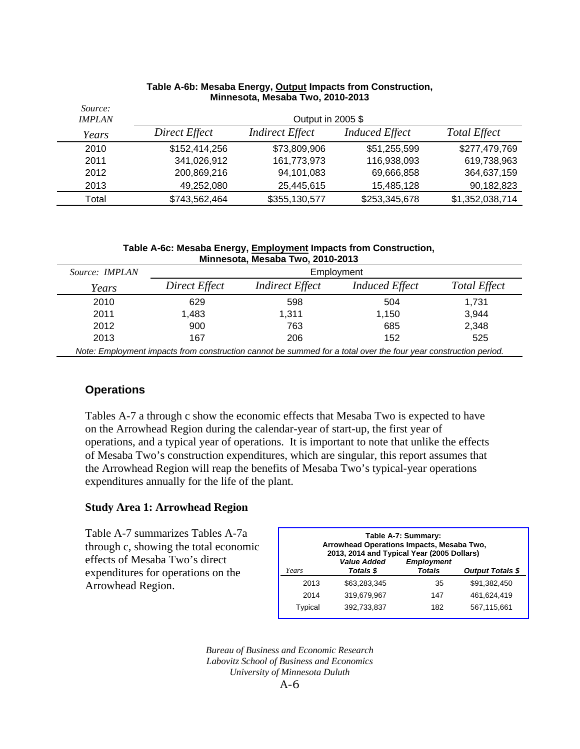| source.<br><b>IMPLAN</b> | Output in 2005 \$ |                        |                       |                     |  |
|--------------------------|-------------------|------------------------|-----------------------|---------------------|--|
| Years                    | Direct Effect     | <b>Indirect Effect</b> | <b>Induced Effect</b> | <b>Total Effect</b> |  |
| 2010                     | \$152,414,256     | \$73,809,906           | \$51,255,599          | \$277,479,769       |  |
| 2011                     | 341,026,912       | 161,773,973            | 116,938,093           | 619,738,963         |  |
| 2012                     | 200,869,216       | 94,101,083             | 69,666,858            | 364,637,159         |  |
| 2013                     | 49,252,080        | 25,445,615             | 15,485,128            | 90,182,823          |  |
| Total                    | \$743,562,464     | \$355,130,577          | \$253,345,678         | \$1,352,038,714     |  |

#### **Table A-6b: Mesaba Energy, Output Impacts from Construction, Minnesota, Mesaba Two, 2010-2013**

**Table A-6c: Mesaba Energy, Employment Impacts from Construction, Minnesota, Mesaba Two, 2010-2013** 

| Source: <b>IMPLAN</b> | Employment    |                        |                       |                     |
|-----------------------|---------------|------------------------|-----------------------|---------------------|
| Years                 | Direct Effect | <b>Indirect Effect</b> | <b>Induced Effect</b> | <b>Total Effect</b> |
| 2010                  | 629           | 598                    | 504                   | 1,731               |
| 2011                  | 1.483         | 1,311                  | 1,150                 | 3,944               |
| 2012                  | 900           | 763                    | 685                   | 2,348               |
| 2013                  | 167           | 206                    | 152                   | 525                 |

## **Operations**

*Source:* 

Tables A-7 a through c show the economic effects that Mesaba Two is expected to have on the Arrowhead Region during the calendar-year of start-up, the first year of operations, and a typical year of operations. It is important to note that unlike the effects of Mesaba Two's construction expenditures, which are singular, this report assumes that the Arrowhead Region will reap the benefits of Mesaba Two's typical-year operations expenditures annually for the life of the plant.

## **Study Area 1: Arrowhead Region**

Table A-7 summarizes Tables A-7a through c, showing the total economic effects of Mesaba Two's direct expenditures for operations on the Arrowhead Region.

| Table A-7: Summary:<br>Arrowhead Operations Impacts, Mesaba Two,<br>2013, 2014 and Typical Year (2005 Dollars) |                                                                                           |              |     |              |  |  |  |
|----------------------------------------------------------------------------------------------------------------|-------------------------------------------------------------------------------------------|--------------|-----|--------------|--|--|--|
| Years                                                                                                          | <b>Value Added</b><br>Employment<br><b>Totals</b><br>Totals \$<br><b>Output Totals \$</b> |              |     |              |  |  |  |
|                                                                                                                | 2013                                                                                      | \$63,283,345 | 35  | \$91,382,450 |  |  |  |
|                                                                                                                | 2014                                                                                      | 319.679.967  | 147 | 461,624,419  |  |  |  |
| Typical                                                                                                        |                                                                                           | 392,733,837  | 182 | 567,115,661  |  |  |  |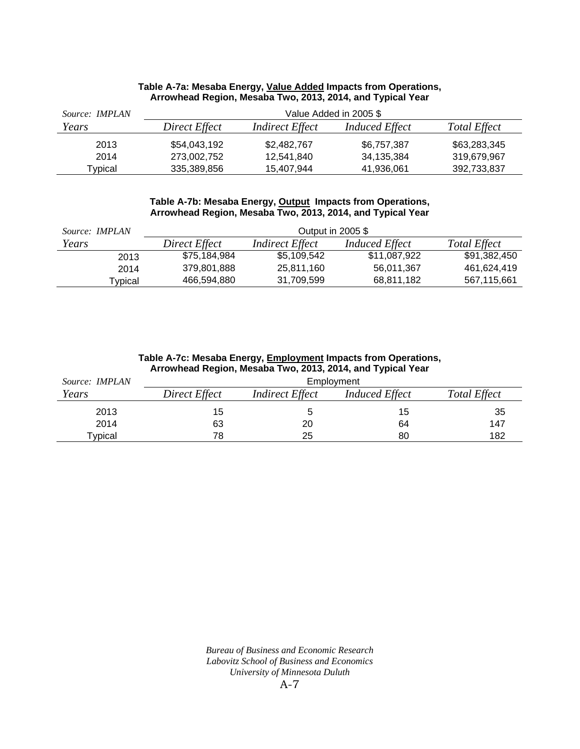#### **Table A-7a: Mesaba Energy, Value Added Impacts from Operations, Arrowhead Region, Mesaba Two, 2013, 2014, and Typical Year**

| Source: IMPLAN | Value Added in 2005 \$                                                                  |             |             |              |  |  |
|----------------|-----------------------------------------------------------------------------------------|-------------|-------------|--------------|--|--|
| Years          | <b>Indirect Effect</b><br><b>Induced Effect</b><br><b>Total Effect</b><br>Direct Effect |             |             |              |  |  |
| 2013           | \$54,043,192                                                                            | \$2.482.767 | \$6,757,387 | \$63,283,345 |  |  |
| 2014           | 273,002,752                                                                             | 12,541,840  | 34,135,384  | 319.679.967  |  |  |
| Typical        | 335,389,856                                                                             | 15,407,944  | 41,936,061  | 392,733,837  |  |  |

#### **Table A-7b: Mesaba Energy, Output Impacts from Operations, Arrowhead Region, Mesaba Two, 2013, 2014, and Typical Year**

| Source: IMPLAN | Output in 2005 \$ |                        |                       |                     |
|----------------|-------------------|------------------------|-----------------------|---------------------|
| Years          | Direct Effect     | <b>Indirect Effect</b> | <b>Induced Effect</b> | <b>Total Effect</b> |
| 2013           | \$75,184,984      | \$5,109,542            | \$11,087,922          | \$91,382,450        |
| 2014           | 379,801,888       | 25,811,160             | 56,011,367            | 461,624,419         |
| Typical        | 466,594,880       | 31,709,599             | 68,811,182            | 567,115,661         |

| Table A-7c: Mesaba Energy, <u>Employment</u> Impacts from Operations, |
|-----------------------------------------------------------------------|
| Arrowhead Region, Mesaba Two, 2013, 2014, and Typical Year            |

| Source: IMPLAN | Employment    |                        |                       |                     |  |
|----------------|---------------|------------------------|-----------------------|---------------------|--|
| Years          | Direct Effect | <b>Indirect Effect</b> | <b>Induced Effect</b> | <b>Total Effect</b> |  |
| 2013           | 15            |                        | 15                    | 35                  |  |
| 2014           | 63            | 20                     | 64                    | 147                 |  |
| Typical        | 78            | 25                     | 80                    | 182                 |  |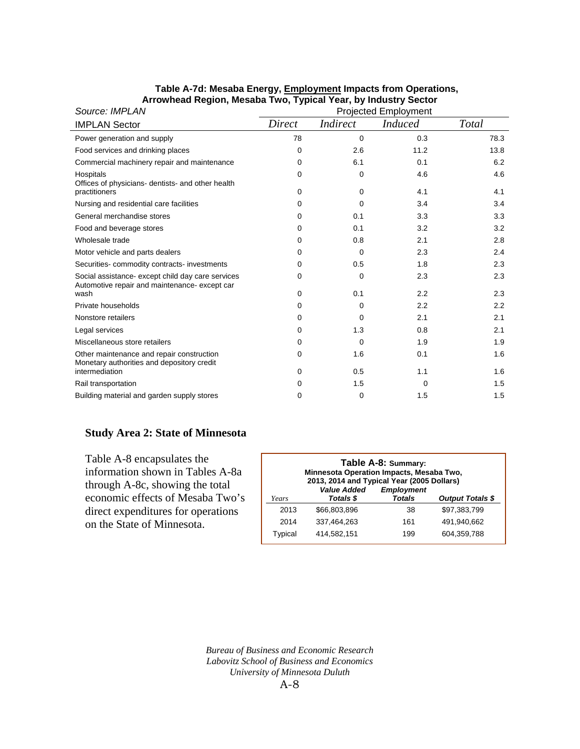| Source: IMPLAN                                                                                    | <b>Projected Employment</b> |                 |                |              |  |  |
|---------------------------------------------------------------------------------------------------|-----------------------------|-----------------|----------------|--------------|--|--|
| <b>IMPLAN Sector</b>                                                                              | Direct                      | <i>Indirect</i> | <i>Induced</i> | <b>Total</b> |  |  |
| Power generation and supply                                                                       | 78                          | 0               | 0.3            | 78.3         |  |  |
| Food services and drinking places                                                                 | $\Omega$                    | 2.6             | 11.2           | 13.8         |  |  |
| Commercial machinery repair and maintenance                                                       | 0                           | 6.1             | 0.1            | 6.2          |  |  |
| Hospitals<br>Offices of physicians- dentists- and other health                                    | $\Omega$                    | 0               | 4.6            | 4.6          |  |  |
| practitioners                                                                                     | $\Omega$                    | 0               | 4.1            | 4.1          |  |  |
| Nursing and residential care facilities                                                           | $\Omega$                    | 0               | 3.4            | 3.4          |  |  |
| General merchandise stores                                                                        | 0                           | 0.1             | 3.3            | 3.3          |  |  |
| Food and beverage stores                                                                          | $\Omega$                    | 0.1             | 3.2            | 3.2          |  |  |
| Wholesale trade                                                                                   | $\Omega$                    | 0.8             | 2.1            | 2.8          |  |  |
| Motor vehicle and parts dealers                                                                   | 0                           | 0               | 2.3            | 2.4          |  |  |
| Securities-commodity contracts-investments                                                        | 0                           | 0.5             | 1.8            | 2.3          |  |  |
| Social assistance- except child day care services<br>Automotive repair and maintenance-except car | 0                           | 0               | 2.3            | 2.3          |  |  |
| wash                                                                                              | $\Omega$                    | 0.1             | 2.2            | 2.3          |  |  |
| Private households                                                                                | $\Omega$                    | 0               | 2.2            | 2.2          |  |  |
| Nonstore retailers                                                                                | 0                           | 0               | 2.1            | 2.1          |  |  |
| Legal services                                                                                    | 0                           | 1.3             | 0.8            | 2.1          |  |  |
| Miscellaneous store retailers                                                                     | 0                           | 0               | 1.9            | 1.9          |  |  |
| Other maintenance and repair construction<br>Monetary authorities and depository credit           | $\Omega$                    | 1.6             | 0.1            | 1.6          |  |  |
| intermediation                                                                                    | $\Omega$                    | 0.5             | 1.1            | 1.6          |  |  |
| Rail transportation                                                                               | 0                           | 1.5             | 0              | 1.5          |  |  |
| Building material and garden supply stores                                                        | 0                           | 0               | 1.5            | 1.5          |  |  |

#### **Table A-7d: Mesaba Energy, Employment Impacts from Operations, Arrowhead Region, Mesaba Two, Typical Year, by Industry Sector**

## **Study Area 2: State of Minnesota**

Table A-8 encapsulates the information shown in Tables A-8a through A-8c, showing the total economic effects of Mesaba Two's direct expenditures for operations on the State of Minnesota.

| Table A-8: Summary:<br>Minnesota Operation Impacts, Mesaba Two,<br>2013, 2014 and Typical Year (2005 Dollars) |                    |                   |                         |  |  |  |  |
|---------------------------------------------------------------------------------------------------------------|--------------------|-------------------|-------------------------|--|--|--|--|
|                                                                                                               | <b>Value Added</b> | <b>Employment</b> |                         |  |  |  |  |
| Years                                                                                                         | Totals \$          | <b>Totals</b>     | <b>Output Totals \$</b> |  |  |  |  |
| 2013                                                                                                          | \$66,803,896       | 38                | \$97,383,799            |  |  |  |  |
| 2014                                                                                                          | 337.464.263        | 161               | 491.940.662             |  |  |  |  |
| Typical                                                                                                       | 414.582.151        | 199               | 604.359.788             |  |  |  |  |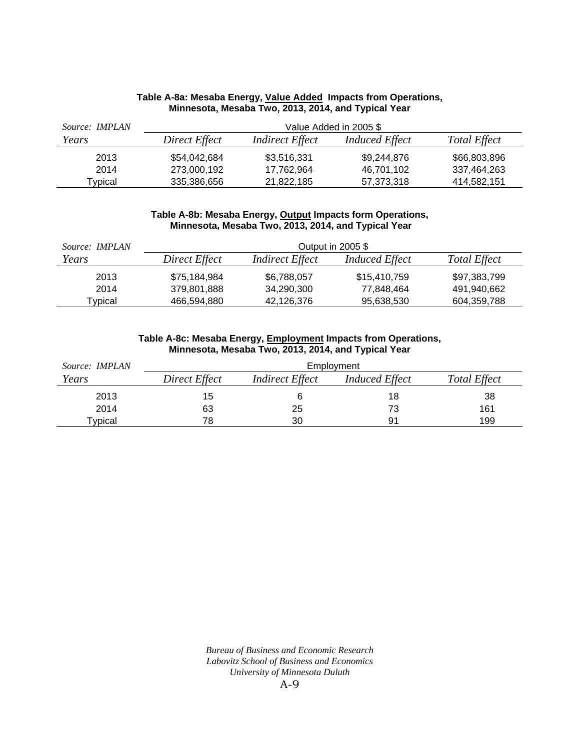| Source: IMPLAN | Value Added in 2005 \$ |                        |                       |                     |  |  |  |
|----------------|------------------------|------------------------|-----------------------|---------------------|--|--|--|
| Years          | Direct Effect          | <b>Indirect Effect</b> | <b>Induced Effect</b> | <b>Total Effect</b> |  |  |  |
| 2013           | \$54,042,684           | \$3,516,331            | \$9,244,876           | \$66,803,896        |  |  |  |
| 2014           | 273,000,192            | 17,762,964             | 46,701,102            | 337,464,263         |  |  |  |
| Typical        | 335,386,656            | 21,822,185             | 57,373,318            | 414,582,151         |  |  |  |

#### **Table A-8a: Mesaba Energy, Value Added Impacts from Operations, Minnesota, Mesaba Two, 2013, 2014, and Typical Year**

#### **Table A-8b: Mesaba Energy, Output Impacts form Operations, Minnesota, Mesaba Two, 2013, 2014, and Typical Year**

| Source: <b>IMPLAN</b> | Output in 2005 \$                                                                       |             |              |              |  |  |  |
|-----------------------|-----------------------------------------------------------------------------------------|-------------|--------------|--------------|--|--|--|
| Years                 | <b>Indirect Effect</b><br>Direct Effect<br><b>Induced Effect</b><br><b>Total Effect</b> |             |              |              |  |  |  |
| 2013                  | \$75,184,984                                                                            | \$6,788,057 | \$15,410,759 | \$97,383,799 |  |  |  |
| 2014                  | 379,801,888                                                                             | 34,290,300  | 77,848,464   | 491,940,662  |  |  |  |
| Typical               | 466,594,880                                                                             | 42,126,376  | 95,638,530   | 604,359,788  |  |  |  |

#### **Table A-8c: Mesaba Energy, Employment Impacts from Operations, Minnesota, Mesaba Two, 2013, 2014, and Typical Year**

| Source: <b>IMPLAN</b> | Employment                                                                              |    |    |     |  |  |  |
|-----------------------|-----------------------------------------------------------------------------------------|----|----|-----|--|--|--|
| Years                 | <b>Indirect Effect</b><br><b>Total Effect</b><br>Direct Effect<br><b>Induced Effect</b> |    |    |     |  |  |  |
| 2013                  | 15                                                                                      |    | 18 | 38  |  |  |  |
| 2014                  | 63                                                                                      | 25 | 73 | 161 |  |  |  |
| $\tau$ ypical         | 78                                                                                      | 30 | 91 | 199 |  |  |  |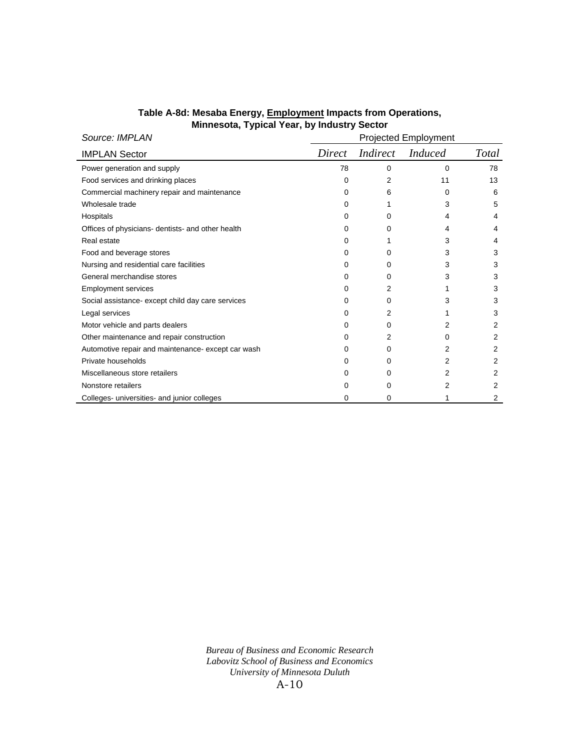| Source: IMPLAN                                    | <b>Projected Employment</b> |          |                |       |  |
|---------------------------------------------------|-----------------------------|----------|----------------|-------|--|
| <b>IMPLAN Sector</b>                              | Direct                      | Indirect | <i>Induced</i> | Total |  |
| Power generation and supply                       | 78                          | 0        | 0              | 78    |  |
| Food services and drinking places                 | 0                           | 2        | 11             | 13    |  |
| Commercial machinery repair and maintenance       | 0                           | 6        | 0              | 6     |  |
| Wholesale trade                                   | 0                           |          | 3              | 5     |  |
| Hospitals                                         | 0                           | 0        | 4              | 4     |  |
| Offices of physicians-dentists- and other health  | 0                           | 0        | 4              | 4     |  |
| Real estate                                       | 0                           |          | 3              | 4     |  |
| Food and beverage stores                          | 0                           | 0        | 3              | 3     |  |
| Nursing and residential care facilities           | 0                           | 0        | 3              | 3     |  |
| General merchandise stores                        | 0                           | o        | 3              | 3     |  |
| <b>Employment services</b>                        | 0                           | 2        |                | 3     |  |
| Social assistance- except child day care services | 0                           | 0        | 3              | 3     |  |
| Legal services                                    | 0                           | 2        |                | 3     |  |
| Motor vehicle and parts dealers                   | 0                           | 0        | 2              | 2     |  |
| Other maintenance and repair construction         | 0                           | 2        | 0              | 2     |  |
| Automotive repair and maintenance-except car wash | 0                           | 0        | 2              | 2     |  |
| Private households                                | 0                           | 0        | 2              | 2     |  |
| Miscellaneous store retailers                     | 0                           | 0        | 2              | 2     |  |
| Nonstore retailers                                | 0                           | 0        | 2              | 2     |  |
| Colleges- universities- and junior colleges       | 0                           | 0        |                | 2     |  |

### **Table A-8d: Mesaba Energy, Employment Impacts from Operations, Minnesota, Typical Year, by Industry Sector**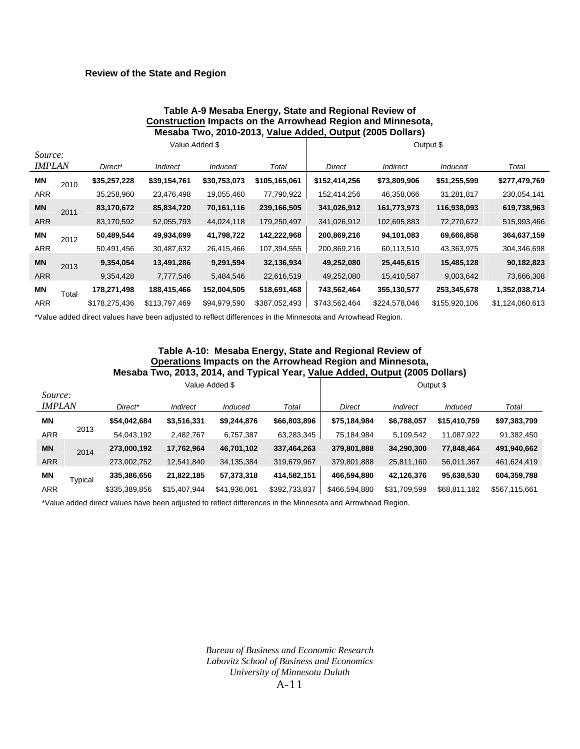#### **Review of the State and Region**

#### **Table A-9 Mesaba Energy, State and Regional Review of Construction Impacts on the Arrowhead Region and Minnesota, Mesaba Two, 2010-2013, Value Added, Output (2005 Dollars)**

|               | Value Added \$ |               |                 |              |               | Output \$     |               |                |                 |
|---------------|----------------|---------------|-----------------|--------------|---------------|---------------|---------------|----------------|-----------------|
| Source:       |                |               |                 |              |               |               |               |                |                 |
| <b>IMPLAN</b> |                | Direct*       | <i>Indirect</i> | Induced      | Total         | <b>Direct</b> | Indirect      | <i>Induced</i> | Total           |
| ΜN            | 2010           | \$35,257,228  | \$39,154,761    | \$30,753,073 | \$105,165,061 | \$152,414,256 | \$73,809,906  | \$51,255,599   | \$277,479,769   |
| <b>ARR</b>    |                | 35,258,960    | 23,476,498      | 19,055,460   | 77,790,922    | 152,414,256   | 46,358,066    | 31,281,817     | 230,054,141     |
| <b>MN</b>     | 2011           | 83,170,672    | 85,834,720      | 70,161,116   | 239,166,505   | 341,026,912   | 161,773,973   | 116,938,093    | 619,738,963     |
| <b>ARR</b>    |                | 83,170,592    | 52,055,793      | 44,024,118   | 179,250,497   | 341,026,912   | 102,695,883   | 72,270,672     | 515,993,466     |
| ΜN            | 2012           | 50,489,544    | 49,934,699      | 41,798,722   | 142,222,968   | 200,869,216   | 94,101,083    | 69,666,858     | 364,637,159     |
| ARR           |                | 50,491,456    | 30,487,632      | 26,415,466   | 107,394,555   | 200,869,216   | 60,113,510    | 43,363,975     | 304,346,698     |
| <b>MN</b>     | 2013           | 9,354,054     | 13,491,286      | 9,291,594    | 32,136,934    | 49,252,080    | 25,445,615    | 15,485,128     | 90,182,823      |
| <b>ARR</b>    |                | 9,354,428     | 7,777,546       | 5,484,546    | 22,616,519    | 49,252,080    | 15,410,587    | 9,003,642      | 73,666,308      |
| ΜN            | Total          | 178,271,498   | 188,415,466     | 152,004,505  | 518,691,468   | 743,562,464   | 355,130,577   | 253,345,678    | 1,352,038,714   |
| <b>ARR</b>    |                | \$178,275,436 | \$113,797,469   | \$94,979,590 | \$387,052,493 | \$743,562,464 | \$224,578,046 | \$155,920,106  | \$1,124,060,613 |

\*Value added direct values have been adjusted to reflect differences in the Minnesota and Arrowhead Region.

| Table A-10: Mesaba Energy, State and Regional Review of                             |
|-------------------------------------------------------------------------------------|
| Operations Impacts on the Arrowhead Region and Minnesota,                           |
| Mesaba Two, 2013, 2014, and Typical Year, <i>Value Added, Output</i> (2005 Dollars) |

|                                 | Value Added \$ |               |                 |                | Output \$     |               |                 |              |               |
|---------------------------------|----------------|---------------|-----------------|----------------|---------------|---------------|-----------------|--------------|---------------|
| Source:<br><i><b>IMPLAN</b></i> |                | Direct*       | <b>Indirect</b> | <b>Induced</b> | Total         | <b>Direct</b> | <b>Indirect</b> | Induced      | Total         |
| ΜN                              |                | \$54,042,684  | \$3,516,331     | \$9,244,876    | \$66,803,896  | \$75,184,984  | \$6,788,057     | \$15,410,759 | \$97,383,799  |
| <b>ARR</b>                      | 2013           | 54,043,192    | 2,482,767       | 6,757,387      | 63,283,345    | 75,184,984    | 5,109,542       | 11,087,922   | 91,382,450    |
| <b>MN</b>                       | 2014           | 273,000,192   | 17,762,964      | 46,701,102     | 337,464,263   | 379,801,888   | 34,290,300      | 77,848,464   | 491,940,662   |
| <b>ARR</b>                      |                | 273,002,752   | 12,541,840      | 34,135,384     | 319,679,967   | 379,801,888   | 25,811,160      | 56,011,367   | 461,624,419   |
| ΜN                              | Typical        | 335,386,656   | 21,822,185      | 57,373,318     | 414,582,151   | 466,594,880   | 42,126,376      | 95,638,530   | 604,359,788   |
| <b>ARR</b>                      |                | \$335,389,856 | \$15,407,944    | \$41,936,061   | \$392,733,837 | \$466,594,880 | \$31,709,599    | \$68,811,182 | \$567,115,661 |

\*Value added direct values have been adjusted to reflect differences in the Minnesota and Arrowhead Region.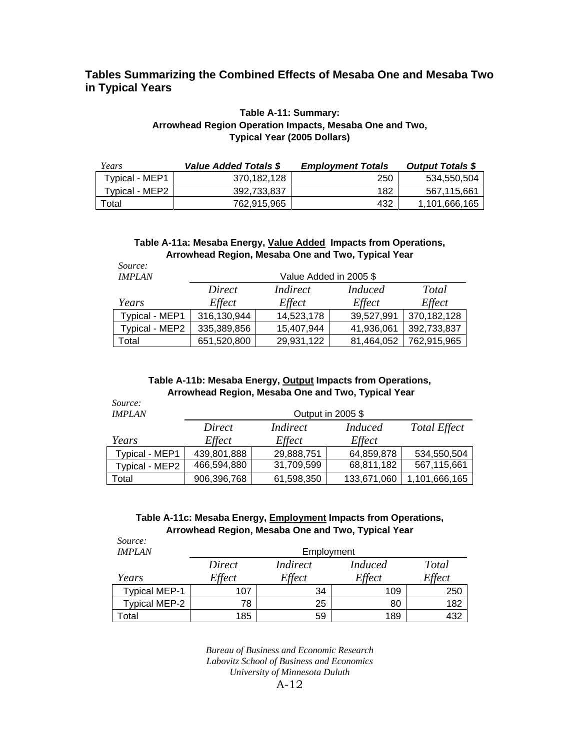## **Tables Summarizing the Combined Effects of Mesaba One and Mesaba Two in Typical Years**

#### **Table A-11: Summary: Arrowhead Region Operation Impacts, Mesaba One and Two, Typical Year (2005 Dollars)**

| Years          | Value Added Totals \$ | <b>Employment Totals</b> | <b>Output Totals \$</b> |
|----------------|-----------------------|--------------------------|-------------------------|
| Typical - MEP1 | 370.182.128           | 250                      | 534,550,504             |
| Typical - MEP2 | 392.733.837           | 182                      | 567,115,661             |
| Total          | 762.915.965           | 432                      | 1,101,666,165           |

#### **Table A-11a: Mesaba Energy, Value Added Impacts from Operations, Arrowhead Region, Mesaba One and Two, Typical Year**

| Source:<br><b>IMPLAN</b> | Value Added in 2005 \$ |                 |                |               |  |  |
|--------------------------|------------------------|-----------------|----------------|---------------|--|--|
|                          | Direct                 | <i>Indirect</i> | <b>Induced</b> | <b>Total</b>  |  |  |
| Years                    | <i>Effect</i>          | <i>Effect</i>   | <i>Effect</i>  | <i>Effect</i> |  |  |
| <b>Typical - MEP1</b>    | 316,130,944            | 14,523,178      | 39,527,991     | 370,182,128   |  |  |
| Typical - MEP2           | 335,389,856            | 15,407,944      | 41,936,061     | 392,733,837   |  |  |
| Total                    | 651,520,800            | 29,931,122      | 81,464,052     | 762,915,965   |  |  |

#### **Table A-11b: Mesaba Energy, Output Impacts from Operations, Arrowhead Region, Mesaba One and Two, Typical Year**

*Source:* 

| source:<br><b>IMPLAN</b> | Output in 2005 \$ |                 |                |                     |  |  |  |  |
|--------------------------|-------------------|-----------------|----------------|---------------------|--|--|--|--|
|                          | Direct            | <i>Indirect</i> | <i>Induced</i> | <b>Total Effect</b> |  |  |  |  |
| Years                    | Effect            | Effect          | Effect         |                     |  |  |  |  |
| <b>Typical - MEP1</b>    | 439,801,888       | 29,888,751      | 64,859,878     | 534,550,504         |  |  |  |  |
| Typical - MEP2           | 466,594,880       | 31,709,599      | 68,811,182     | 567,115,661         |  |  |  |  |
| Total                    | 906,396,768       | 61,598,350      | 133,671,060    | 1,101,666,165       |  |  |  |  |

#### **Table A-11c: Mesaba Energy, Employment Impacts from Operations, Arrowhead Region, Mesaba One and Two, Typical Year**  *Source:*

| <u>.</u><br><b>IMPLAN</b> | Employment |                                   |        |              |  |  |
|---------------------------|------------|-----------------------------------|--------|--------------|--|--|
|                           | Direct     | <b>Induced</b><br><i>Indirect</i> |        | <b>Total</b> |  |  |
| Years                     | Effect     | Effect                            | Effect | Effect       |  |  |
| <b>Typical MEP-1</b>      | 107        | 34                                | 109    | 250          |  |  |
| <b>Typical MEP-2</b>      | 78         | 25                                | 80     | 182          |  |  |
| Гоtal                     | 185        | 59                                | 189    | 432          |  |  |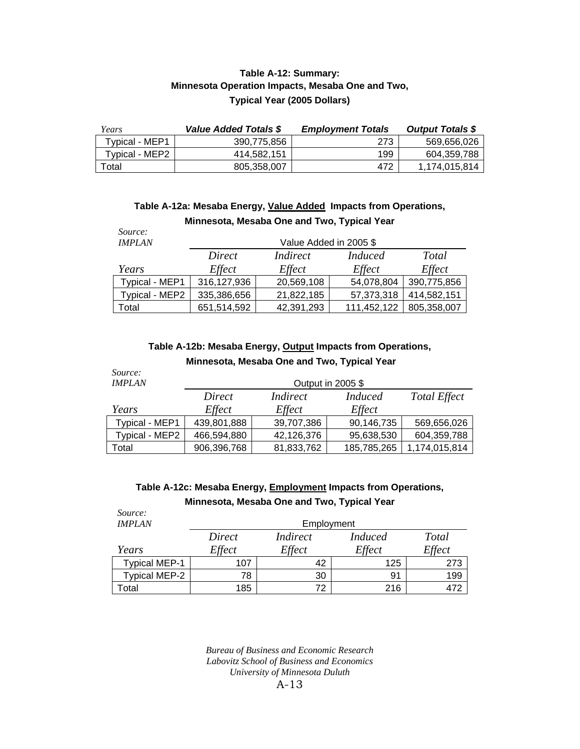### **Table A-12: Summary: Minnesota Operation Impacts, Mesaba One and Two, Typical Year (2005 Dollars)**

| Years            | Value Added Totals \$ | <b>Employment Totals</b> | <b>Output Totals \$</b> |
|------------------|-----------------------|--------------------------|-------------------------|
| Tvpical - MEP1   | 390.775.856           | 273                      | 569.656.026             |
| Tvpical - MEP2 . | 414.582.151           | 199                      | 604,359,788             |
| Total            | 805,358,007           | 472                      | 1.174.015.814           |

## **Table A-12a: Mesaba Energy, Value Added Impacts from Operations, Minnesota, Mesaba One and Two, Typical Year**

| Source:<br><b>IMPLAN</b> | Value Added in 2005 \$ |               |                |               |  |
|--------------------------|------------------------|---------------|----------------|---------------|--|
|                          | Direct                 | Indirect      | <i>Induced</i> | Total         |  |
| Years                    | <i>Effect</i>          | <i>Effect</i> | <i>Effect</i>  | <i>Effect</i> |  |
| Typical - MEP1           | 316,127,936            | 20,569,108    | 54,078,804     | 390,775,856   |  |
| Typical - MEP2           | 335,386,656            | 21,822,185    | 57,373,318     | 414,582,151   |  |
| Total                    | 651,514,592            | 42,391,293    | 111,452,122    | 805,358,007   |  |

## **Table A-12b: Mesaba Energy, Output Impacts from Operations, Minnesota, Mesaba One and Two, Typical Year**

| Source:<br><b>IMPLAN</b> | Output in 2005 \$                           |               |                     |               |  |  |
|--------------------------|---------------------------------------------|---------------|---------------------|---------------|--|--|
|                          | <b>Induced</b><br><i>Indirect</i><br>Direct |               | <b>Total Effect</b> |               |  |  |
| Years                    | <i>Effect</i>                               | <i>Effect</i> | <i>Effect</i>       |               |  |  |
| Typical - MEP1           | 439,801,888                                 | 39,707,386    | 90,146,735          | 569,656,026   |  |  |
| Typical - MEP2           | 466,594,880                                 | 42,126,376    | 95,638,530          | 604,359,788   |  |  |
| Total                    | 906,396,768                                 | 81,833,762    | 185,785,265         | 1,174,015,814 |  |  |

## **Table A-12c: Mesaba Energy, Employment Impacts from Operations, Minnesota, Mesaba One and Two, Typical Year**

| Source:<br><b>IMPLAN</b> | Employment |                 |                |               |  |  |
|--------------------------|------------|-----------------|----------------|---------------|--|--|
|                          | Direct     | <i>Indirect</i> | <b>Induced</b> | <b>Total</b>  |  |  |
| Years                    | Effect     | Effect          | <i>Effect</i>  | <i>Effect</i> |  |  |
| <b>Typical MEP-1</b>     | 107        | 42              | 125            | 273           |  |  |
| <b>Typical MEP-2</b>     | 78         | 30              | 91             | 199           |  |  |
| Total                    | 185        | 72              | 216            |               |  |  |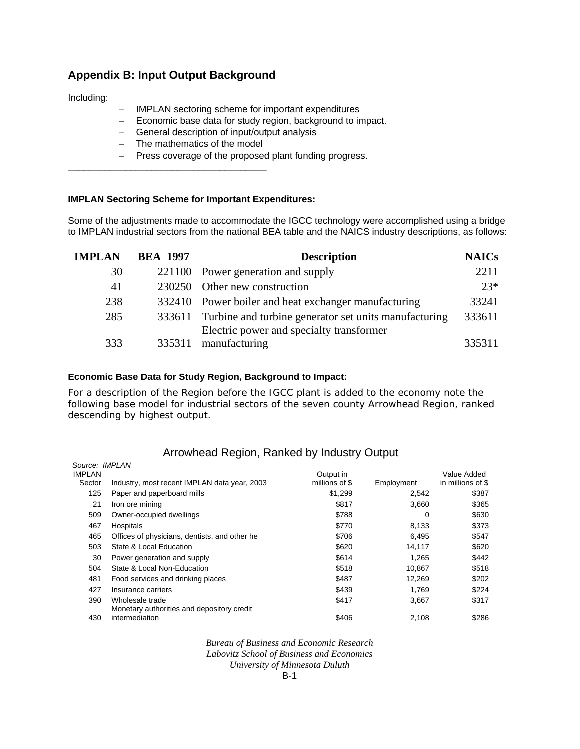## **Appendix B: Input Output Background**

\_\_\_\_\_\_\_\_\_\_\_\_\_\_\_\_\_\_\_\_\_\_\_\_\_\_\_\_\_\_\_\_\_\_\_\_\_\_

Including:

- − IMPLAN sectoring scheme for important expenditures
- − Economic base data for study region, background to impact.
- − General description of input/output analysis
- − The mathematics of the model
- − Press coverage of the proposed plant funding progress.

#### **IMPLAN Sectoring Scheme for Important Expenditures:**

Some of the adjustments made to accommodate the IGCC technology were accomplished using a bridge to IMPLAN industrial sectors from the national BEA table and the NAICS industry descriptions, as follows:

| <b>IMPLAN</b> | <b>BEA 1997</b> | <b>Description</b>                                           | <b>NAICs</b> |
|---------------|-----------------|--------------------------------------------------------------|--------------|
| 30            |                 | 221100 Power generation and supply                           | 2211         |
| 41            |                 | 230250 Other new construction                                | $23*$        |
| 238           |                 | 332410 Power boiler and heat exchanger manufacturing         | 33241        |
| 285           |                 | 333611 Turbine and turbine generator set units manufacturing | 333611       |
|               |                 | Electric power and specialty transformer                     |              |
| 333           | 335311          | manufacturing                                                | 335311       |

#### **Economic Base Data for Study Region, Background to Impact:**

For a description of the Region before the IGCC plant is added to the economy note the following base model for industrial sectors of the seven county Arrowhead Region, ranked descending by highest output.

### Arrowhead Region, Ranked by Industry Output

|               | Source: IMPLAN                                |                |            |                   |
|---------------|-----------------------------------------------|----------------|------------|-------------------|
| <b>IMPLAN</b> |                                               | Output in      |            | Value Added       |
| Sector        | Industry, most recent IMPLAN data year, 2003  | millions of \$ | Employment | in millions of \$ |
| 125           | Paper and paperboard mills                    | \$1.299        | 2.542      | \$387             |
| 21            | Iron ore mining                               | \$817          | 3.660      | \$365             |
| 509           | Owner-occupied dwellings                      | \$788          | 0          | \$630             |
| 467           | Hospitals                                     | \$770          | 8,133      | \$373             |
| 465           | Offices of physicians, dentists, and other he | \$706          | 6.495      | \$547             |
| 503           | State & Local Education                       | \$620          | 14,117     | \$620             |
| 30            | Power generation and supply                   | \$614          | 1,265      | \$442             |
| 504           | State & Local Non-Education                   | \$518          | 10,867     | \$518             |
| 481           | Food services and drinking places             | \$487          | 12,269     | \$202             |
| 427           | Insurance carriers                            | \$439          | 1,769      | \$224             |
| 390           | Wholesale trade                               | \$417          | 3,667      | \$317             |
|               | Monetary authorities and depository credit    |                |            |                   |
| 430           | intermediation                                | \$406          | 2,108      | \$286             |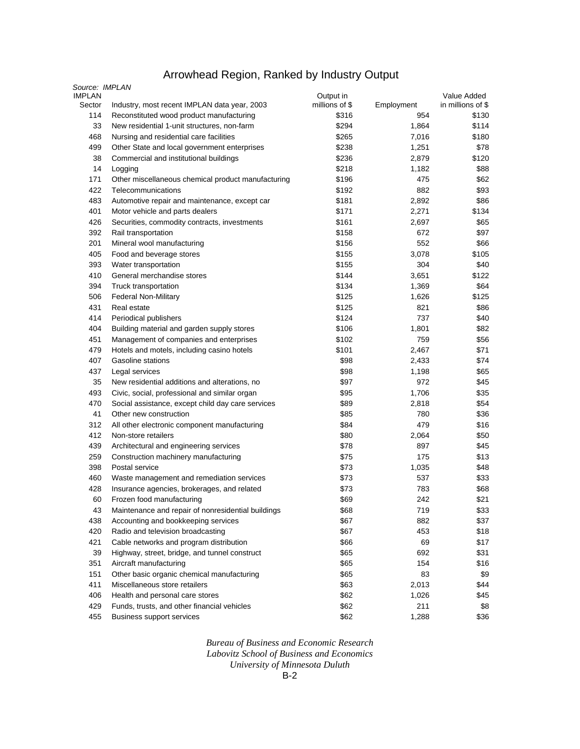| <b>IMPLAN</b> | Source: IMPLAN                                     |                             |            | Value Added       |
|---------------|----------------------------------------------------|-----------------------------|------------|-------------------|
| Sector        | Industry, most recent IMPLAN data year, 2003       | Output in<br>millions of \$ | Employment | in millions of \$ |
| 114           | Reconstituted wood product manufacturing           | \$316                       | 954        | \$130             |
| 33            | New residential 1-unit structures, non-farm        | \$294                       | 1,864      | \$114             |
| 468           | Nursing and residential care facilities            | \$265                       | 7,016      | \$180             |
| 499           | Other State and local government enterprises       | \$238                       | 1,251      | \$78              |
| 38            | Commercial and institutional buildings             | \$236                       | 2,879      | \$120             |
| 14            | Logging                                            | \$218                       | 1,182      | \$88              |
| 171           | Other miscellaneous chemical product manufacturing | \$196                       | 475        | \$62              |
| 422           | Telecommunications                                 | \$192                       | 882        | \$93              |
| 483           | Automotive repair and maintenance, except car      | \$181                       | 2,892      | \$86              |
| 401           | Motor vehicle and parts dealers                    | \$171                       | 2,271      | \$134             |
| 426           | Securities, commodity contracts, investments       | \$161                       | 2,697      | \$65              |
| 392           | Rail transportation                                | \$158                       | 672        | \$97              |
| 201           | Mineral wool manufacturing                         | \$156                       | 552        | \$66              |
| 405           | Food and beverage stores                           | \$155                       | 3,078      | \$105             |
| 393           | Water transportation                               | \$155                       | 304        | \$40              |
| 410           | General merchandise stores                         | \$144                       | 3,651      | \$122             |
| 394           | Truck transportation                               | \$134                       | 1,369      | \$64              |
| 506           | <b>Federal Non-Military</b>                        | \$125                       | 1,626      | \$125             |
| 431           | Real estate                                        | \$125                       | 821        | \$86              |
| 414           | Periodical publishers                              | \$124                       | 737        | \$40              |
| 404           | Building material and garden supply stores         | \$106                       | 1,801      | \$82              |
| 451           | Management of companies and enterprises            | \$102                       | 759        | \$56              |
| 479           | Hotels and motels, including casino hotels         | \$101                       | 2,467      | \$71              |
| 407           | Gasoline stations                                  | \$98                        | 2,433      | \$74              |
| 437           | Legal services                                     | \$98                        | 1,198      | \$65              |
| 35            | New residential additions and alterations, no      | \$97                        | 972        | \$45              |
| 493           | Civic, social, professional and similar organ      | \$95                        | 1,706      | \$35              |
| 470           | Social assistance, except child day care services  | \$89                        | 2,818      | \$54              |
| 41            | Other new construction                             | \$85                        | 780        | \$36              |
| 312           | All other electronic component manufacturing       | \$84                        | 479        | \$16              |
| 412           | Non-store retailers                                | \$80                        | 2,064      | \$50              |
| 439           | Architectural and engineering services             | \$78                        | 897        | \$45              |
| 259           | Construction machinery manufacturing               | \$75                        | 175        | \$13              |
| 398           | Postal service                                     | \$73                        | 1,035      | \$48              |
| 460           | Waste management and remediation services          | \$73                        | 537        | \$33              |
| 428           | Insurance agencies, brokerages, and related        | \$73                        | 783        | \$68              |
| 60            | Frozen food manufacturing                          | \$69                        | 242        | \$21              |
| 43            | Maintenance and repair of nonresidential buildings | \$68                        | 719        | \$33              |
| 438           | Accounting and bookkeeping services                | \$67                        | 882        | \$37              |
| 420           | Radio and television broadcasting                  | \$67                        | 453        | \$18              |
| 421           | Cable networks and program distribution            | \$66                        | 69         | \$17              |
| 39            | Highway, street, bridge, and tunnel construct      | \$65                        | 692        | \$31              |
| 351           | Aircraft manufacturing                             | \$65                        | 154        | \$16              |
| 151           | Other basic organic chemical manufacturing         | \$65                        | 83         | \$9               |
| 411           | Miscellaneous store retailers                      | \$63                        | 2,013      | \$44              |
| 406           | Health and personal care stores                    | \$62                        | 1,026      | \$45              |
| 429           | Funds, trusts, and other financial vehicles        | \$62                        | 211        | \$8               |
| 455           | <b>Business support services</b>                   | \$62                        | 1,288      | \$36              |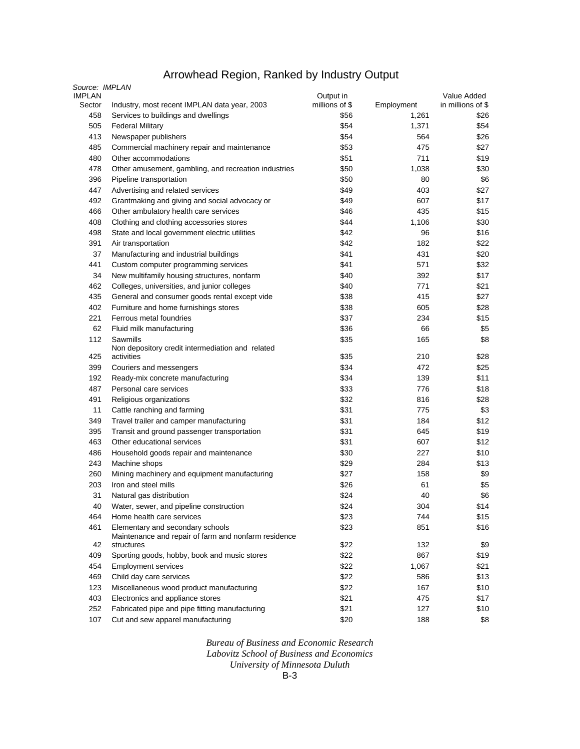|                         | Source: IMPLAN                                                                           |                             |            |                                  |
|-------------------------|------------------------------------------------------------------------------------------|-----------------------------|------------|----------------------------------|
| <b>IMPLAN</b><br>Sector | Industry, most recent IMPLAN data year, 2003                                             | Output in<br>millions of \$ | Employment | Value Added<br>in millions of \$ |
| 458                     | Services to buildings and dwellings                                                      | \$56                        | 1,261      | \$26                             |
| 505                     | <b>Federal Military</b>                                                                  | \$54                        | 1,371      | \$54                             |
| 413                     | Newspaper publishers                                                                     | \$54                        | 564        | \$26                             |
| 485                     | Commercial machinery repair and maintenance                                              | \$53                        | 475        | \$27                             |
| 480                     | Other accommodations                                                                     | \$51                        | 711        | \$19                             |
| 478                     | Other amusement, gambling, and recreation industries                                     | \$50                        | 1,038      | \$30                             |
| 396                     | Pipeline transportation                                                                  | \$50                        | 80         | \$6                              |
| 447                     | Advertising and related services                                                         | \$49                        | 403        | \$27                             |
| 492                     | Grantmaking and giving and social advocacy or                                            | \$49                        | 607        | \$17                             |
| 466                     | Other ambulatory health care services                                                    | \$46                        | 435        | \$15                             |
| 408                     | Clothing and clothing accessories stores                                                 | \$44                        | 1,106      | \$30                             |
| 498                     | State and local government electric utilities                                            | \$42                        | 96         | \$16                             |
| 391                     | Air transportation                                                                       | \$42                        | 182        | \$22                             |
| 37                      | Manufacturing and industrial buildings                                                   | \$41                        | 431        | \$20                             |
| 441                     | Custom computer programming services                                                     | \$41                        | 571        | \$32                             |
| 34                      | New multifamily housing structures, nonfarm                                              | \$40                        | 392        | \$17                             |
| 462                     | Colleges, universities, and junior colleges                                              | \$40                        | 771        | \$21                             |
| 435                     | General and consumer goods rental except vide                                            | \$38                        | 415        | \$27                             |
| 402                     | Furniture and home furnishings stores                                                    | \$38                        | 605        | \$28                             |
| 221                     | Ferrous metal foundries                                                                  | \$37                        | 234        | \$15                             |
| 62                      | Fluid milk manufacturing                                                                 | \$36                        | 66         | \$5                              |
| 112                     | Sawmills                                                                                 | \$35                        | 165        | \$8                              |
|                         | Non depository credit intermediation and related                                         |                             |            |                                  |
| 425                     | activities                                                                               | \$35                        | 210        | \$28                             |
| 399                     | Couriers and messengers                                                                  | \$34                        | 472        | \$25                             |
| 192                     | Ready-mix concrete manufacturing                                                         | \$34                        | 139        | \$11                             |
| 487                     | Personal care services                                                                   | \$33                        | 776        | \$18                             |
| 491                     | Religious organizations                                                                  | \$32                        | 816        | \$28                             |
| 11                      | Cattle ranching and farming                                                              | \$31                        | 775        | \$3                              |
| 349                     | Travel trailer and camper manufacturing                                                  | \$31                        | 184        | \$12                             |
| 395                     | Transit and ground passenger transportation                                              | \$31                        | 645        | \$19                             |
| 463                     | Other educational services                                                               | \$31                        | 607        | \$12                             |
| 486                     | Household goods repair and maintenance                                                   | \$30                        | 227        | \$10                             |
| 243                     | Machine shops                                                                            | \$29                        | 284        | \$13                             |
| 260                     | Mining machinery and equipment manufacturing                                             | \$27                        | 158        | \$9                              |
| 203                     | Iron and steel mills                                                                     | \$26                        | 61         | \$5                              |
| 31                      | Natural gas distribution                                                                 | \$24                        | 40         | \$6                              |
| 40                      | Water, sewer, and pipeline construction                                                  | \$24                        | 304        | \$14                             |
| 464                     | Home health care services                                                                | \$23                        | 744        | \$15                             |
| 461                     | Elementary and secondary schools<br>Maintenance and repair of farm and nonfarm residence | \$23                        | 851        | \$16                             |
| 42                      | structures                                                                               | \$22                        | 132        | \$9                              |
| 409                     | Sporting goods, hobby, book and music stores                                             | \$22                        | 867        | \$19                             |
| 454                     | <b>Employment services</b>                                                               | \$22                        | 1,067      | \$21                             |
| 469                     | Child day care services                                                                  | \$22                        | 586        | \$13                             |
| 123                     | Miscellaneous wood product manufacturing                                                 | \$22                        | 167        | \$10                             |
| 403                     | Electronics and appliance stores                                                         | \$21                        | 475        | \$17                             |
| 252                     | Fabricated pipe and pipe fitting manufacturing                                           | \$21                        | 127        | \$10                             |
| 107                     | Cut and sew apparel manufacturing                                                        | \$20                        | 188        | \$8                              |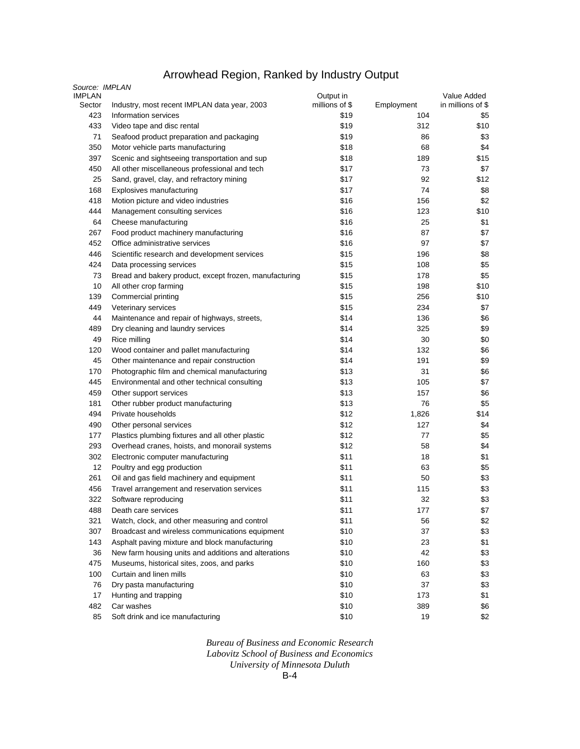|                                                  |                                                                                                                                                                                                                                                                                                                                                                                                                                                                                                                                                                                                                                                                                                                                                                                                                                                                                                                                                                                                                                                                                                                                                                                                                                                                                                                                                                                                                                                 |                                                                                                                                                                                                                                                                                                                 | Value Added<br>in millions of \$                                                                                                                                         |
|--------------------------------------------------|-------------------------------------------------------------------------------------------------------------------------------------------------------------------------------------------------------------------------------------------------------------------------------------------------------------------------------------------------------------------------------------------------------------------------------------------------------------------------------------------------------------------------------------------------------------------------------------------------------------------------------------------------------------------------------------------------------------------------------------------------------------------------------------------------------------------------------------------------------------------------------------------------------------------------------------------------------------------------------------------------------------------------------------------------------------------------------------------------------------------------------------------------------------------------------------------------------------------------------------------------------------------------------------------------------------------------------------------------------------------------------------------------------------------------------------------------|-----------------------------------------------------------------------------------------------------------------------------------------------------------------------------------------------------------------------------------------------------------------------------------------------------------------|--------------------------------------------------------------------------------------------------------------------------------------------------------------------------|
|                                                  |                                                                                                                                                                                                                                                                                                                                                                                                                                                                                                                                                                                                                                                                                                                                                                                                                                                                                                                                                                                                                                                                                                                                                                                                                                                                                                                                                                                                                                                 |                                                                                                                                                                                                                                                                                                                 | \$5                                                                                                                                                                      |
|                                                  |                                                                                                                                                                                                                                                                                                                                                                                                                                                                                                                                                                                                                                                                                                                                                                                                                                                                                                                                                                                                                                                                                                                                                                                                                                                                                                                                                                                                                                                 |                                                                                                                                                                                                                                                                                                                 | \$10                                                                                                                                                                     |
|                                                  |                                                                                                                                                                                                                                                                                                                                                                                                                                                                                                                                                                                                                                                                                                                                                                                                                                                                                                                                                                                                                                                                                                                                                                                                                                                                                                                                                                                                                                                 |                                                                                                                                                                                                                                                                                                                 | \$3                                                                                                                                                                      |
|                                                  |                                                                                                                                                                                                                                                                                                                                                                                                                                                                                                                                                                                                                                                                                                                                                                                                                                                                                                                                                                                                                                                                                                                                                                                                                                                                                                                                                                                                                                                 |                                                                                                                                                                                                                                                                                                                 | \$4                                                                                                                                                                      |
|                                                  |                                                                                                                                                                                                                                                                                                                                                                                                                                                                                                                                                                                                                                                                                                                                                                                                                                                                                                                                                                                                                                                                                                                                                                                                                                                                                                                                                                                                                                                 |                                                                                                                                                                                                                                                                                                                 | \$15                                                                                                                                                                     |
|                                                  |                                                                                                                                                                                                                                                                                                                                                                                                                                                                                                                                                                                                                                                                                                                                                                                                                                                                                                                                                                                                                                                                                                                                                                                                                                                                                                                                                                                                                                                 |                                                                                                                                                                                                                                                                                                                 | \$7                                                                                                                                                                      |
|                                                  |                                                                                                                                                                                                                                                                                                                                                                                                                                                                                                                                                                                                                                                                                                                                                                                                                                                                                                                                                                                                                                                                                                                                                                                                                                                                                                                                                                                                                                                 |                                                                                                                                                                                                                                                                                                                 | \$12                                                                                                                                                                     |
|                                                  |                                                                                                                                                                                                                                                                                                                                                                                                                                                                                                                                                                                                                                                                                                                                                                                                                                                                                                                                                                                                                                                                                                                                                                                                                                                                                                                                                                                                                                                 |                                                                                                                                                                                                                                                                                                                 |                                                                                                                                                                          |
|                                                  |                                                                                                                                                                                                                                                                                                                                                                                                                                                                                                                                                                                                                                                                                                                                                                                                                                                                                                                                                                                                                                                                                                                                                                                                                                                                                                                                                                                                                                                 |                                                                                                                                                                                                                                                                                                                 | \$8                                                                                                                                                                      |
|                                                  |                                                                                                                                                                                                                                                                                                                                                                                                                                                                                                                                                                                                                                                                                                                                                                                                                                                                                                                                                                                                                                                                                                                                                                                                                                                                                                                                                                                                                                                 |                                                                                                                                                                                                                                                                                                                 | \$2                                                                                                                                                                      |
|                                                  |                                                                                                                                                                                                                                                                                                                                                                                                                                                                                                                                                                                                                                                                                                                                                                                                                                                                                                                                                                                                                                                                                                                                                                                                                                                                                                                                                                                                                                                 |                                                                                                                                                                                                                                                                                                                 | \$10                                                                                                                                                                     |
|                                                  |                                                                                                                                                                                                                                                                                                                                                                                                                                                                                                                                                                                                                                                                                                                                                                                                                                                                                                                                                                                                                                                                                                                                                                                                                                                                                                                                                                                                                                                 |                                                                                                                                                                                                                                                                                                                 | \$1                                                                                                                                                                      |
|                                                  |                                                                                                                                                                                                                                                                                                                                                                                                                                                                                                                                                                                                                                                                                                                                                                                                                                                                                                                                                                                                                                                                                                                                                                                                                                                                                                                                                                                                                                                 |                                                                                                                                                                                                                                                                                                                 | \$7                                                                                                                                                                      |
|                                                  |                                                                                                                                                                                                                                                                                                                                                                                                                                                                                                                                                                                                                                                                                                                                                                                                                                                                                                                                                                                                                                                                                                                                                                                                                                                                                                                                                                                                                                                 |                                                                                                                                                                                                                                                                                                                 | \$7                                                                                                                                                                      |
|                                                  |                                                                                                                                                                                                                                                                                                                                                                                                                                                                                                                                                                                                                                                                                                                                                                                                                                                                                                                                                                                                                                                                                                                                                                                                                                                                                                                                                                                                                                                 |                                                                                                                                                                                                                                                                                                                 | \$8                                                                                                                                                                      |
|                                                  |                                                                                                                                                                                                                                                                                                                                                                                                                                                                                                                                                                                                                                                                                                                                                                                                                                                                                                                                                                                                                                                                                                                                                                                                                                                                                                                                                                                                                                                 |                                                                                                                                                                                                                                                                                                                 | \$5                                                                                                                                                                      |
|                                                  |                                                                                                                                                                                                                                                                                                                                                                                                                                                                                                                                                                                                                                                                                                                                                                                                                                                                                                                                                                                                                                                                                                                                                                                                                                                                                                                                                                                                                                                 |                                                                                                                                                                                                                                                                                                                 | \$5                                                                                                                                                                      |
|                                                  |                                                                                                                                                                                                                                                                                                                                                                                                                                                                                                                                                                                                                                                                                                                                                                                                                                                                                                                                                                                                                                                                                                                                                                                                                                                                                                                                                                                                                                                 |                                                                                                                                                                                                                                                                                                                 | \$10                                                                                                                                                                     |
|                                                  |                                                                                                                                                                                                                                                                                                                                                                                                                                                                                                                                                                                                                                                                                                                                                                                                                                                                                                                                                                                                                                                                                                                                                                                                                                                                                                                                                                                                                                                 |                                                                                                                                                                                                                                                                                                                 | \$10                                                                                                                                                                     |
|                                                  |                                                                                                                                                                                                                                                                                                                                                                                                                                                                                                                                                                                                                                                                                                                                                                                                                                                                                                                                                                                                                                                                                                                                                                                                                                                                                                                                                                                                                                                 |                                                                                                                                                                                                                                                                                                                 | \$7                                                                                                                                                                      |
|                                                  |                                                                                                                                                                                                                                                                                                                                                                                                                                                                                                                                                                                                                                                                                                                                                                                                                                                                                                                                                                                                                                                                                                                                                                                                                                                                                                                                                                                                                                                 | 136                                                                                                                                                                                                                                                                                                             | \$6                                                                                                                                                                      |
| Dry cleaning and laundry services                | \$14                                                                                                                                                                                                                                                                                                                                                                                                                                                                                                                                                                                                                                                                                                                                                                                                                                                                                                                                                                                                                                                                                                                                                                                                                                                                                                                                                                                                                                            | 325                                                                                                                                                                                                                                                                                                             | \$9                                                                                                                                                                      |
|                                                  | \$14                                                                                                                                                                                                                                                                                                                                                                                                                                                                                                                                                                                                                                                                                                                                                                                                                                                                                                                                                                                                                                                                                                                                                                                                                                                                                                                                                                                                                                            | 30                                                                                                                                                                                                                                                                                                              | \$0                                                                                                                                                                      |
| Wood container and pallet manufacturing          | \$14                                                                                                                                                                                                                                                                                                                                                                                                                                                                                                                                                                                                                                                                                                                                                                                                                                                                                                                                                                                                                                                                                                                                                                                                                                                                                                                                                                                                                                            | 132                                                                                                                                                                                                                                                                                                             | \$6                                                                                                                                                                      |
| Other maintenance and repair construction        | \$14                                                                                                                                                                                                                                                                                                                                                                                                                                                                                                                                                                                                                                                                                                                                                                                                                                                                                                                                                                                                                                                                                                                                                                                                                                                                                                                                                                                                                                            | 191                                                                                                                                                                                                                                                                                                             | \$9                                                                                                                                                                      |
| Photographic film and chemical manufacturing     | \$13                                                                                                                                                                                                                                                                                                                                                                                                                                                                                                                                                                                                                                                                                                                                                                                                                                                                                                                                                                                                                                                                                                                                                                                                                                                                                                                                                                                                                                            | 31                                                                                                                                                                                                                                                                                                              | \$6                                                                                                                                                                      |
| Environmental and other technical consulting     | \$13                                                                                                                                                                                                                                                                                                                                                                                                                                                                                                                                                                                                                                                                                                                                                                                                                                                                                                                                                                                                                                                                                                                                                                                                                                                                                                                                                                                                                                            | 105                                                                                                                                                                                                                                                                                                             | \$7                                                                                                                                                                      |
| Other support services                           | \$13                                                                                                                                                                                                                                                                                                                                                                                                                                                                                                                                                                                                                                                                                                                                                                                                                                                                                                                                                                                                                                                                                                                                                                                                                                                                                                                                                                                                                                            | 157                                                                                                                                                                                                                                                                                                             | \$6                                                                                                                                                                      |
| Other rubber product manufacturing               | \$13                                                                                                                                                                                                                                                                                                                                                                                                                                                                                                                                                                                                                                                                                                                                                                                                                                                                                                                                                                                                                                                                                                                                                                                                                                                                                                                                                                                                                                            | 76                                                                                                                                                                                                                                                                                                              | \$5                                                                                                                                                                      |
| Private households                               | \$12                                                                                                                                                                                                                                                                                                                                                                                                                                                                                                                                                                                                                                                                                                                                                                                                                                                                                                                                                                                                                                                                                                                                                                                                                                                                                                                                                                                                                                            | 1,826                                                                                                                                                                                                                                                                                                           | \$14                                                                                                                                                                     |
| Other personal services                          | \$12                                                                                                                                                                                                                                                                                                                                                                                                                                                                                                                                                                                                                                                                                                                                                                                                                                                                                                                                                                                                                                                                                                                                                                                                                                                                                                                                                                                                                                            | 127                                                                                                                                                                                                                                                                                                             | \$4                                                                                                                                                                      |
| Plastics plumbing fixtures and all other plastic | \$12                                                                                                                                                                                                                                                                                                                                                                                                                                                                                                                                                                                                                                                                                                                                                                                                                                                                                                                                                                                                                                                                                                                                                                                                                                                                                                                                                                                                                                            | 77                                                                                                                                                                                                                                                                                                              | \$5                                                                                                                                                                      |
| Overhead cranes, hoists, and monorail systems    | \$12                                                                                                                                                                                                                                                                                                                                                                                                                                                                                                                                                                                                                                                                                                                                                                                                                                                                                                                                                                                                                                                                                                                                                                                                                                                                                                                                                                                                                                            | 58                                                                                                                                                                                                                                                                                                              | \$4                                                                                                                                                                      |
| Electronic computer manufacturing                | \$11                                                                                                                                                                                                                                                                                                                                                                                                                                                                                                                                                                                                                                                                                                                                                                                                                                                                                                                                                                                                                                                                                                                                                                                                                                                                                                                                                                                                                                            | 18                                                                                                                                                                                                                                                                                                              | \$1                                                                                                                                                                      |
| Poultry and egg production                       | \$11                                                                                                                                                                                                                                                                                                                                                                                                                                                                                                                                                                                                                                                                                                                                                                                                                                                                                                                                                                                                                                                                                                                                                                                                                                                                                                                                                                                                                                            | 63                                                                                                                                                                                                                                                                                                              | \$5                                                                                                                                                                      |
| Oil and gas field machinery and equipment        | \$11                                                                                                                                                                                                                                                                                                                                                                                                                                                                                                                                                                                                                                                                                                                                                                                                                                                                                                                                                                                                                                                                                                                                                                                                                                                                                                                                                                                                                                            | 50                                                                                                                                                                                                                                                                                                              | \$3                                                                                                                                                                      |
| Travel arrangement and reservation services      | \$11                                                                                                                                                                                                                                                                                                                                                                                                                                                                                                                                                                                                                                                                                                                                                                                                                                                                                                                                                                                                                                                                                                                                                                                                                                                                                                                                                                                                                                            | 115                                                                                                                                                                                                                                                                                                             | \$3                                                                                                                                                                      |
| Software reproducing                             | \$11                                                                                                                                                                                                                                                                                                                                                                                                                                                                                                                                                                                                                                                                                                                                                                                                                                                                                                                                                                                                                                                                                                                                                                                                                                                                                                                                                                                                                                            | 32                                                                                                                                                                                                                                                                                                              | \$3                                                                                                                                                                      |
| Death care services                              |                                                                                                                                                                                                                                                                                                                                                                                                                                                                                                                                                                                                                                                                                                                                                                                                                                                                                                                                                                                                                                                                                                                                                                                                                                                                                                                                                                                                                                                 | 177                                                                                                                                                                                                                                                                                                             | \$7                                                                                                                                                                      |
| Watch, clock, and other measuring and control    |                                                                                                                                                                                                                                                                                                                                                                                                                                                                                                                                                                                                                                                                                                                                                                                                                                                                                                                                                                                                                                                                                                                                                                                                                                                                                                                                                                                                                                                 | 56                                                                                                                                                                                                                                                                                                              | \$2                                                                                                                                                                      |
| Broadcast and wireless communications equipment  | \$10                                                                                                                                                                                                                                                                                                                                                                                                                                                                                                                                                                                                                                                                                                                                                                                                                                                                                                                                                                                                                                                                                                                                                                                                                                                                                                                                                                                                                                            | 37                                                                                                                                                                                                                                                                                                              | \$3                                                                                                                                                                      |
|                                                  |                                                                                                                                                                                                                                                                                                                                                                                                                                                                                                                                                                                                                                                                                                                                                                                                                                                                                                                                                                                                                                                                                                                                                                                                                                                                                                                                                                                                                                                 | 23                                                                                                                                                                                                                                                                                                              | \$1                                                                                                                                                                      |
|                                                  |                                                                                                                                                                                                                                                                                                                                                                                                                                                                                                                                                                                                                                                                                                                                                                                                                                                                                                                                                                                                                                                                                                                                                                                                                                                                                                                                                                                                                                                 | 42                                                                                                                                                                                                                                                                                                              | \$3                                                                                                                                                                      |
|                                                  |                                                                                                                                                                                                                                                                                                                                                                                                                                                                                                                                                                                                                                                                                                                                                                                                                                                                                                                                                                                                                                                                                                                                                                                                                                                                                                                                                                                                                                                 |                                                                                                                                                                                                                                                                                                                 | \$3                                                                                                                                                                      |
|                                                  |                                                                                                                                                                                                                                                                                                                                                                                                                                                                                                                                                                                                                                                                                                                                                                                                                                                                                                                                                                                                                                                                                                                                                                                                                                                                                                                                                                                                                                                 |                                                                                                                                                                                                                                                                                                                 | \$3                                                                                                                                                                      |
|                                                  |                                                                                                                                                                                                                                                                                                                                                                                                                                                                                                                                                                                                                                                                                                                                                                                                                                                                                                                                                                                                                                                                                                                                                                                                                                                                                                                                                                                                                                                 |                                                                                                                                                                                                                                                                                                                 | \$3                                                                                                                                                                      |
|                                                  |                                                                                                                                                                                                                                                                                                                                                                                                                                                                                                                                                                                                                                                                                                                                                                                                                                                                                                                                                                                                                                                                                                                                                                                                                                                                                                                                                                                                                                                 |                                                                                                                                                                                                                                                                                                                 | \$1                                                                                                                                                                      |
|                                                  |                                                                                                                                                                                                                                                                                                                                                                                                                                                                                                                                                                                                                                                                                                                                                                                                                                                                                                                                                                                                                                                                                                                                                                                                                                                                                                                                                                                                                                                 |                                                                                                                                                                                                                                                                                                                 | \$6                                                                                                                                                                      |
|                                                  |                                                                                                                                                                                                                                                                                                                                                                                                                                                                                                                                                                                                                                                                                                                                                                                                                                                                                                                                                                                                                                                                                                                                                                                                                                                                                                                                                                                                                                                 | 19                                                                                                                                                                                                                                                                                                              | \$2                                                                                                                                                                      |
| 71<br>181                                        | Source: IMPLAN<br><b>IMPLAN</b><br>Sector<br>Industry, most recent IMPLAN data year, 2003<br>423<br>Information services<br>433<br>Video tape and disc rental<br>Seafood product preparation and packaging<br>350<br>Motor vehicle parts manufacturing<br>397<br>Scenic and sightseeing transportation and sup<br>450<br>All other miscellaneous professional and tech<br>25<br>Sand, gravel, clay, and refractory mining<br>168<br>Explosives manufacturing<br>418<br>Motion picture and video industries<br>444<br>Management consulting services<br>64<br>Cheese manufacturing<br>267<br>Food product machinery manufacturing<br>452<br>Office administrative services<br>446<br>Scientific research and development services<br>424<br>Data processing services<br>73<br>Bread and bakery product, except frozen, manufacturing<br>10<br>All other crop farming<br>139<br>Commercial printing<br>449<br>Veterinary services<br>44<br>Maintenance and repair of highways, streets,<br>489<br>49<br>Rice milling<br>120<br>45<br>170<br>445<br>459<br>494<br>490<br>177<br>293<br>302<br>12<br>261<br>456<br>322<br>488<br>321<br>307<br>143<br>Asphalt paving mixture and block manufacturing<br>36<br>New farm housing units and additions and alterations<br>475<br>Museums, historical sites, zoos, and parks<br>Curtain and linen mills<br>100<br>76<br>Dry pasta manufacturing<br>17<br>Hunting and trapping<br>482<br>Car washes<br>85 | Output in<br>millions of \$<br>\$19<br>\$19<br>\$19<br>\$18<br>\$18<br>\$17<br>\$17<br>\$17<br>\$16<br>\$16<br>\$16<br>\$16<br>\$16<br>\$15<br>\$15<br>\$15<br>\$15<br>\$15<br>\$15<br>\$14<br>\$11<br>\$11<br>\$10<br>\$10<br>\$10<br>\$10<br>\$10<br>\$10<br>\$10<br>Soft drink and ice manufacturing<br>\$10 | Employment<br>104<br>312<br>86<br>68<br>189<br>73<br>92<br>74<br>156<br>123<br>25<br>87<br>97<br>196<br>108<br>178<br>198<br>256<br>234<br>160<br>63<br>37<br>173<br>389 |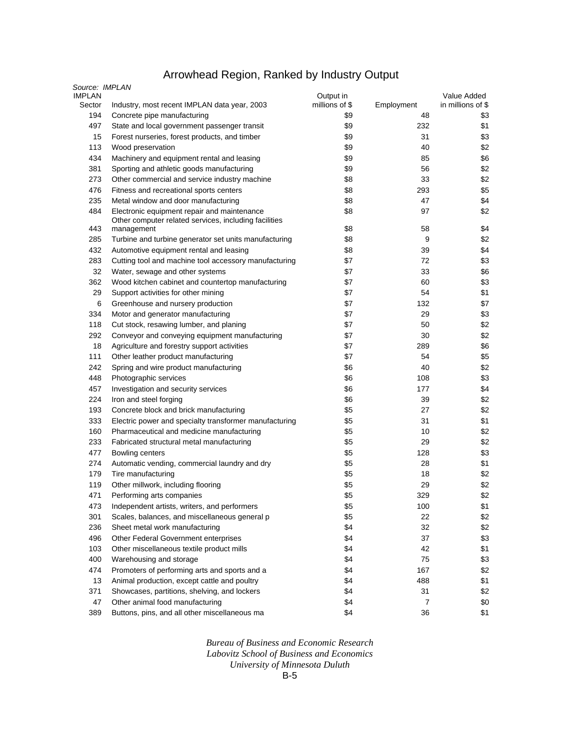|                         | Source: IMPLAN                                         |                             |            |                                  |
|-------------------------|--------------------------------------------------------|-----------------------------|------------|----------------------------------|
| <b>IMPLAN</b><br>Sector | Industry, most recent IMPLAN data year, 2003           | Output in<br>millions of \$ | Employment | Value Added<br>in millions of \$ |
| 194                     | Concrete pipe manufacturing                            | \$9                         | 48         | \$3                              |
| 497                     | State and local government passenger transit           | \$9                         | 232        | \$1                              |
| 15                      | Forest nurseries, forest products, and timber          | \$9                         | 31         | \$3                              |
| 113                     | Wood preservation                                      | \$9                         | 40         | \$2                              |
| 434                     | Machinery and equipment rental and leasing             | \$9                         | 85         | \$6                              |
| 381                     | Sporting and athletic goods manufacturing              | \$9                         | 56         | \$2                              |
| 273                     | Other commercial and service industry machine          | \$8                         | 33         | \$2                              |
| 476                     | Fitness and recreational sports centers                | \$8                         | 293        | \$5                              |
| 235                     | Metal window and door manufacturing                    | \$8                         | 47         | \$4                              |
| 484                     | Electronic equipment repair and maintenance            | \$8                         | 97         | \$2                              |
|                         | Other computer related services, including facilities  |                             |            |                                  |
| 443                     | management                                             | \$8                         | 58         | \$4                              |
| 285                     | Turbine and turbine generator set units manufacturing  | \$8                         | 9          | \$2                              |
| 432                     | Automotive equipment rental and leasing                | \$8                         | 39         | \$4                              |
| 283                     | Cutting tool and machine tool accessory manufacturing  | \$7                         | 72         | \$3                              |
| 32                      | Water, sewage and other systems                        | \$7                         | 33         | \$6                              |
| 362                     | Wood kitchen cabinet and countertop manufacturing      | \$7                         | 60         | \$3                              |
| 29                      | Support activities for other mining                    | \$7                         | 54         | \$1                              |
| 6                       | Greenhouse and nursery production                      | \$7                         | 132        | \$7                              |
| 334                     | Motor and generator manufacturing                      | \$7                         | 29         | \$3                              |
| 118                     | Cut stock, resawing lumber, and planing                | \$7                         | 50         | \$2                              |
| 292                     | Conveyor and conveying equipment manufacturing         | \$7                         | 30         | \$2                              |
| 18                      | Agriculture and forestry support activities            | \$7                         | 289        | \$6                              |
| 111                     | Other leather product manufacturing                    | \$7                         | 54         | \$5                              |
| 242                     | Spring and wire product manufacturing                  | \$6                         | 40         | \$2                              |
| 448                     | Photographic services                                  | \$6                         | 108        | \$3                              |
| 457                     | Investigation and security services                    | \$6                         | 177        | \$4                              |
| 224                     | Iron and steel forging                                 | \$6                         | 39         | \$2                              |
| 193                     | Concrete block and brick manufacturing                 | \$5                         | 27         | \$2                              |
| 333                     | Electric power and specialty transformer manufacturing | \$5                         | 31         | \$1                              |
| 160                     | Pharmaceutical and medicine manufacturing              | \$5                         | 10         | \$2                              |
| 233                     | Fabricated structural metal manufacturing              | \$5                         | 29         | \$2                              |
| 477                     | Bowling centers                                        | \$5                         | 128        | \$3                              |
| 274                     | Automatic vending, commercial laundry and dry          | \$5                         | 28         | \$1                              |
| 179                     | Tire manufacturing                                     | \$5                         | 18         | \$2                              |
| 119                     | Other millwork, including flooring                     | \$5                         | 29         | \$2                              |
| 471                     | Performing arts companies                              | \$5                         | 329        | \$2                              |
| 473                     | Independent artists, writers, and performers           | \$5                         | 100        | \$1                              |
| 301                     | Scales, balances, and miscellaneous general p          | \$5                         | 22         | \$2                              |
| 236                     | Sheet metal work manufacturing                         | \$4                         | 32         | \$2                              |
| 496                     | Other Federal Government enterprises                   | \$4                         | 37         | \$3                              |
| 103                     | Other miscellaneous textile product mills              | \$4                         | 42         | \$1                              |
| 400                     | Warehousing and storage                                | \$4                         | 75         | \$3                              |
| 474                     | Promoters of performing arts and sports and a          | \$4                         | 167        | \$2                              |
| 13                      | Animal production, except cattle and poultry           | \$4                         | 488        | \$1                              |
| 371                     | Showcases, partitions, shelving, and lockers           | \$4                         | 31         | \$2                              |
| 47                      | Other animal food manufacturing                        | \$4                         | 7          | \$0                              |
| 389                     | Buttons, pins, and all other miscellaneous ma          | \$4                         | 36         | \$1                              |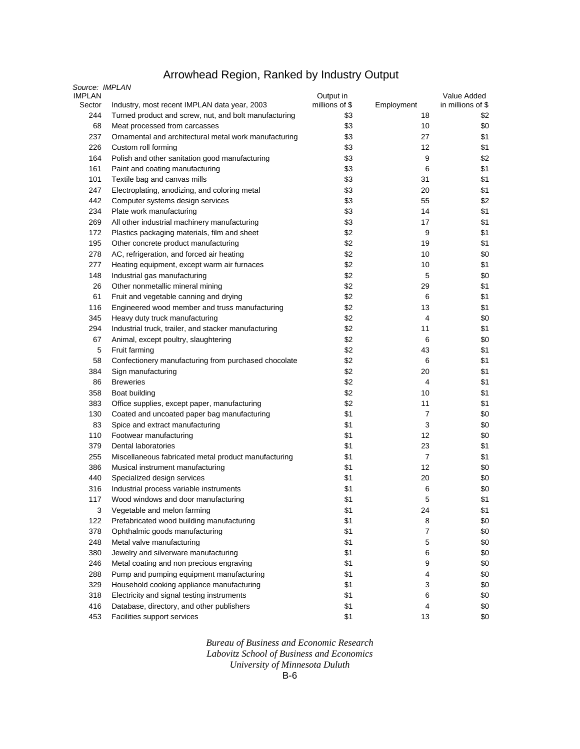| Source: IMPLAN |                                                       |                |            |                   |
|----------------|-------------------------------------------------------|----------------|------------|-------------------|
| <b>IMPLAN</b>  |                                                       | Output in      |            | Value Added       |
| Sector         | Industry, most recent IMPLAN data year, 2003          | millions of \$ | Employment | in millions of \$ |
| 244            | Turned product and screw, nut, and bolt manufacturing | \$3            | 18         | \$2               |
| 68             | Meat processed from carcasses                         | \$3            | 10         | \$0               |
| 237            | Ornamental and architectural metal work manufacturing | \$3            | 27         | \$1               |
| 226            | Custom roll forming                                   | \$3            | 12         | \$1               |
| 164            | Polish and other sanitation good manufacturing        | \$3            | 9          | \$2               |
| 161            | Paint and coating manufacturing                       | \$3            | 6          | \$1               |
| 101            | Textile bag and canvas mills                          | \$3            | 31         | \$1               |
| 247            | Electroplating, anodizing, and coloring metal         | \$3            | 20         | \$1               |
| 442            | Computer systems design services                      | \$3            | 55         | \$2               |
| 234            | Plate work manufacturing                              | \$3            | 14         | \$1               |
| 269            | All other industrial machinery manufacturing          | \$3            | 17         | \$1               |
| 172            | Plastics packaging materials, film and sheet          | \$2            | 9          | \$1               |
| 195            | Other concrete product manufacturing                  | \$2            | 19         | \$1               |
| 278            | AC, refrigeration, and forced air heating             | \$2            | 10         | \$0               |
| 277            |                                                       | \$2            | 10         | \$1               |
| 148            | Heating equipment, except warm air furnaces           | \$2            | 5          | \$0               |
|                | Industrial gas manufacturing                          |                |            |                   |
| 26             | Other nonmetallic mineral mining                      | \$2            | 29         | \$1               |
| 61             | Fruit and vegetable canning and drying                | \$2            | 6          | \$1               |
| 116            | Engineered wood member and truss manufacturing        | \$2            | 13         | \$1               |
| 345            | Heavy duty truck manufacturing                        | \$2            | 4          | \$0               |
| 294            | Industrial truck, trailer, and stacker manufacturing  | \$2            | 11         | \$1               |
| 67             | Animal, except poultry, slaughtering                  | \$2            | 6          | \$0               |
| 5              | Fruit farming                                         | \$2            | 43         | \$1               |
| 58             | Confectionery manufacturing from purchased chocolate  | \$2            | 6          | \$1               |
| 384            | Sign manufacturing                                    | \$2            | 20         | \$1               |
| 86             | <b>Breweries</b>                                      | \$2            | 4          | \$1               |
| 358            | Boat building                                         | \$2            | 10         | \$1               |
| 383            | Office supplies, except paper, manufacturing          | \$2            | 11         | \$1               |
| 130            | Coated and uncoated paper bag manufacturing           | \$1            | 7          | \$0               |
| 83             | Spice and extract manufacturing                       | \$1            | 3          | \$0               |
| 110            | Footwear manufacturing                                | \$1            | 12         | \$0               |
| 379            | Dental laboratories                                   | \$1            | 23         | \$1               |
| 255            | Miscellaneous fabricated metal product manufacturing  | \$1            | 7          | \$1               |
| 386            | Musical instrument manufacturing                      | \$1            | 12         | \$0               |
| 440            | Specialized design services                           | \$1            | 20         | \$0               |
| 316            | Industrial process variable instruments               | \$1            | 6          | \$0               |
| 117            | Wood windows and door manufacturing                   | \$1            | 5          | \$1               |
| 3              | Vegetable and melon farming                           | \$1            | 24         | \$1               |
| 122            | Prefabricated wood building manufacturing             | \$1            | 8          | \$0               |
| 378            | Ophthalmic goods manufacturing                        | \$1            | 7          | \$0               |
| 248            | Metal valve manufacturing                             | \$1            | 5          | \$0               |
| 380            | Jewelry and silverware manufacturing                  | \$1            | 6          | \$0               |
| 246            | Metal coating and non precious engraving              | \$1            | 9          | \$0               |
| 288            | Pump and pumping equipment manufacturing              | \$1            | 4          | \$0               |
| 329            | Household cooking appliance manufacturing             | \$1            | 3          | \$0               |
| 318            | Electricity and signal testing instruments            | \$1            | 6          | \$0               |
| 416            | Database, directory, and other publishers             | \$1            | 4          | \$0               |
| 453            | Facilities support services                           | \$1            | 13         | \$0               |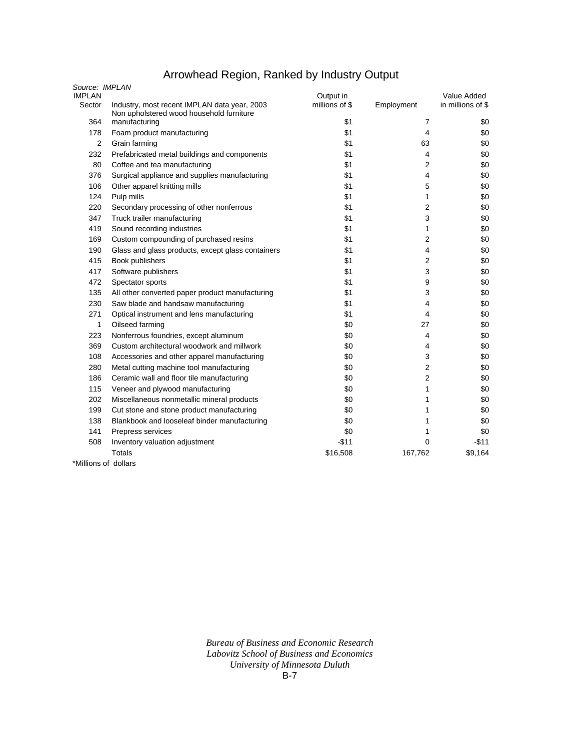| Source: IMPLAN |                                                                                          |                             |                |                   |
|----------------|------------------------------------------------------------------------------------------|-----------------------------|----------------|-------------------|
| <b>IMPLAN</b>  |                                                                                          | Output in<br>millions of \$ |                | Value Added       |
| Sector         | Industry, most recent IMPLAN data year, 2003<br>Non upholstered wood household furniture |                             | Employment     | in millions of \$ |
| 364            | manufacturing                                                                            | \$1                         | 7              | \$0               |
| 178            | Foam product manufacturing                                                               | \$1                         | 4              | \$0               |
| 2              | Grain farming                                                                            | \$1                         | 63             | \$0               |
| 232            | Prefabricated metal buildings and components                                             | \$1                         | 4              | \$0               |
| 80             | Coffee and tea manufacturing                                                             | \$1                         | $\overline{2}$ | \$0               |
| 376            | Surgical appliance and supplies manufacturing                                            | \$1                         | 4              | \$0               |
| 106            | Other apparel knitting mills                                                             | \$1                         | 5              | \$0               |
| 124            | Pulp mills                                                                               | \$1                         | 1              | \$0               |
| 220            | Secondary processing of other nonferrous                                                 | \$1                         | $\overline{2}$ | \$0               |
| 347            | Truck trailer manufacturing                                                              | \$1                         | 3              | \$0               |
| 419            | Sound recording industries                                                               | \$1                         | 1              | \$0               |
| 169            | Custom compounding of purchased resins                                                   | \$1                         | $\overline{2}$ | \$0               |
| 190            | Glass and glass products, except glass containers                                        | \$1                         | 4              | \$0               |
| 415            | Book publishers                                                                          | \$1                         | $\overline{2}$ | \$0               |
| 417            | Software publishers                                                                      | \$1                         | 3              | \$0               |
| 472            | Spectator sports                                                                         | \$1                         | 9              | \$0               |
| 135            | All other converted paper product manufacturing                                          | \$1                         | 3              | \$0               |
| 230            | Saw blade and handsaw manufacturing                                                      | \$1                         | 4              | \$0               |
| 271            | Optical instrument and lens manufacturing                                                | \$1                         | $\overline{4}$ | \$0               |
| 1              | Oilseed farming                                                                          | \$0                         | 27             | \$0               |
| 223            | Nonferrous foundries, except aluminum                                                    | \$0                         | 4              | \$0               |
| 369            | Custom architectural woodwork and millwork                                               | \$0                         | 4              | \$0               |
| 108            | Accessories and other apparel manufacturing                                              | \$0                         | 3              | \$0               |
| 280            | Metal cutting machine tool manufacturing                                                 | \$0                         | $\overline{2}$ | \$0               |
| 186            | Ceramic wall and floor tile manufacturing                                                | \$0                         | 2              | \$0               |
| 115            | Veneer and plywood manufacturing                                                         | \$0                         | 1              | \$0               |
| 202            | Miscellaneous nonmetallic mineral products                                               | \$0                         | 1              | \$0               |
| 199            | Cut stone and stone product manufacturing                                                | \$0                         | 1              | \$0               |
| 138            | Blankbook and looseleaf binder manufacturing                                             | \$0                         | 1              | \$0               |
| 141            | Prepress services                                                                        | \$0                         | 1              | \$0               |
| 508            | Inventory valuation adjustment                                                           | $-$11$                      | $\Omega$       | $-$11$            |
|                | Totals                                                                                   | \$16,508                    | 167,762        | \$9,164           |
|                |                                                                                          |                             |                |                   |

\*Millions of dollars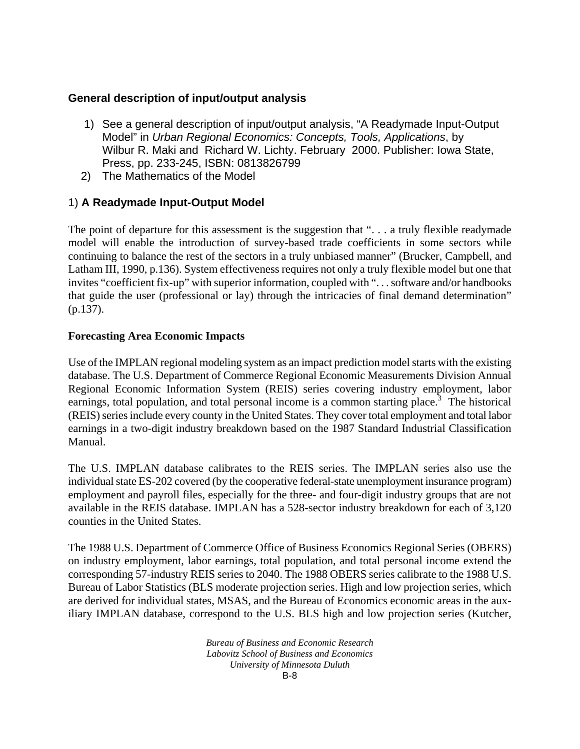## **General description of input/output analysis**

- 1) See a general description of input/output analysis, "A Readymade Input-Output Model" in *Urban Regional Economics: Concepts, Tools, Applications*, by Wilbur R. Maki and Richard W. Lichty. February 2000. Publisher: Iowa State, Press, pp. 233-245, ISBN: 0813826799
- 2) The Mathematics of the Model

## 1) **A Readymade Input-Output Model**

The point of departure for this assessment is the suggestion that ". . . a truly flexible readymade model will enable the introduction of survey-based trade coefficients in some sectors while continuing to balance the rest of the sectors in a truly unbiased manner" (Brucker, Campbell, and Latham III, 1990, p.136). System effectiveness requires not only a truly flexible model but one that invites "coefficient fix-up" with superior information, coupled with ". . . software and/or handbooks that guide the user (professional or lay) through the intricacies of final demand determination" (p.137).

## **Forecasting Area Economic Impacts**

Use of the IMPLAN regional modeling system as an impact prediction model starts with the existing database. The U.S. Department of Commerce Regional Economic Measurements Division Annual Regional Economic Information System (REIS) series covering industry employment, labor earnings, total population, and total personal income is a common starting place.<sup>3</sup> The historical (REIS) series include every county in the United States. They cover total employment and total labor earnings in a two-digit industry breakdown based on the 1987 Standard Industrial Classification Manual.

The U.S. IMPLAN database calibrates to the REIS series. The IMPLAN series also use the individual state ES-202 covered (by the cooperative federal-state unemployment insurance program) employment and payroll files, especially for the three- and four-digit industry groups that are not available in the REIS database. IMPLAN has a 528-sector industry breakdown for each of 3,120 counties in the United States.

The 1988 U.S. Department of Commerce Office of Business Economics Regional Series (OBERS) on industry employment, labor earnings, total population, and total personal income extend the corresponding 57-industry REIS series to 2040. The 1988 OBERS series calibrate to the 1988 U.S. Bureau of Labor Statistics (BLS moderate projection series. High and low projection series, which are derived for individual states, MSAS, and the Bureau of Economics economic areas in the auxiliary IMPLAN database, correspond to the U.S. BLS high and low projection series (Kutcher,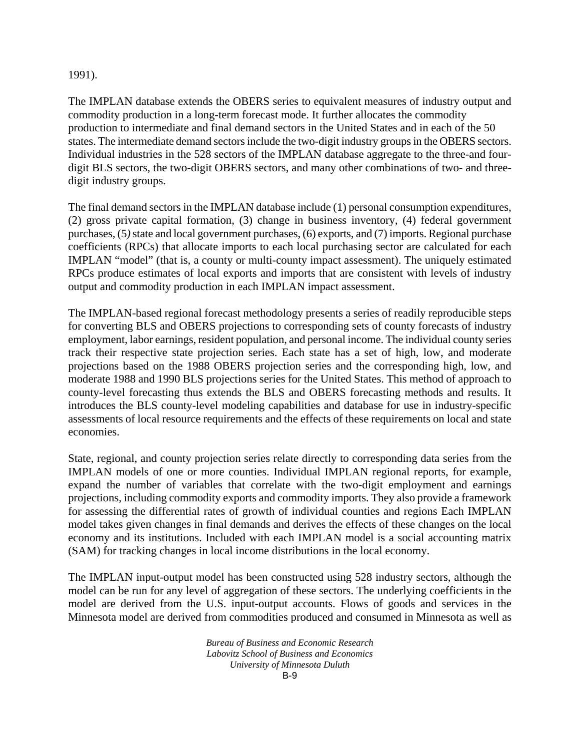### 1991).

The IMPLAN database extends the OBERS series to equivalent measures of industry output and commodity production in a long-term forecast mode. It further allocates the commodity production to intermediate and final demand sectors in the United States and in each of the 50 states. The intermediate demand sectors include the two-digit industry groups in the OBERS sectors. Individual industries in the 528 sectors of the IMPLAN database aggregate to the three-and fourdigit BLS sectors, the two-digit OBERS sectors, and many other combinations of two- and threedigit industry groups.

The final demand sectors in the IMPLAN database include (1) personal consumption expenditures, (2) gross private capital formation, (3) change in business inventory, (4) federal government purchases, (5*)* state and local government purchases, (6) exports, and (7) imports. Regional purchase coefficients (RPCs) that allocate imports to each local purchasing sector are calculated for each IMPLAN "model" (that is, a county or multi-county impact assessment). The uniquely estimated RPCs produce estimates of local exports and imports that are consistent with levels of industry output and commodity production in each IMPLAN impact assessment.

The IMPLAN-based regional forecast methodology presents a series of readily reproducible steps for converting BLS and OBERS projections to corresponding sets of county forecasts of industry employment, labor earnings, resident population, and personal income. The individual county series track their respective state projection series. Each state has a set of high, low, and moderate projections based on the 1988 OBERS projection series and the corresponding high, low, and moderate 1988 and 1990 BLS projections series for the United States. This method of approach to county-level forecasting thus extends the BLS and OBERS forecasting methods and results. It introduces the BLS county-level modeling capabilities and database for use in industry-specific assessments of local resource requirements and the effects of these requirements on local and state economies.

State, regional, and county projection series relate directly to corresponding data series from the IMPLAN models of one or more counties. Individual IMPLAN regional reports, for example, expand the number of variables that correlate with the two-digit employment and earnings projections, including commodity exports and commodity imports. They also provide a framework for assessing the differential rates of growth of individual counties and regions Each IMPLAN model takes given changes in final demands and derives the effects of these changes on the local economy and its institutions. Included with each IMPLAN model is a social accounting matrix (SAM) for tracking changes in local income distributions in the local economy.

The IMPLAN input-output model has been constructed using 528 industry sectors, although the model can be run for any level of aggregation of these sectors. The underlying coefficients in the model are derived from the U.S. input-output accounts. Flows of goods and services in the Minnesota model are derived from commodities produced and consumed in Minnesota as well as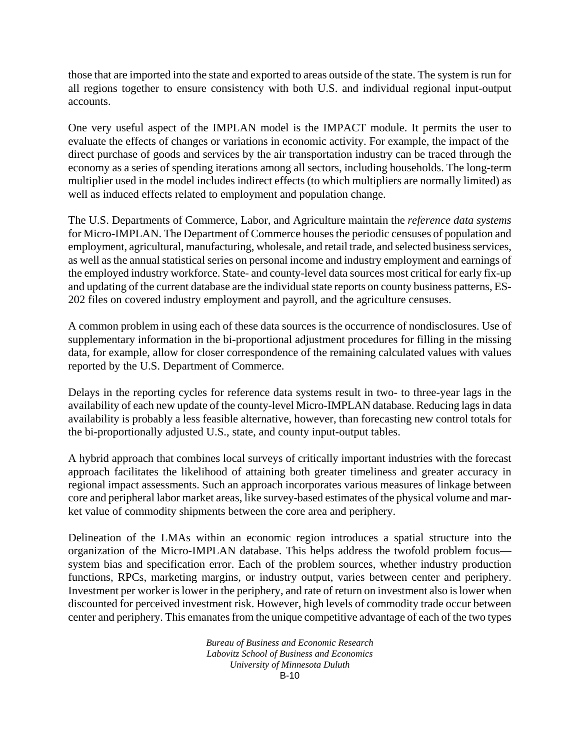those that are imported into the state and exported to areas outside of the state. The system is run for all regions together to ensure consistency with both U.S. and individual regional input-output accounts.

One very useful aspect of the IMPLAN model is the IMPACT module. It permits the user to evaluate the effects of changes or variations in economic activity. For example, the impact of the direct purchase of goods and services by the air transportation industry can be traced through the economy as a series of spending iterations among all sectors, including households. The long-term multiplier used in the model includes indirect effects (to which multipliers are normally limited) as well as induced effects related to employment and population change.

The U.S. Departments of Commerce, Labor, and Agriculture maintain the *reference data systems*  for Micro-IMPLAN. The Department of Commerce houses the periodic censuses of population and employment, agricultural, manufacturing, wholesale, and retail trade, and selected business services, as well as the annual statistical series on personal income and industry employment and earnings of the employed industry workforce. State- and county-level data sources most critical for early fix-up and updating of the current database are the individual state reports on county business patterns, ES-202 files on covered industry employment and payroll, and the agriculture censuses.

A common problem in using each of these data sources is the occurrence of nondisclosures. Use of supplementary information in the bi-proportional adjustment procedures for filling in the missing data, for example, allow for closer correspondence of the remaining calculated values with values reported by the U.S. Department of Commerce.

Delays in the reporting cycles for reference data systems result in two- to three-year lags in the availability of each new update of the county-level Micro-IMPLAN database. Reducing lags in data availability is probably a less feasible alternative, however, than forecasting new control totals for the bi-proportionally adjusted U.S., state, and county input-output tables.

A hybrid approach that combines local surveys of critically important industries with the forecast approach facilitates the likelihood of attaining both greater timeliness and greater accuracy in regional impact assessments. Such an approach incorporates various measures of linkage between core and peripheral labor market areas, like survey-based estimates of the physical volume and market value of commodity shipments between the core area and periphery.

Delineation of the LMAs within an economic region introduces a spatial structure into the organization of the Micro-IMPLAN database. This helps address the twofold problem focus system bias and specification error. Each of the problem sources, whether industry production functions, RPCs, marketing margins, or industry output, varies between center and periphery. Investment per worker is lower in the periphery, and rate of return on investment also is lower when discounted for perceived investment risk. However, high levels of commodity trade occur between center and periphery. This emanates from the unique competitive advantage of each of the two types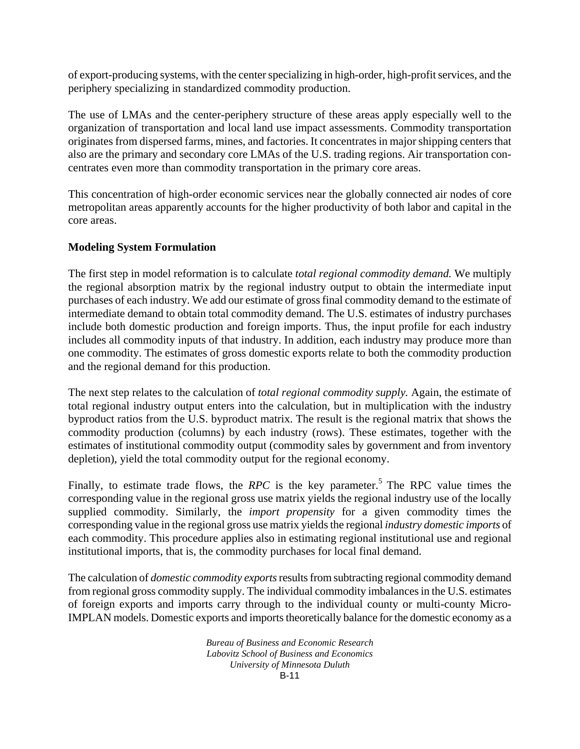of export-producing systems, with the center specializing in high-order, high-profit services, and the periphery specializing in standardized commodity production.

The use of LMAs and the center-periphery structure of these areas apply especially well to the organization of transportation and local land use impact assessments. Commodity transportation originates from dispersed farms, mines, and factories. It concentrates in major shipping centers that also are the primary and secondary core LMAs of the U.S. trading regions. Air transportation concentrates even more than commodity transportation in the primary core areas.

This concentration of high-order economic services near the globally connected air nodes of core metropolitan areas apparently accounts for the higher productivity of both labor and capital in the core areas.

## **Modeling System Formulation**

The first step in model reformation is to calculate *total regional commodity demand.* We multiply the regional absorption matrix by the regional industry output to obtain the intermediate input purchases of each industry. We add our estimate of gross final commodity demand to the estimate of intermediate demand to obtain total commodity demand. The U.S. estimates of industry purchases include both domestic production and foreign imports. Thus, the input profile for each industry includes all commodity inputs of that industry. In addition, each industry may produce more than one commodity. The estimates of gross domestic exports relate to both the commodity production and the regional demand for this production.

The next step relates to the calculation of *total regional commodity supply.* Again, the estimate of total regional industry output enters into the calculation, but in multiplication with the industry byproduct ratios from the U.S. byproduct matrix. The result is the regional matrix that shows the commodity production (columns) by each industry (rows). These estimates, together with the estimates of institutional commodity output (commodity sales by government and from inventory depletion), yield the total commodity output for the regional economy.

Finally, to estimate trade flows, the *RPC* is the key parameter.<sup>5</sup> The *RPC* value times the corresponding value in the regional gross use matrix yields the regional industry use of the locally supplied commodity. Similarly, the *import propensity* for a given commodity times the corresponding value in the regional gross use matrix yields the regional *industry domestic imports* of each commodity. This procedure applies also in estimating regional institutional use and regional institutional imports, that is, the commodity purchases for local final demand.

The calculation of *domestic commodity exports* results from subtracting regional commodity demand from regional gross commodity supply. The individual commodity imbalances in the U.S. estimates of foreign exports and imports carry through to the individual county or multi-county Micro-IMPLAN models. Domestic exports and imports theoretically balance for the domestic economy as a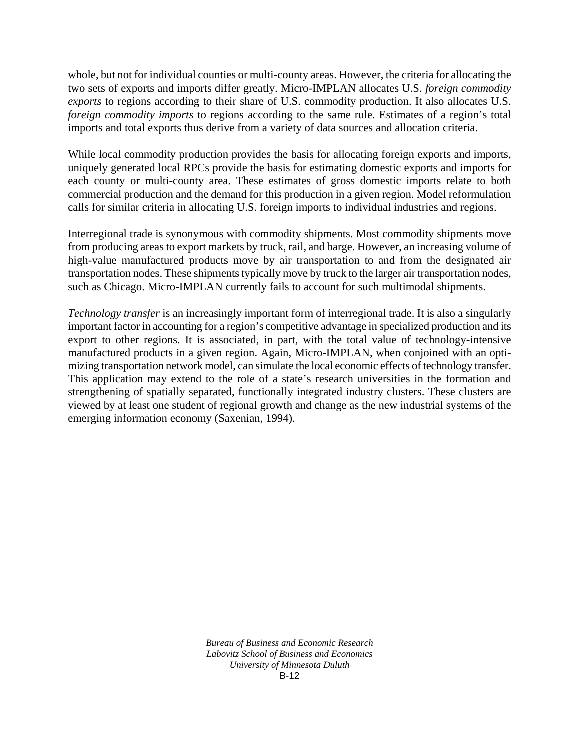whole, but not for individual counties or multi-county areas. However, the criteria for allocating the two sets of exports and imports differ greatly. Micro-IMPLAN allocates U.S. *foreign commodity exports* to regions according to their share of U.S. commodity production. It also allocates U.S. *foreign commodity imports* to regions according to the same rule. Estimates of a region's total imports and total exports thus derive from a variety of data sources and allocation criteria.

While local commodity production provides the basis for allocating foreign exports and imports, uniquely generated local RPCs provide the basis for estimating domestic exports and imports for each county or multi-county area. These estimates of gross domestic imports relate to both commercial production and the demand for this production in a given region. Model reformulation calls for similar criteria in allocating U.S. foreign imports to individual industries and regions.

Interregional trade is synonymous with commodity shipments. Most commodity shipments move from producing areas to export markets by truck, rail, and barge. However, an increasing volume of high-value manufactured products move by air transportation to and from the designated air transportation nodes. These shipments typically move by truck to the larger air transportation nodes, such as Chicago. Micro-IMPLAN currently fails to account for such multimodal shipments.

*Technology transfer* is an increasingly important form of interregional trade. It is also a singularly important factor in accounting for a region's competitive advantage in specialized production and its export to other regions. It is associated, in part, with the total value of technology-intensive manufactured products in a given region. Again, Micro-IMPLAN, when conjoined with an optimizing transportation network model, can simulate the local economic effects of technology transfer. This application may extend to the role of a state's research universities in the formation and strengthening of spatially separated, functionally integrated industry clusters. These clusters are viewed by at least one student of regional growth and change as the new industrial systems of the emerging information economy (Saxenian, 1994).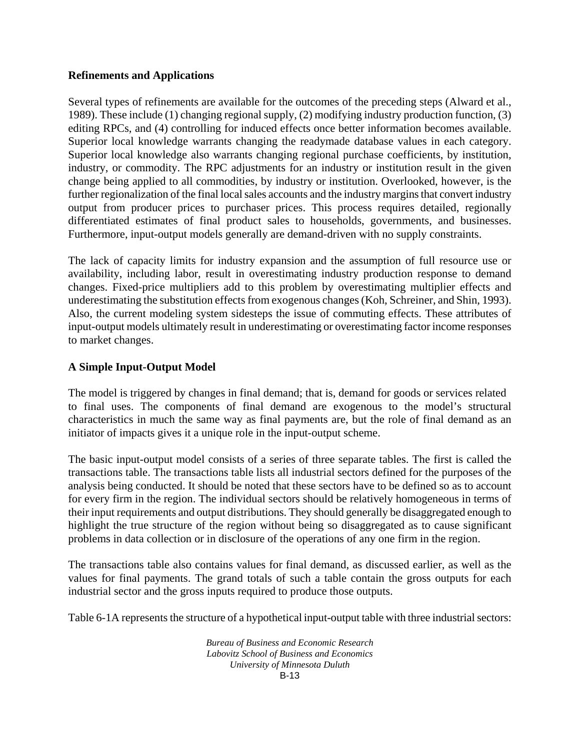### **Refinements and Applications**

Several types of refinements are available for the outcomes of the preceding steps (Alward et al., 1989). These include (1) changing regional supply, (2) modifying industry production function, (3) editing RPCs, and (4) controlling for induced effects once better information becomes available. Superior local knowledge warrants changing the readymade database values in each category. Superior local knowledge also warrants changing regional purchase coefficients, by institution, industry, or commodity. The RPC adjustments for an industry or institution result in the given change being applied to all commodities, by industry or institution. Overlooked, however, is the further regionalization of the final local sales accounts and the industry margins that convert industry output from producer prices to purchaser prices. This process requires detailed, regionally differentiated estimates of final product sales to households, governments, and businesses. Furthermore, input-output models generally are demand-driven with no supply constraints.

The lack of capacity limits for industry expansion and the assumption of full resource use or availability, including labor, result in overestimating industry production response to demand changes. Fixed-price multipliers add to this problem by overestimating multiplier effects and underestimating the substitution effects from exogenous changes (Koh, Schreiner, and Shin, 1993). Also, the current modeling system sidesteps the issue of commuting effects. These attributes of input-output models ultimately result in underestimating or overestimating factor income responses to market changes.

## **A Simple Input-Output Model**

The model is triggered by changes in final demand; that is, demand for goods or services related to final uses. The components of final demand are exogenous to the model's structural characteristics in much the same way as final payments are, but the role of final demand as an initiator of impacts gives it a unique role in the input-output scheme.

The basic input-output model consists of a series of three separate tables. The first is called the transactions table. The transactions table lists all industrial sectors defined for the purposes of the analysis being conducted. It should be noted that these sectors have to be defined so as to account for every firm in the region. The individual sectors should be relatively homogeneous in terms of their input requirements and output distributions. They should generally be disaggregated enough to highlight the true structure of the region without being so disaggregated as to cause significant problems in data collection or in disclosure of the operations of any one firm in the region.

The transactions table also contains values for final demand, as discussed earlier, as well as the values for final payments. The grand totals of such a table contain the gross outputs for each industrial sector and the gross inputs required to produce those outputs.

Table 6-1A represents the structure of a hypothetical input-output table with three industrial sectors: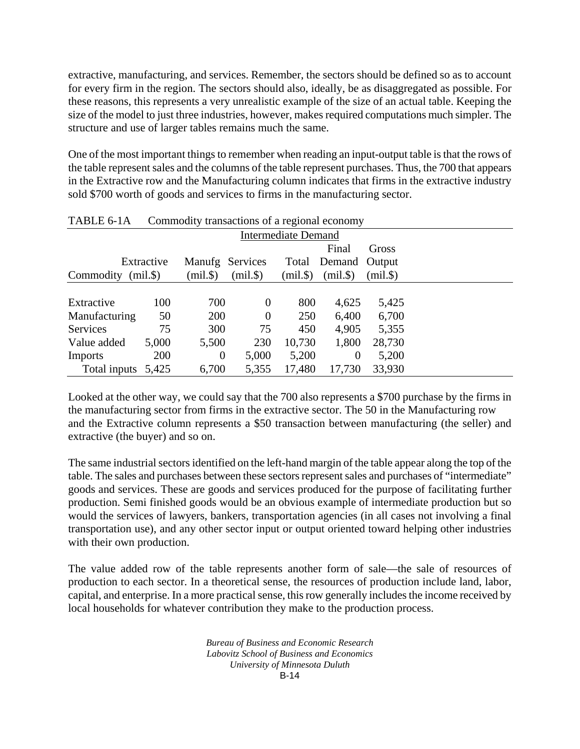extractive, manufacturing, and services. Remember, the sectors should be defined so as to account for every firm in the region. The sectors should also, ideally, be as disaggregated as possible. For these reasons, this represents a very unrealistic example of the size of an actual table. Keeping the size of the model to just three industries, however, makes required computations much simpler. The structure and use of larger tables remains much the same.

One of the most important things to remember when reading an input-output table is that the rows of the table represent sales and the columns of the table represent purchases. Thus, the 700 that appears in the Extractive row and the Manufacturing column indicates that firms in the extractive industry sold \$700 worth of goods and services to firms in the manufacturing sector.

| TADLE 0-TA                 |       | Commodity transactions of a regional economy |          |          |                |         |  |
|----------------------------|-------|----------------------------------------------|----------|----------|----------------|---------|--|
| <b>Intermediate Demand</b> |       |                                              |          |          |                |         |  |
|                            |       |                                              |          |          | Final          | Gross   |  |
| Extractive                 |       | Manufg                                       | Services | Total    | Demand         | Output  |  |
| Commodity (mil.\$)         |       | (mil.\$)                                     | $(mil.\$ | $(mil.\$ | (mil.          | (mil.S) |  |
|                            |       |                                              |          |          |                |         |  |
| Extractive                 | 100   | 700                                          | $\theta$ | 800      | 4,625          | 5,425   |  |
| Manufacturing              | 50    | <b>200</b>                                   | $\theta$ | 250      | 6,400          | 6,700   |  |
| Services                   | 75    | 300                                          | 75       | 450      | 4,905          | 5,355   |  |
| Value added                | 5,000 | 5,500                                        | 230      | 10,730   | 1,800          | 28,730  |  |
| <b>Imports</b>             | 200   | $\overline{0}$                               | 5,000    | 5,200    | $\overline{0}$ | 5,200   |  |
| Total inputs               | 5,425 | 6,700                                        | 5,355    | 17,480   | 17,730         | 33,930  |  |

TABLE 6-1A Commodity transactions of a regional economy

Looked at the other way, we could say that the 700 also represents a \$700 purchase by the firms in the manufacturing sector from firms in the extractive sector. The 50 in the Manufacturing row and the Extractive column represents a \$50 transaction between manufacturing (the seller) and extractive (the buyer) and so on.

The same industrial sectors identified on the left-hand margin of the table appear along the top of the table. The sales and purchases between these sectors represent sales and purchases of "intermediate" goods and services. These are goods and services produced for the purpose of facilitating further production. Semi finished goods would be an obvious example of intermediate production but so would the services of lawyers, bankers, transportation agencies (in all cases not involving a final transportation use), and any other sector input or output oriented toward helping other industries with their own production.

The value added row of the table represents another form of sale—the sale of resources of production to each sector. In a theoretical sense, the resources of production include land, labor, capital, and enterprise. In a more practical sense, this row generally includes the income received by local households for whatever contribution they make to the production process.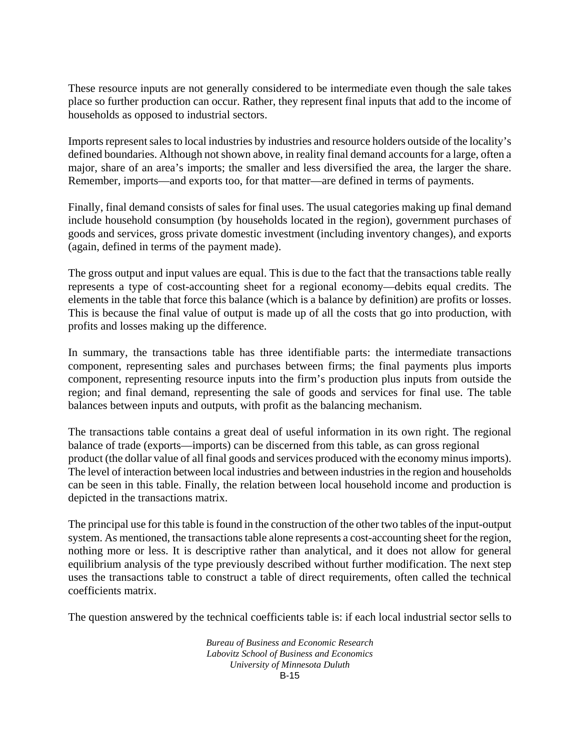These resource inputs are not generally considered to be intermediate even though the sale takes place so further production can occur. Rather, they represent final inputs that add to the income of households as opposed to industrial sectors.

Imports represent sales to local industries by industries and resource holders outside of the locality's defined boundaries. Although not shown above, in reality final demand accounts for a large, often a major, share of an area's imports; the smaller and less diversified the area, the larger the share. Remember, imports—and exports too, for that matter—are defined in terms of payments.

Finally, final demand consists of sales for final uses. The usual categories making up final demand include household consumption (by households located in the region), government purchases of goods and services, gross private domestic investment (including inventory changes), and exports (again, defined in terms of the payment made).

The gross output and input values are equal. This is due to the fact that the transactions table really represents a type of cost-accounting sheet for a regional economy—debits equal credits. The elements in the table that force this balance (which is a balance by definition) are profits or losses. This is because the final value of output is made up of all the costs that go into production, with profits and losses making up the difference.

In summary, the transactions table has three identifiable parts: the intermediate transactions component, representing sales and purchases between firms; the final payments plus imports component, representing resource inputs into the firm's production plus inputs from outside the region; and final demand, representing the sale of goods and services for final use. The table balances between inputs and outputs, with profit as the balancing mechanism.

The transactions table contains a great deal of useful information in its own right. The regional balance of trade (exports—imports) can be discerned from this table, as can gross regional product (the dollar value of all final goods and services produced with the economy minus imports). The level of interaction between local industries and between industries in the region and households can be seen in this table. Finally, the relation between local household income and production is depicted in the transactions matrix.

The principal use for this table is found in the construction of the other two tables of the input-output system. As mentioned, the transactions table alone represents a cost-accounting sheet for the region, nothing more or less. It is descriptive rather than analytical, and it does not allow for general equilibrium analysis of the type previously described without further modification. The next step uses the transactions table to construct a table of direct requirements, often called the technical coefficients matrix.

The question answered by the technical coefficients table is: if each local industrial sector sells to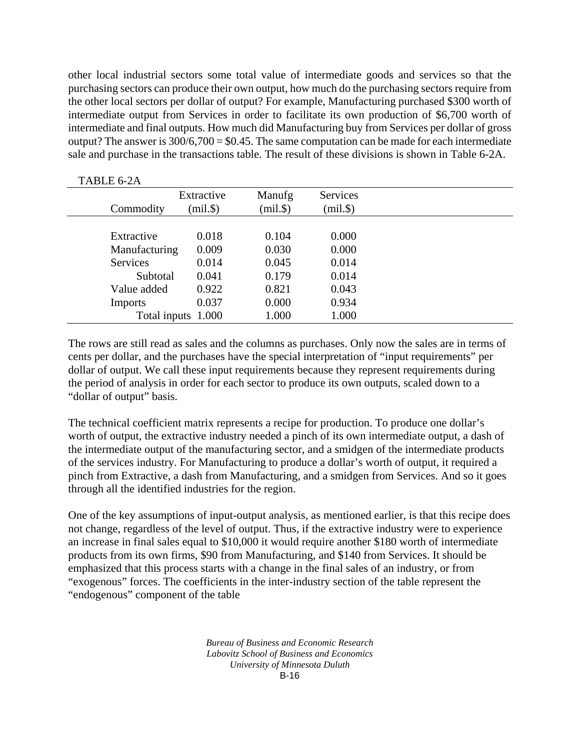other local industrial sectors some total value of intermediate goods and services so that the purchasing sectors can produce their own output, how much do the purchasing sectors require from the other local sectors per dollar of output? For example, Manufacturing purchased \$300 worth of intermediate output from Services in order to facilitate its own production of \$6,700 worth of intermediate and final outputs. How much did Manufacturing buy from Services per dollar of gross output? The answer is  $300/6,700 = $0.45$ . The same computation can be made for each intermediate sale and purchase in the transactions table. The result of these divisions is shown in Table 6-2A.

| TODLE 0-40         |            |          |                 |  |
|--------------------|------------|----------|-----------------|--|
|                    | Extractive | Manufg   | <b>Services</b> |  |
| Commodity          | $(mil.\$   | $(mil.\$ | (mil.           |  |
|                    |            |          |                 |  |
| Extractive         | 0.018      | 0.104    | 0.000           |  |
| Manufacturing      | 0.009      | 0.030    | 0.000           |  |
| Services           | 0.014      | 0.045    | 0.014           |  |
| Subtotal           | 0.041      | 0.179    | 0.014           |  |
| Value added        | 0.922      | 0.821    | 0.043           |  |
| <b>Imports</b>     | 0.037      | 0.000    | 0.934           |  |
| Total inputs 1.000 |            | 1.000    | 1.000           |  |
|                    |            |          |                 |  |

The rows are still read as sales and the columns as purchases. Only now the sales are in terms of cents per dollar, and the purchases have the special interpretation of "input requirements" per dollar of output. We call these input requirements because they represent requirements during the period of analysis in order for each sector to produce its own outputs, scaled down to a "dollar of output" basis.

The technical coefficient matrix represents a recipe for production. To produce one dollar's worth of output, the extractive industry needed a pinch of its own intermediate output, a dash of the intermediate output of the manufacturing sector, and a smidgen of the intermediate products of the services industry. For Manufacturing to produce a dollar's worth of output, it required a pinch from Extractive, a dash from Manufacturing, and a smidgen from Services. And so it goes through all the identified industries for the region.

One of the key assumptions of input-output analysis, as mentioned earlier, is that this recipe does not change, regardless of the level of output. Thus, if the extractive industry were to experience an increase in final sales equal to \$10,000 it would require another \$180 worth of intermediate products from its own firms, \$90 from Manufacturing, and \$140 from Services. It should be emphasized that this process starts with a change in the final sales of an industry, or from "exogenous" forces. The coefficients in the inter-industry section of the table represent the "endogenous" component of the table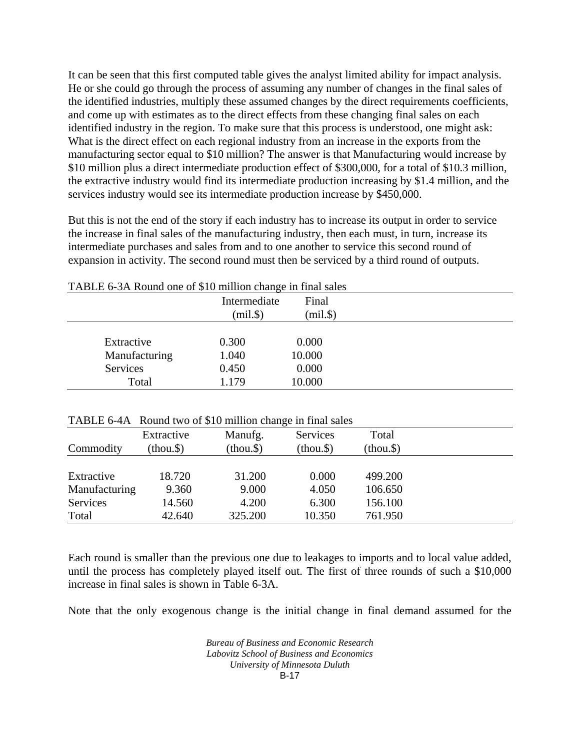It can be seen that this first computed table gives the analyst limited ability for impact analysis. He or she could go through the process of assuming any number of changes in the final sales of the identified industries, multiply these assumed changes by the direct requirements coefficients, and come up with estimates as to the direct effects from these changing final sales on each identified industry in the region. To make sure that this process is understood, one might ask: What is the direct effect on each regional industry from an increase in the exports from the manufacturing sector equal to \$10 million? The answer is that Manufacturing would increase by \$10 million plus a direct intermediate production effect of \$300,000, for a total of \$10.3 million, the extractive industry would find its intermediate production increasing by \$1.4 million, and the services industry would see its intermediate production increase by \$450,000.

But this is not the end of the story if each industry has to increase its output in order to service the increase in final sales of the manufacturing industry, then each must, in turn, increase its intermediate purchases and sales from and to one another to service this second round of expansion in activity. The second round must then be serviced by a third round of outputs.

| TABLE 6-3A Round one of \$10 million change in final sales |              |          |  |  |  |
|------------------------------------------------------------|--------------|----------|--|--|--|
|                                                            | Intermediate | Final    |  |  |  |
|                                                            | $(mil.$ \$   | $(mil.\$ |  |  |  |
|                                                            |              |          |  |  |  |
| Extractive                                                 | 0.300        | 0.000    |  |  |  |
| Manufacturing                                              | 1.040        | 10.000   |  |  |  |
| <b>Services</b>                                            | 0.450        | 0.000    |  |  |  |
| Total                                                      | 1.179        | 10.000   |  |  |  |

TABLE 6-3A Round one of \$10 million change in final sales

TABLE 6-4A Round two of \$10 million change in final sales

| Commodity     | Extractive<br>(thou.\$) | Manufg.<br>$(hou.$ \$) | <b>Services</b><br>$(hou.$ \$) | Total<br>$(hou.$ \$) |
|---------------|-------------------------|------------------------|--------------------------------|----------------------|
| Extractive    | 18.720                  | 31.200                 | 0.000                          | 499.200              |
| Manufacturing | 9.360                   | 9.000                  | 4.050                          | 106.650              |
| Services      | 14.560                  | 4.200                  | 6.300                          | 156.100              |
| Total         | 42.640                  | 325.200                | 10.350                         | 761.950              |

Each round is smaller than the previous one due to leakages to imports and to local value added, until the process has completely played itself out. The first of three rounds of such a \$10,000 increase in final sales is shown in Table 6-3A.

Note that the only exogenous change is the initial change in final demand assumed for the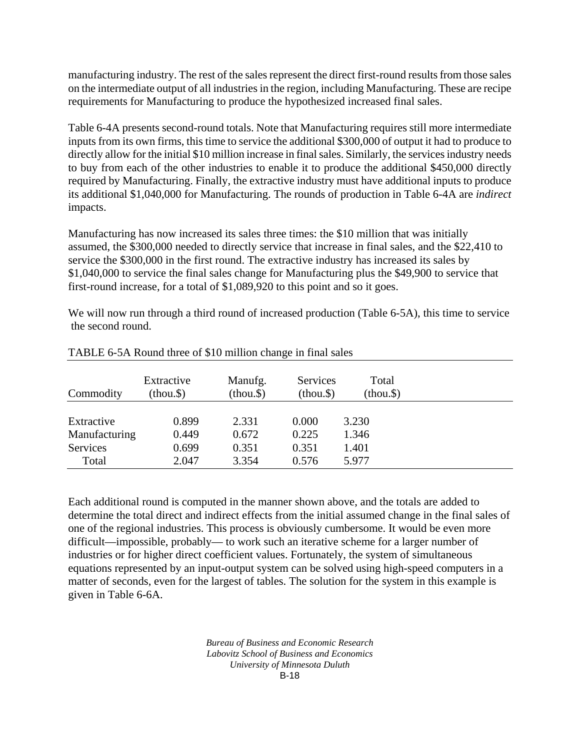manufacturing industry. The rest of the sales represent the direct first-round results from those sales on the intermediate output of all industries in the region, including Manufacturing. These are recipe requirements for Manufacturing to produce the hypothesized increased final sales.

Table 6-4A presents second-round totals. Note that Manufacturing requires still more intermediate inputs from its own firms, this time to service the additional \$300,000 of output it had to produce to directly allow for the initial \$10 million increase in final sales. Similarly, the services industry needs to buy from each of the other industries to enable it to produce the additional \$450,000 directly required by Manufacturing. Finally, the extractive industry must have additional inputs to produce its additional \$1,040,000 for Manufacturing. The rounds of production in Table 6-4A are *indirect*  impacts.

Manufacturing has now increased its sales three times: the \$10 million that was initially assumed, the \$300,000 needed to directly service that increase in final sales, and the \$22,410 to service the \$300,000 in the first round. The extractive industry has increased its sales by \$1,040,000 to service the final sales change for Manufacturing plus the \$49,900 to service that first-round increase, for a total of \$1,089,920 to this point and so it goes.

We will now run through a third round of increased production (Table 6-5A), this time to service the second round.

| Commodity     | Extractive<br>$-thou.\$ | Manufg.<br>(hou.\$) | Services<br>$(hou.$ \$) | Total<br>$-thou.\$ |
|---------------|-------------------------|---------------------|-------------------------|--------------------|
| Extractive    | 0.899                   | 2.331               | 0.000                   | 3.230              |
| Manufacturing | 0.449                   | 0.672               | 0.225                   | 1.346              |
| Services      | 0.699                   | 0.351               | 0.351                   | 1.401              |
| Total         | 2.047                   | 3.354               | 0.576                   | 5.977              |

### TABLE 6-5A Round three of \$10 million change in final sales

Each additional round is computed in the manner shown above, and the totals are added to determine the total direct and indirect effects from the initial assumed change in the final sales of one of the regional industries. This process is obviously cumbersome. It would be even more difficult—impossible, probably— to work such an iterative scheme for a larger number of industries or for higher direct coefficient values. Fortunately, the system of simultaneous equations represented by an input-output system can be solved using high-speed computers in a matter of seconds, even for the largest of tables. The solution for the system in this example is given in Table 6-6A.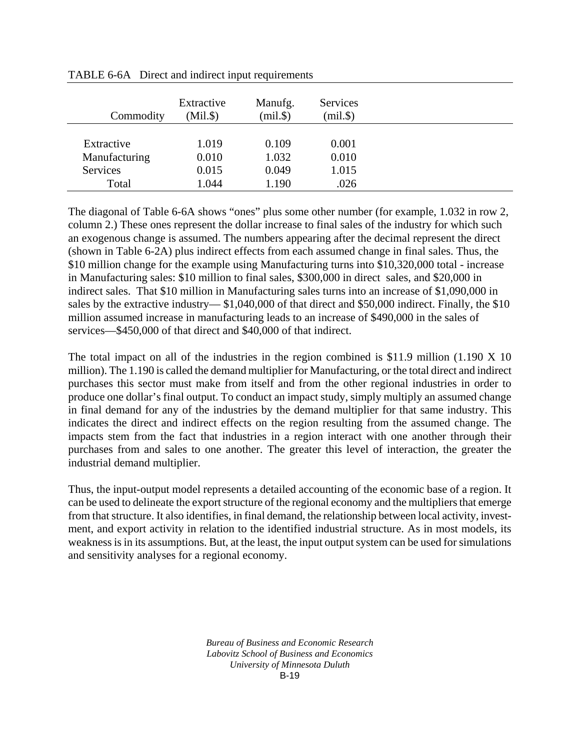| Commodity     | Extractive<br>$(Mil.\$ | Manufg.<br>$(mil.\$ | Services<br>$(mil.\$ |
|---------------|------------------------|---------------------|----------------------|
|               |                        |                     |                      |
| Extractive    | 1.019                  | 0.109               | 0.001                |
| Manufacturing | 0.010                  | 1.032               | 0.010                |
| Services      | 0.015                  | 0.049               | 1.015                |
| Total         | 1.044                  | 1.190               | .026                 |

TABLE 6-6A Direct and indirect input requirements

The diagonal of Table 6-6A shows "ones" plus some other number (for example, 1.032 in row 2, column 2.) These ones represent the dollar increase to final sales of the industry for which such an exogenous change is assumed. The numbers appearing after the decimal represent the direct (shown in Table 6-2A) plus indirect effects from each assumed change in final sales. Thus, the \$10 million change for the example using Manufacturing turns into \$10,320,000 total - increase in Manufacturing sales: \$10 million to final sales, \$300,000 in direct sales, and \$20,000 in indirect sales. That \$10 million in Manufacturing sales turns into an increase of \$1,090,000 in sales by the extractive industry— \$1,040,000 of that direct and \$50,000 indirect. Finally, the \$10 million assumed increase in manufacturing leads to an increase of \$490,000 in the sales of services—\$450,000 of that direct and \$40,000 of that indirect.

The total impact on all of the industries in the region combined is \$11.9 million (1.190 X 10) million). The 1.190 is called the demand multiplier for Manufacturing, or the total direct and indirect purchases this sector must make from itself and from the other regional industries in order to produce one dollar's final output. To conduct an impact study, simply multiply an assumed change in final demand for any of the industries by the demand multiplier for that same industry. This indicates the direct and indirect effects on the region resulting from the assumed change. The impacts stem from the fact that industries in a region interact with one another through their purchases from and sales to one another. The greater this level of interaction, the greater the industrial demand multiplier.

Thus, the input-output model represents a detailed accounting of the economic base of a region. It can be used to delineate the export structure of the regional economy and the multipliers that emerge from that structure. It also identifies, in final demand, the relationship between local activity, investment, and export activity in relation to the identified industrial structure. As in most models, its weakness is in its assumptions. But, at the least, the input output system can be used for simulations and sensitivity analyses for a regional economy.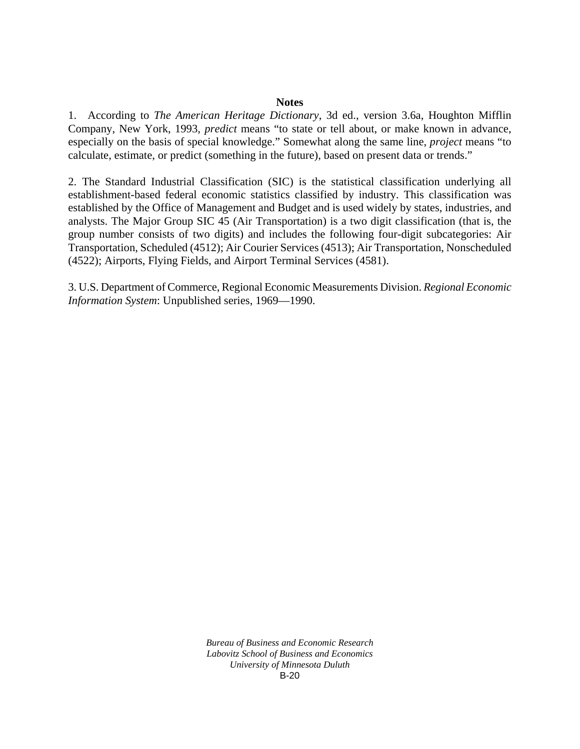#### **Notes**

1. According to *The American Heritage Dictionary*, 3d ed., version 3.6a, Houghton Mifflin Company, New York, 1993, *predict* means "to state or tell about, or make known in advance, especially on the basis of special knowledge." Somewhat along the same line, *project* means "to calculate, estimate, or predict (something in the future), based on present data or trends."

2. The Standard Industrial Classification (SIC) is the statistical classification underlying all establishment-based federal economic statistics classified by industry. This classification was established by the Office of Management and Budget and is used widely by states, industries, and analysts. The Major Group SIC 45 (Air Transportation) is a two digit classification (that is, the group number consists of two digits) and includes the following four-digit subcategories: Air Transportation, Scheduled (4512); Air Courier Services (4513); Air Transportation, Nonscheduled (4522); Airports, Flying Fields, and Airport Terminal Services (4581).

3. U.S. Department of Commerce, Regional Economic Measurements Division. *Regional Economic Information System*: Unpublished series, 1969—1990.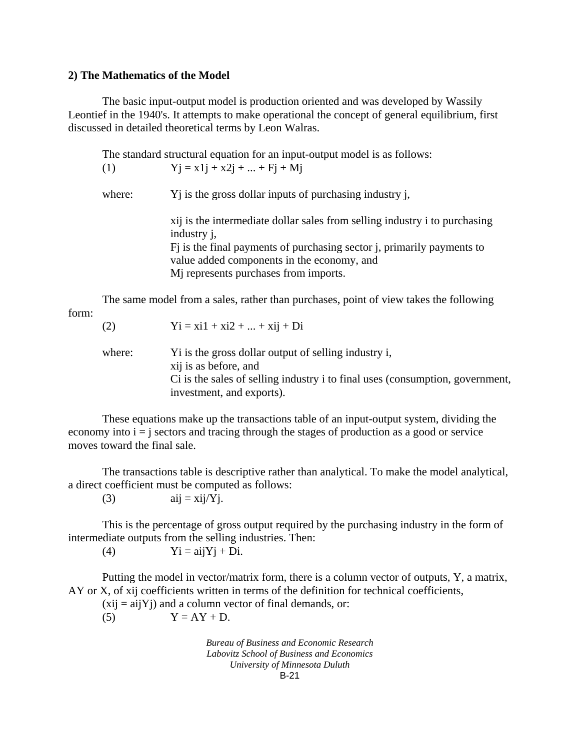#### **2) The Mathematics of the Model**

The basic input-output model is production oriented and was developed by Wassily Leontief in the 1940's. It attempts to make operational the concept of general equilibrium, first discussed in detailed theoretical terms by Leon Walras.

The standard structural equation for an input-output model is as follows: (1)  $Yj = x1j + x2j + ... + Fj + Mj$ 

where: Y is the gross dollar inputs of purchasing industry j,

xij is the intermediate dollar sales from selling industry i to purchasing industry j, Fj is the final payments of purchasing sector j, primarily payments to value added components in the economy, and Mj represents purchases from imports.

The same model from a sales, rather than purchases, point of view takes the following form: (2)  $yi = x i 1 + x i 2 + ... + x i j + Di$ 

where: Yi is the gross dollar output of selling industry i, xij is as before, and Ci is the sales of selling industry i to final uses (consumption, government, investment, and exports).

These equations make up the transactions table of an input-output system, dividing the economy into  $i = j$  sectors and tracing through the stages of production as a good or service moves toward the final sale.

The transactions table is descriptive rather than analytical. To make the model analytical, a direct coefficient must be computed as follows:

(3)  $aij = xij/Yj$ .

This is the percentage of gross output required by the purchasing industry in the form of intermediate outputs from the selling industries. Then:

(4)  $yi = aijYj + Di.$ 

Putting the model in vector/matrix form, there is a column vector of outputs, Y, a matrix, AY or X, of xij coefficients written in terms of the definition for technical coefficients,

 $(xii = aiiYi)$  and a column vector of final demands, or:

(5)  $Y = AY + D$ .